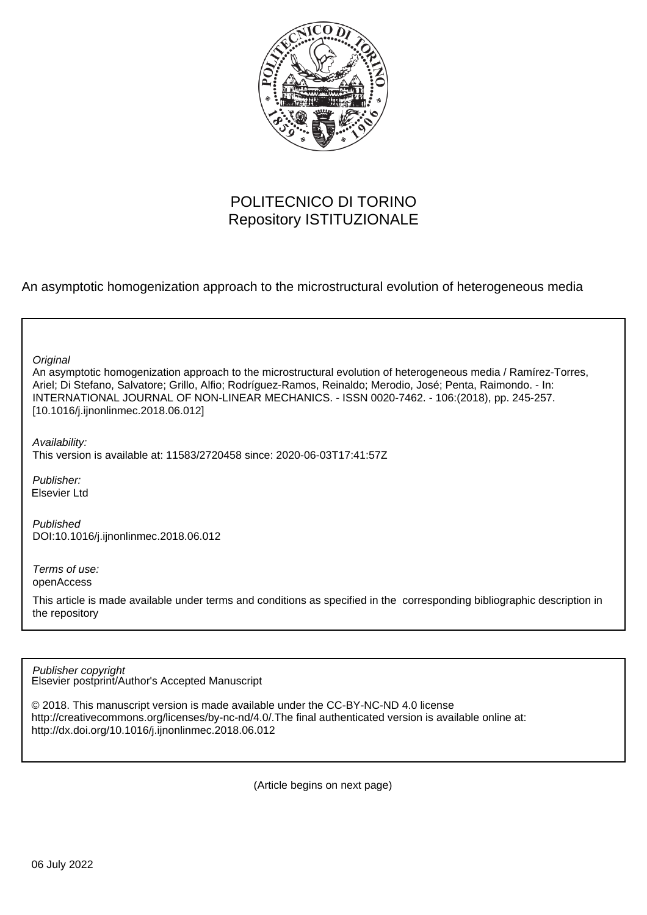

# POLITECNICO DI TORINO Repository ISTITUZIONALE

An asymptotic homogenization approach to the microstructural evolution of heterogeneous media

**Original** 

An asymptotic homogenization approach to the microstructural evolution of heterogeneous media / Ramírez-Torres, Ariel; Di Stefano, Salvatore; Grillo, Alfio; Rodríguez-Ramos, Reinaldo; Merodio, José; Penta, Raimondo. - In: INTERNATIONAL JOURNAL OF NON-LINEAR MECHANICS. - ISSN 0020-7462. - 106:(2018), pp. 245-257. [10.1016/j.ijnonlinmec.2018.06.012]

Availability: This version is available at: 11583/2720458 since: 2020-06-03T17:41:57Z

Publisher: Elsevier Ltd

Published DOI:10.1016/j.ijnonlinmec.2018.06.012

Terms of use: openAccess

This article is made available under terms and conditions as specified in the corresponding bibliographic description in the repository

Elsevier postprint/Author's Accepted Manuscript Publisher copyright

© 2018. This manuscript version is made available under the CC-BY-NC-ND 4.0 license http://creativecommons.org/licenses/by-nc-nd/4.0/.The final authenticated version is available online at: http://dx.doi.org/10.1016/j.ijnonlinmec.2018.06.012

(Article begins on next page)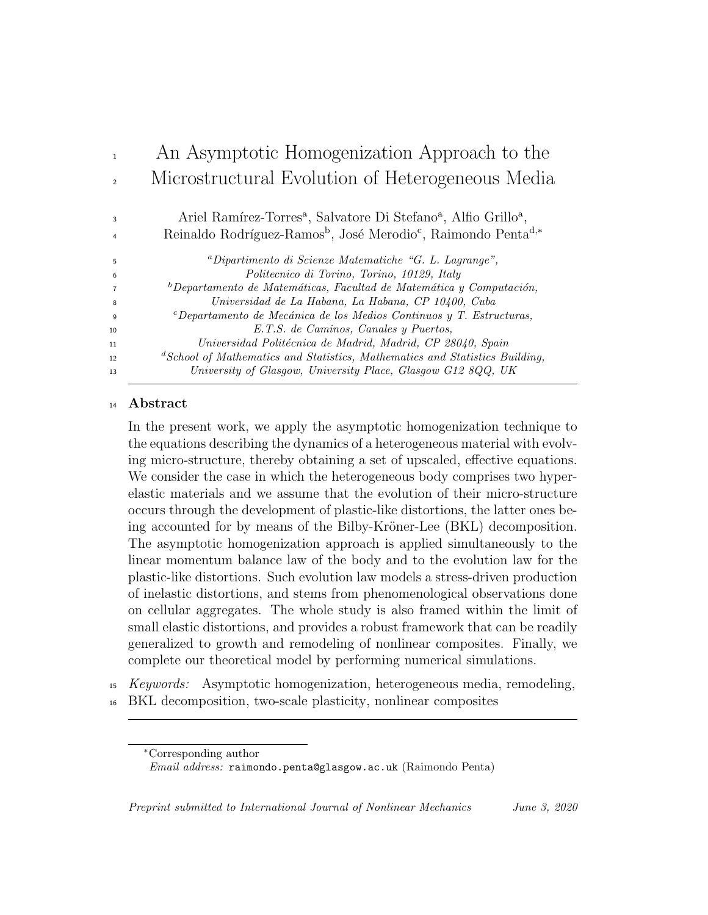| $\overline{1}$    | An Asymptotic Homogenization Approach to the                                                        |
|-------------------|-----------------------------------------------------------------------------------------------------|
| $\overline{2}$    | Microstructural Evolution of Heterogeneous Media                                                    |
| 3                 | Ariel Ramírez-Torres <sup>a</sup> , Salvatore Di Stefano <sup>a</sup> , Alfio Grillo <sup>a</sup> , |
| $\overline{4}$    | Reinaldo Rodríguez-Ramos <sup>b</sup> , José Merodio <sup>c</sup> , Raimondo Penta <sup>d,*</sup>   |
| 5                 | "Dipartimento di Scienze Matematiche "G. L. Lagrange",                                              |
| 6                 | Politecnico di Torino, Torino, 10129, Italy                                                         |
| $\overline{7}$    | $b$ Departamento de Matemáticas, Facultad de Matemática y Computación,                              |
| 8                 | Universidad de La Habana, La Habana, CP 10400, Cuba                                                 |
| $\mathbf{Q}$      | ${}^c$ Departamento de Mecánica de los Medios Continuos y T. Estructuras,                           |
| 10                | E.T.S. de Caminos, Canales y Puertos,                                                               |
| 11                | Universidad Politécnica de Madrid, Madrid, CP 28040, Spain                                          |
| $12 \overline{ }$ | <sup>d</sup> School of Mathematics and Statistics, Mathematics and Statistics Building,             |
| 13                | University of Glasgow, University Place, Glasgow G12 8QQ, UK                                        |
|                   |                                                                                                     |

# <sup>14</sup> Abstract

In the present work, we apply the asymptotic homogenization technique to the equations describing the dynamics of a heterogeneous material with evolving micro-structure, thereby obtaining a set of upscaled, effective equations. We consider the case in which the heterogeneous body comprises two hyperelastic materials and we assume that the evolution of their micro-structure occurs through the development of plastic-like distortions, the latter ones being accounted for by means of the Bilby-Kröner-Lee (BKL) decomposition. The asymptotic homogenization approach is applied simultaneously to the linear momentum balance law of the body and to the evolution law for the plastic-like distortions. Such evolution law models a stress-driven production of inelastic distortions, and stems from phenomenological observations done on cellular aggregates. The whole study is also framed within the limit of small elastic distortions, and provides a robust framework that can be readily generalized to growth and remodeling of nonlinear composites. Finally, we complete our theoretical model by performing numerical simulations.

- <sup>15</sup> Keywords: Asymptotic homogenization, heterogeneous media, remodeling,
- <sup>16</sup> BKL decomposition, two-scale plasticity, nonlinear composites

Preprint submitted to International Journal of Nonlinear Mechanics June 3, 2020

<sup>∗</sup>Corresponding author Email address: raimondo.penta@glasgow.ac.uk (Raimondo Penta)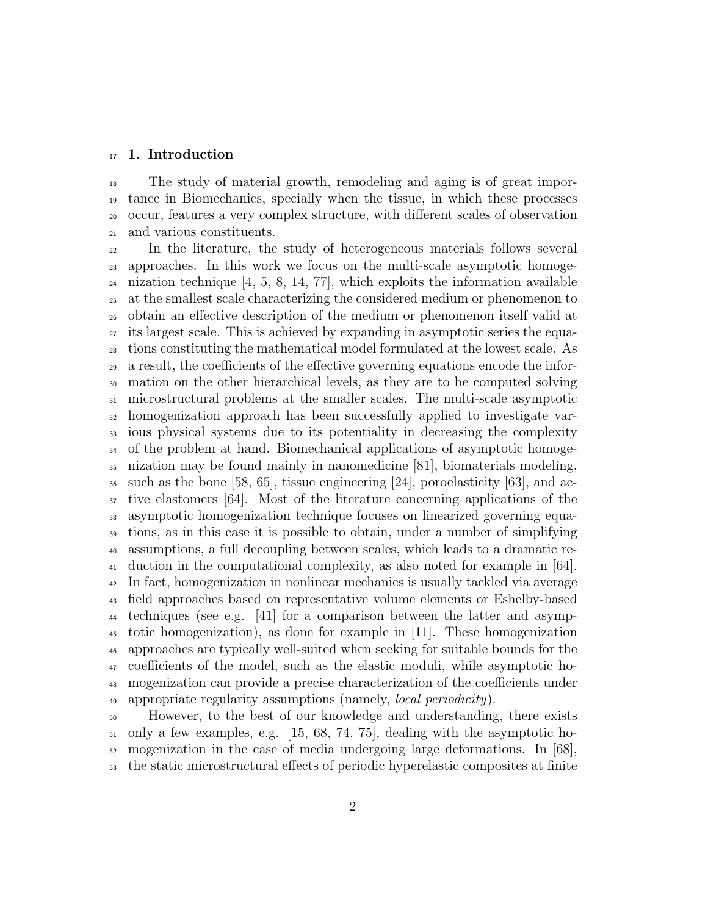# 1. Introduction

 The study of material growth, remodeling and aging is of great impor- tance in Biomechanics, specially when the tissue, in which these processes occur, features a very complex structure, with different scales of observation and various constituents.

 In the literature, the study of heterogeneous materials follows several approaches. In this work we focus on the multi-scale asymptotic homoge-<sup>24</sup> nization technique  $[4, 5, 8, 14, 77]$ , which exploits the information available at the smallest scale characterizing the considered medium or phenomenon to obtain an effective description of the medium or phenomenon itself valid at its largest scale. This is achieved by expanding in asymptotic series the equa- tions constituting the mathematical model formulated at the lowest scale. As a result, the coefficients of the effective governing equations encode the infor- mation on the other hierarchical levels, as they are to be computed solving microstructural problems at the smaller scales. The multi-scale asymptotic homogenization approach has been successfully applied to investigate var- ious physical systems due to its potentiality in decreasing the complexity of the problem at hand. Biomechanical applications of asymptotic homoge- nization may be found mainly in nanomedicine [81], biomaterials modeling, such as the bone [58, 65], tissue engineering [24], poroelasticity [63], and ac- tive elastomers [64]. Most of the literature concerning applications of the asymptotic homogenization technique focuses on linearized governing equa- tions, as in this case it is possible to obtain, under a number of simplifying assumptions, a full decoupling between scales, which leads to a dramatic re- duction in the computational complexity, as also noted for example in [64]. In fact, homogenization in nonlinear mechanics is usually tackled via average field approaches based on representative volume elements or Eshelby-based techniques (see e.g. [41] for a comparison between the latter and asymp- totic homogenization), as done for example in [11]. These homogenization approaches are typically well-suited when seeking for suitable bounds for the coefficients of the model, such as the elastic moduli, while asymptotic ho- mogenization can provide a precise characterization of the coefficients under 49 appropriate regularity assumptions (namely, *local periodicity*).

 However, to the best of our knowledge and understanding, there exists only a few examples, e.g. [15, 68, 74, 75], dealing with the asymptotic ho- mogenization in the case of media undergoing large deformations. In [68], the static microstructural effects of periodic hyperelastic composites at finite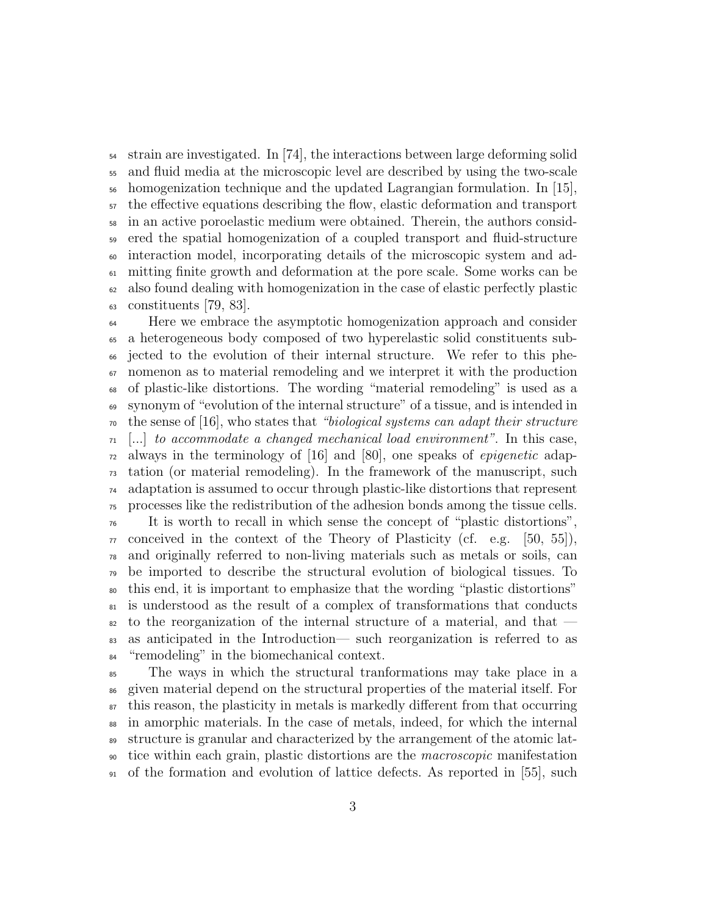strain are investigated. In [74], the interactions between large deforming solid and fluid media at the microscopic level are described by using the two-scale homogenization technique and the updated Lagrangian formulation. In [15], the effective equations describing the flow, elastic deformation and transport in an active poroelastic medium were obtained. Therein, the authors consid- ered the spatial homogenization of a coupled transport and fluid-structure interaction model, incorporating details of the microscopic system and ad- mitting finite growth and deformation at the pore scale. Some works can be  $\epsilon_2$  also found dealing with homogenization in the case of elastic perfectly plastic constituents [79, 83].

 Here we embrace the asymptotic homogenization approach and consider a heterogeneous body composed of two hyperelastic solid constituents sub- jected to the evolution of their internal structure. We refer to this phe- nomenon as to material remodeling and we interpret it with the production of plastic-like distortions. The wording "material remodeling" is used as a synonym of "evolution of the internal structure" of a tissue, and is intended in  $\tau_0$  the sense of [16], who states that "biological systems can adapt their structure  $\lceil n \rceil$  [...] to accommodate a changed mechanical load environment". In this case,  $\alpha$  always in the terminology of [16] and [80], one speaks of *epigenetic* adap- tation (or material remodeling). In the framework of the manuscript, such adaptation is assumed to occur through plastic-like distortions that represent processes like the redistribution of the adhesion bonds among the tissue cells.

 It is worth to recall in which sense the concept of "plastic distortions",  $\pi$  conceived in the context of the Theory of Plasticity (cf. e.g. [50, 55]), and originally referred to non-living materials such as metals or soils, can be imported to describe the structural evolution of biological tissues. To this end, it is important to emphasize that the wording "plastic distortions" is understood as the result of a complex of transformations that conducts  $\frac{1}{82}$  to the reorganization of the internal structure of a material, and that  $\frac{1}{2}$  as anticipated in the Introduction— such reorganization is referred to as <sup>84</sup> "remodeling" in the biomechanical context.

 The ways in which the structural tranformations may take place in a given material depend on the structural properties of the material itself. For this reason, the plasticity in metals is markedly different from that occurring in amorphic materials. In the case of metals, indeed, for which the internal structure is granular and characterized by the arrangement of the atomic lat- tice within each grain, plastic distortions are the macroscopic manifestation of the formation and evolution of lattice defects. As reported in [55], such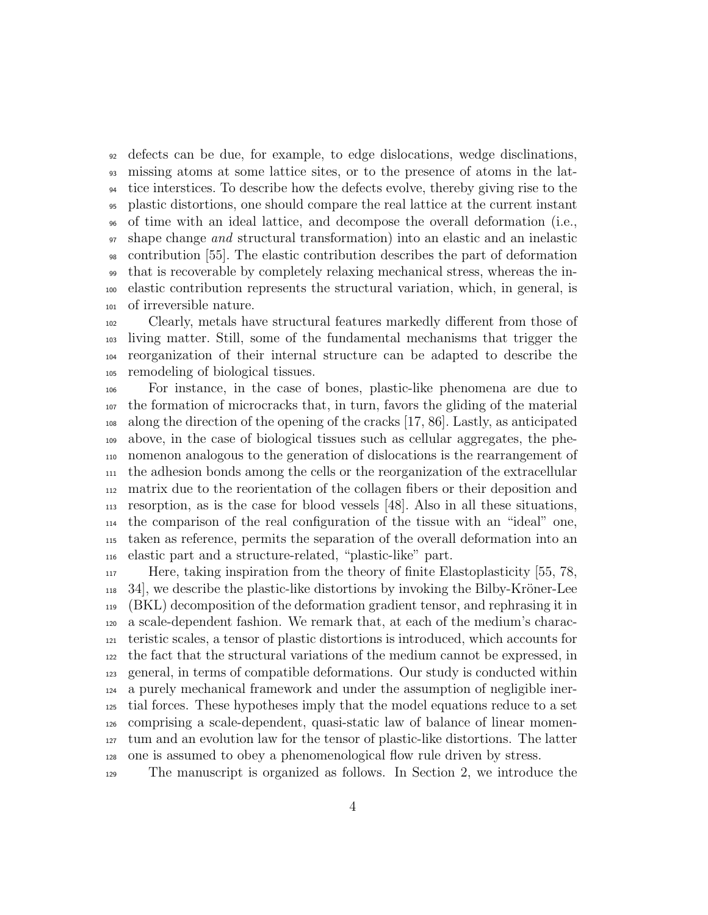defects can be due, for example, to edge dislocations, wedge disclinations, missing atoms at some lattice sites, or to the presence of atoms in the lat- tice interstices. To describe how the defects evolve, thereby giving rise to the plastic distortions, one should compare the real lattice at the current instant of time with an ideal lattice, and decompose the overall deformation (i.e., shape change and structural transformation) into an elastic and an inelastic contribution [55]. The elastic contribution describes the part of deformation that is recoverable by completely relaxing mechanical stress, whereas the in- elastic contribution represents the structural variation, which, in general, is of irreversible nature.

 Clearly, metals have structural features markedly different from those of living matter. Still, some of the fundamental mechanisms that trigger the reorganization of their internal structure can be adapted to describe the remodeling of biological tissues.

 For instance, in the case of bones, plastic-like phenomena are due to the formation of microcracks that, in turn, favors the gliding of the material along the direction of the opening of the cracks [17, 86]. Lastly, as anticipated above, in the case of biological tissues such as cellular aggregates, the phe- nomenon analogous to the generation of dislocations is the rearrangement of the adhesion bonds among the cells or the reorganization of the extracellular matrix due to the reorientation of the collagen fibers or their deposition and resorption, as is the case for blood vessels [48]. Also in all these situations, the comparison of the real configuration of the tissue with an "ideal" one, taken as reference, permits the separation of the overall deformation into an elastic part and a structure-related, "plastic-like" part.

 Here, taking inspiration from the theory of finite Elastoplasticity [55, 78,  $_{118}$  34], we describe the plastic-like distortions by invoking the Bilby-Kröner-Lee (BKL) decomposition of the deformation gradient tensor, and rephrasing it in a scale-dependent fashion. We remark that, at each of the medium's charac- teristic scales, a tensor of plastic distortions is introduced, which accounts for the fact that the structural variations of the medium cannot be expressed, in general, in terms of compatible deformations. Our study is conducted within a purely mechanical framework and under the assumption of negligible iner- tial forces. These hypotheses imply that the model equations reduce to a set comprising a scale-dependent, quasi-static law of balance of linear momen- tum and an evolution law for the tensor of plastic-like distortions. The latter one is assumed to obey a phenomenological flow rule driven by stress.

The manuscript is organized as follows. In Section 2, we introduce the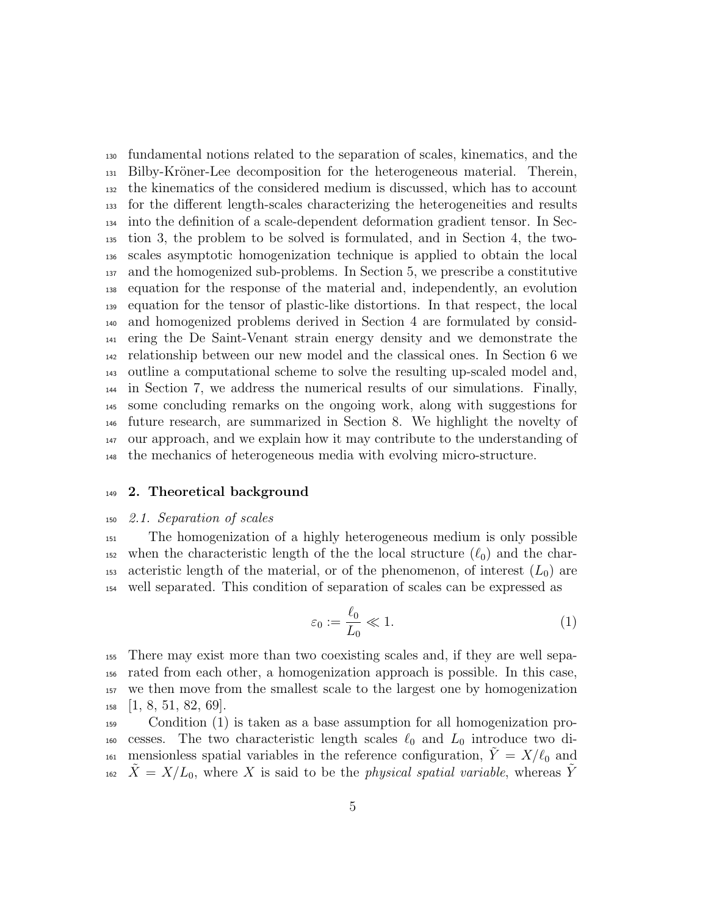fundamental notions related to the separation of scales, kinematics, and the Bilby-Kr¨oner-Lee decomposition for the heterogeneous material. Therein, the kinematics of the considered medium is discussed, which has to account for the different length-scales characterizing the heterogeneities and results into the definition of a scale-dependent deformation gradient tensor. In Sec- tion 3, the problem to be solved is formulated, and in Section 4, the two- scales asymptotic homogenization technique is applied to obtain the local and the homogenized sub-problems. In Section 5, we prescribe a constitutive equation for the response of the material and, independently, an evolution equation for the tensor of plastic-like distortions. In that respect, the local and homogenized problems derived in Section 4 are formulated by consid- ering the De Saint-Venant strain energy density and we demonstrate the relationship between our new model and the classical ones. In Section 6 we outline a computational scheme to solve the resulting up-scaled model and, in Section 7, we address the numerical results of our simulations. Finally, some concluding remarks on the ongoing work, along with suggestions for future research, are summarized in Section 8. We highlight the novelty of our approach, and we explain how it may contribute to the understanding of the mechanics of heterogeneous media with evolving micro-structure.

#### 2. Theoretical background

#### 2.1. Separation of scales

 The homogenization of a highly heterogeneous medium is only possible <sup>152</sup> when the characteristic length of the the local structure  $(\ell_0)$  and the char-153 acteristic length of the material, or of the phenomenon, of interest  $(L_0)$  are well separated. This condition of separation of scales can be expressed as

$$
\varepsilon_0 := \frac{\ell_0}{L_0} \ll 1. \tag{1}
$$

 There may exist more than two coexisting scales and, if they are well sepa- rated from each other, a homogenization approach is possible. In this case, we then move from the smallest scale to the largest one by homogenization [1, 8, 51, 82, 69].

 Condition (1) is taken as a base assumption for all homogenization pro-160 cesses. The two characteristic length scales  $\ell_0$  and  $L_0$  introduce two di-<sup>161</sup> mensionless spatial variables in the reference configuration,  $\tilde{Y} = X/\ell_0$  and  $X = X/L_0$ , where X is said to be the *physical spatial variable*, whereas Y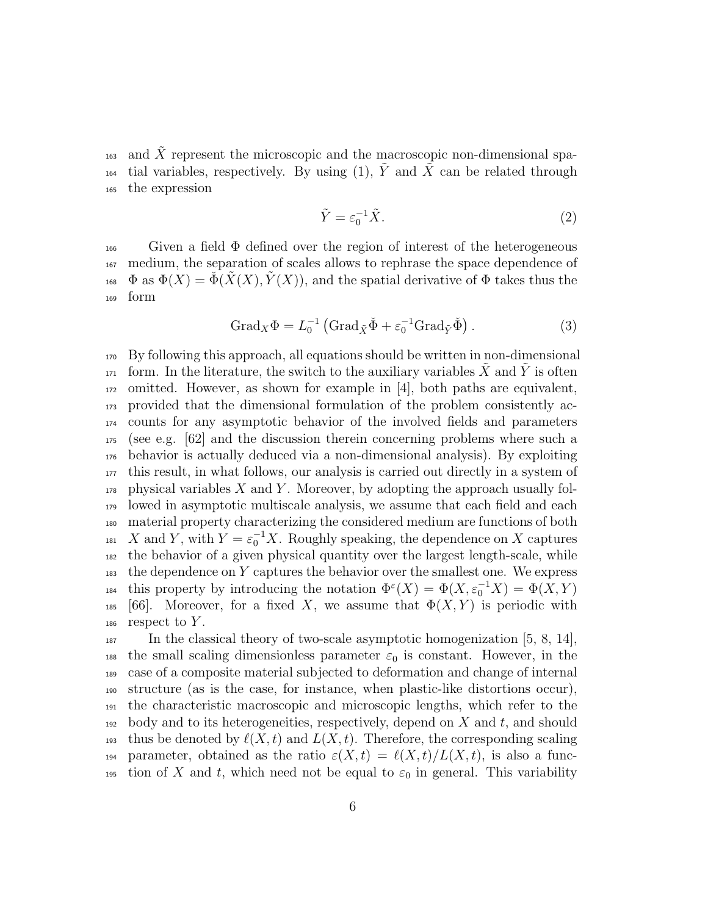and  $\tilde{X}$  represent the microscopic and the macroscopic non-dimensional spa-<sup>164</sup> tial variables, respectively. By using (1),  $\tilde{Y}$  and  $\tilde{X}$  can be related through <sup>165</sup> the expression

$$
\tilde{Y} = \varepsilon_0^{-1} \tilde{X}.
$$
\n<sup>(2)</sup>

 Given a field  $\Phi$  defined over the region of interest of the heterogeneous medium, the separation of scales allows to rephrase the space dependence of  $\Phi$  as  $\Phi(X) = \check{\Phi}(\tilde{X}(X), \tilde{Y}(X))$ , and the spatial derivative of  $\Phi$  takes thus the <sup>169</sup> form

$$
Grad_X \Phi = L_0^{-1} \left( Grad_{\tilde{X}} \check{\Phi} + \varepsilon_0^{-1} Grad_{\tilde{Y}} \check{\Phi} \right).
$$
 (3)

 By following this approach, all equations should be written in non-dimensional  $f<sub>171</sub>$  form. In the literature, the switch to the auxiliary variables X and Y is often omitted. However, as shown for example in [4], both paths are equivalent, provided that the dimensional formulation of the problem consistently ac- counts for any asymptotic behavior of the involved fields and parameters (see e.g. [62] and the discussion therein concerning problems where such a behavior is actually deduced via a non-dimensional analysis). By exploiting this result, in what follows, our analysis is carried out directly in a system of physical variables X and Y. Moreover, by adopting the approach usually fol- lowed in asymptotic multiscale analysis, we assume that each field and each material property characterizing the considered medium are functions of both <sup>181</sup> X and Y, with  $Y = \varepsilon_0^{-1} X$ . Roughly speaking, the dependence on X captures the behavior of a given physical quantity over the largest length-scale, while the dependence on Y captures the behavior over the smallest one. We express <sup>184</sup> this property by introducing the notation  $\Phi^{\varepsilon}(X) = \Phi(X, \varepsilon_0^{-1}X) = \Phi(X, Y)$ 185 [66]. Moreover, for a fixed X, we assume that  $\Phi(X, Y)$  is periodic with 186 respect to  $Y$ .

 $\frac{187}{187}$  In the classical theory of two-scale asymptotic homogenization [5, 8, 14], 188 the small scaling dimensionless parameter  $\varepsilon_0$  is constant. However, in the <sup>189</sup> case of a composite material subjected to deformation and change of internal <sup>190</sup> structure (as is the case, for instance, when plastic-like distortions occur), <sup>191</sup> the characteristic macroscopic and microscopic lengths, which refer to the  $192$  body and to its heterogeneities, respectively, depend on X and t, and should <sup>193</sup> thus be denoted by  $\ell(X, t)$  and  $L(X, t)$ . Therefore, the corresponding scaling 194 parameter, obtained as the ratio  $\varepsilon(X, t) = \ell(X, t)/L(X, t)$ , is also a func-195 tion of X and t, which need not be equal to  $\varepsilon_0$  in general. This variability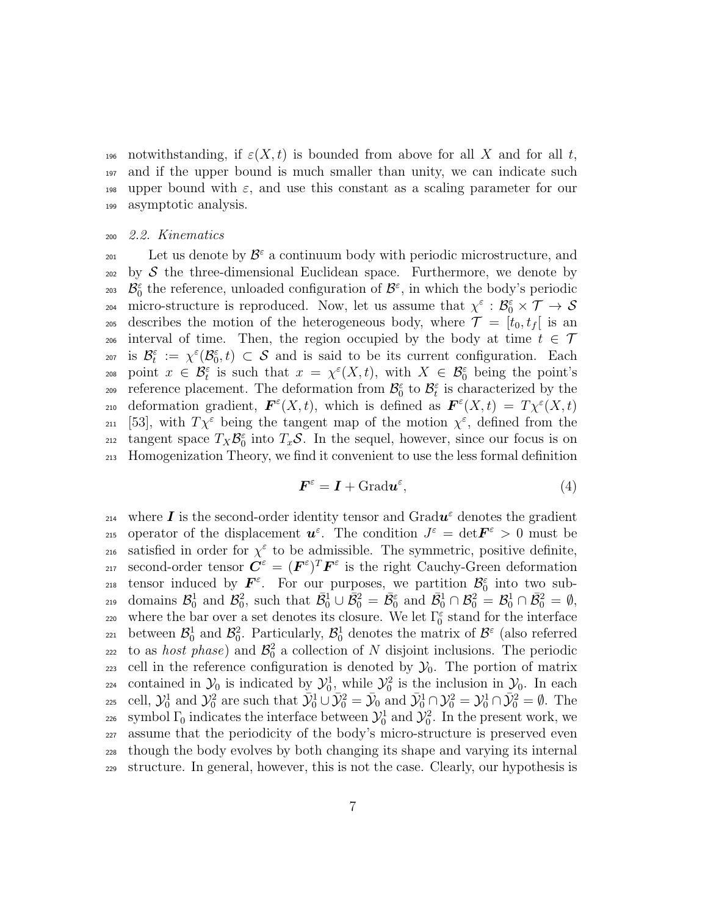196 notwithstanding, if  $\varepsilon(X, t)$  is bounded from above for all X and for all t, <sup>197</sup> and if the upper bound is much smaller than unity, we can indicate such 198 upper bound with  $\varepsilon$ , and use this constant as a scaling parameter for our <sup>199</sup> asymptotic analysis.

# <sup>200</sup> 2.2. Kinematics

 $201$  Let us denote by  $\mathcal{B}^{\varepsilon}$  a continuum body with periodic microstructure, and  $202$  by S the three-dimensional Euclidean space. Furthermore, we denote by <sup>203</sup>  $\mathcal{B}_0^{\varepsilon}$  the reference, unloaded configuration of  $\mathcal{B}^{\varepsilon}$ , in which the body's periodic 204 micro-structure is reproduced. Now, let us assume that  $\chi^{\varepsilon}$  :  $\mathcal{B}_0^{\varepsilon} \times \mathcal{T} \to \mathcal{S}$ 205 describes the motion of the heterogeneous body, where  $\mathcal{T} = [t_0, t_f]$  is an 206 interval of time. Then, the region occupied by the body at time  $t \in \mathcal{T}$ <sup>207</sup> is  $\mathcal{B}_t^{\varepsilon} := \chi^{\varepsilon}(\mathcal{B}_0^{\varepsilon}, t) \subset \mathcal{S}$  and is said to be its current configuration. Each 208 point  $x \in \mathcal{B}_t^{\varepsilon}$  is such that  $x = \chi^{\varepsilon}(X,t)$ , with  $X \in \mathcal{B}_0^{\varepsilon}$  being the point's to reference placement. The deformation from  $\mathcal{B}_0^{\varepsilon}$  to  $\mathcal{B}_t^{\varepsilon}$  is characterized by the 210 deformation gradient,  $\mathbf{F}^{\varepsilon}(X,t)$ , which is defined as  $\mathbf{F}^{\varepsilon}(X,t) = T\chi^{\varepsilon}(X,t)$ 211 [53], with  $T\chi^{\epsilon}$  being the tangent map of the motion  $\chi^{\epsilon}$ , defined from the tangent space  $T_X\mathcal{B}_0^{\varepsilon}$  into  $T_x\mathcal{S}$ . In the sequel, however, since our focus is on <sup>213</sup> Homogenization Theory, we find it convenient to use the less formal definition

$$
\boldsymbol{F}^{\varepsilon} = \boldsymbol{I} + \text{Grad}\boldsymbol{u}^{\varepsilon},\tag{4}
$$

214 where **I** is the second-order identity tensor and Gradu<sup> $\varepsilon$ </sup> denotes the gradient 215 operator of the displacement  $u^{\varepsilon}$ . The condition  $J^{\varepsilon} = \det \! \bm{F}^{\varepsilon} > 0$  must be <sup>216</sup> satisfied in order for  $\chi^{\varepsilon}$  to be admissible. The symmetric, positive definite, <sup>217</sup> second-order tensor  $\mathbf{C}^{\varepsilon} = (\mathbf{F}^{\varepsilon})^T \mathbf{F}^{\varepsilon}$  is the right Cauchy-Green deformation <sup>218</sup> tensor induced by  $\mathbf{F}^{\varepsilon}$ . For our purposes, we partition  $\mathcal{B}_{0}^{\varepsilon}$  into two sub- $\mathcal{B}_0^1$  and  $\mathcal{B}_0^2$ , such that  $\bar{\mathcal{B}}_0^1 \cup \bar{\mathcal{B}}_0^2 = \bar{\mathcal{B}}_0^{\varepsilon}$  and  $\bar{\mathcal{B}}_0^1 \cap \mathcal{B}_0^2 = \mathcal{B}_0^1 \cap \bar{\mathcal{B}}_0^2 = \emptyset$ , 220 where the bar over a set denotes its closure. We let  $\Gamma_0^{\varepsilon}$  stand for the interface <sup>221</sup> between  $\mathcal{B}_0^1$  and  $\mathcal{B}_0^2$ . Particularly,  $\mathcal{B}_0^1$  denotes the matrix of  $\mathcal{B}^{\varepsilon}$  (also referred <sup>222</sup> to as *host phase*) and  $\mathcal{B}_0^2$  a collection of N disjoint inclusions. The periodic 223 cell in the reference configuration is denoted by  $\mathcal{Y}_0$ . The portion of matrix <sup>224</sup> contained in  $\mathcal{Y}_0$  is indicated by  $\mathcal{Y}_0^1$ , while  $\mathcal{Y}_0^2$  is the inclusion in  $\mathcal{Y}_0$ . In each <sup>225</sup> cell,  $\mathcal{Y}_0^1$  and  $\mathcal{Y}_0^2$  are such that  $\mathcal{Y}_0^1 \cup \mathcal{Y}_0^2 = \mathcal{Y}_0$  and  $\mathcal{Y}_0^1 \cap \mathcal{Y}_0^2 = \mathcal{Y}_0^1 \cap \mathcal{Y}_0^2 = \emptyset$ . The <sup>226</sup> symbol  $\Gamma_0$  indicates the interface between  $\mathcal{Y}_0^1$  and  $\mathcal{Y}_0^2$ . In the present work, we <sup>227</sup> assume that the periodicity of the body's micro-structure is preserved even <sup>228</sup> though the body evolves by both changing its shape and varying its internal <sup>229</sup> structure. In general, however, this is not the case. Clearly, our hypothesis is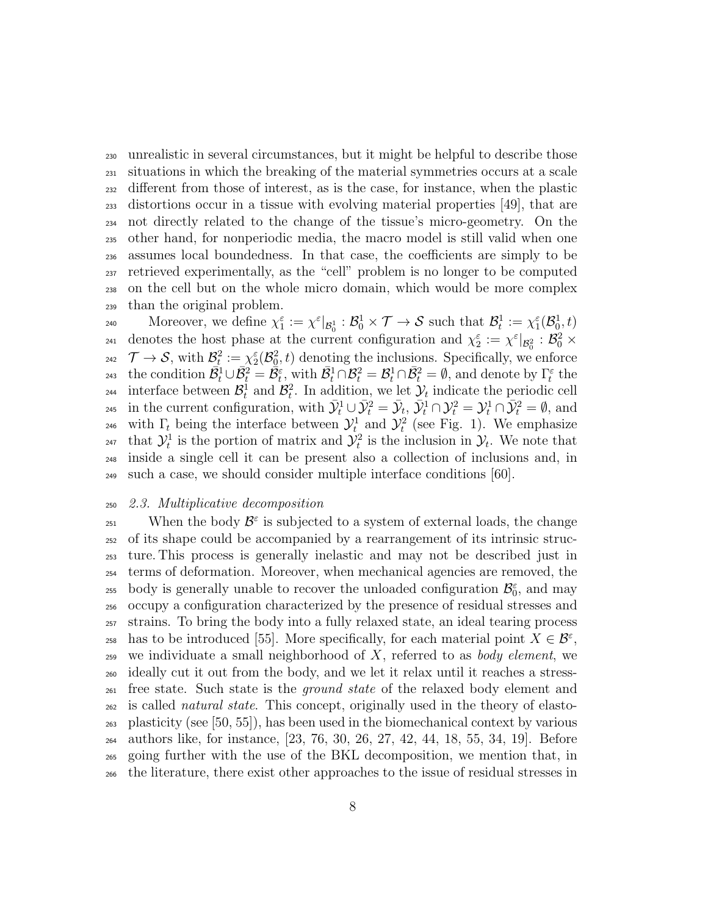unrealistic in several circumstances, but it might be helpful to describe those situations in which the breaking of the material symmetries occurs at a scale different from those of interest, as is the case, for instance, when the plastic distortions occur in a tissue with evolving material properties [49], that are not directly related to the change of the tissue's micro-geometry. On the other hand, for nonperiodic media, the macro model is still valid when one assumes local boundedness. In that case, the coefficients are simply to be retrieved experimentally, as the "cell" problem is no longer to be computed on the cell but on the whole micro domain, which would be more complex than the original problem.

240 Moreover, we define  $\chi_1^{\varepsilon} := \chi^{\varepsilon}|_{\mathcal{B}_0^1} : \mathcal{B}_0^1 \times \mathcal{T} \to \mathcal{S}$  such that  $\mathcal{B}_t^1 := \chi_1^{\varepsilon}(\mathcal{B}_0^1, t)$ 241 denotes the host phase at the current configuration and  $\chi_2^{\varepsilon} := \chi^{\varepsilon}|_{\mathcal{B}_0^2} : \mathcal{B}_0^2 \times$ <sup>242</sup>  $\mathcal{T} \to \mathcal{S}$ , with  $\mathcal{B}_t^2 := \chi_2^{\varepsilon}(\mathcal{B}_0^2, t)$  denoting the inclusions. Specifically, we enforce <sup>243</sup> the condition  $\overline{\mathcal{B}}_t^1 \cup \overline{\mathcal{B}}_t^2 = \overline{\mathcal{B}}_t^{\varepsilon}$ , with  $\overline{\mathcal{B}}_t^1 \cap \mathcal{B}_t^2 = \mathcal{B}_t^1 \cap \overline{\mathcal{B}}_t^2 = \emptyset$ , and denote by  $\Gamma_t^{\varepsilon}$  the <sup>244</sup> interface between  $\mathcal{B}_t^1$  and  $\mathcal{B}_t^2$ . In addition, we let  $\mathcal{Y}_t$  indicate the periodic cell <sup>245</sup> in the current configuration, with  $\bar{\mathcal{Y}}_t^1 \cup \bar{\mathcal{Y}}_t^2 = \bar{\mathcal{Y}}_t$ ,  $\bar{\mathcal{Y}}_t^1 \cap \mathcal{Y}_t^2 = \mathcal{Y}_t^1 \cap \bar{\mathcal{Y}}_t^2 = \emptyset$ , and <sup>246</sup> with  $\Gamma_t$  being the interface between  $\mathcal{Y}_t^1$  and  $\mathcal{Y}_t^2$  (see Fig. 1). We emphasize <sup>247</sup> that  $\mathcal{Y}_t^1$  is the portion of matrix and  $\mathcal{Y}_t^2$  is the inclusion in  $\mathcal{Y}_t$ . We note that inside a single cell it can be present also a collection of inclusions and, in such a case, we should consider multiple interface conditions [60].

### 2.3. Multiplicative decomposition

<sup>251</sup> When the body  $\mathcal{B}^{\varepsilon}$  is subjected to a system of external loads, the change of its shape could be accompanied by a rearrangement of its intrinsic struc- ture. This process is generally inelastic and may not be described just in terms of deformation. Moreover, when mechanical agencies are removed, the <sup>255</sup> body is generally unable to recover the unloaded configuration  $\mathcal{B}_0^{\varepsilon}$ , and may occupy a configuration characterized by the presence of residual stresses and strains. To bring the body into a fully relaxed state, an ideal tearing process <sup>258</sup> has to be introduced [55]. More specifically, for each material point  $X \in \mathcal{B}^{\varepsilon}$ , <sup>259</sup> we individuate a small neighborhood of X, referred to as *body element*, we ideally cut it out from the body, and we let it relax until it reaches a stress-<sub>261</sub> free state. Such state is the *ground state* of the relaxed body element and is called natural state. This concept, originally used in the theory of elasto- plasticity (see [50, 55]), has been used in the biomechanical context by various authors like, for instance, [23, 76, 30, 26, 27, 42, 44, 18, 55, 34, 19]. Before going further with the use of the BKL decomposition, we mention that, in the literature, there exist other approaches to the issue of residual stresses in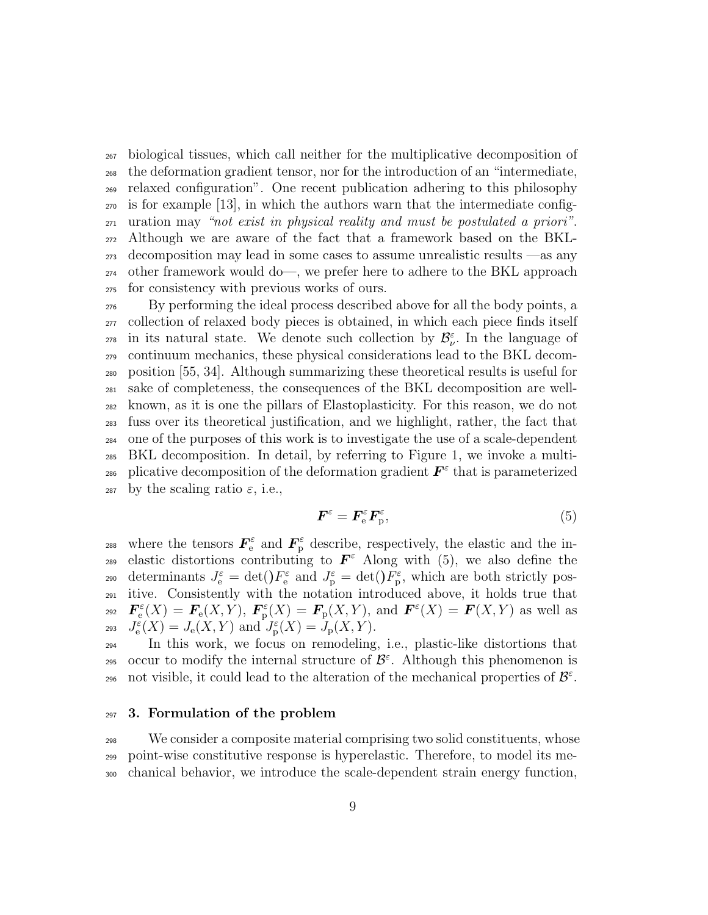biological tissues, which call neither for the multiplicative decomposition of the deformation gradient tensor, nor for the introduction of an "intermediate, relaxed configuration". One recent publication adhering to this philosophy  $_{270}$  is for example [13], in which the authors warn that the intermediate config- uration may "not exist in physical reality and must be postulated a priori". Although we are aware of the fact that a framework based on the BKL- decomposition may lead in some cases to assume unrealistic results —as any other framework would do—, we prefer here to adhere to the BKL approach for consistency with previous works of ours.

 By performing the ideal process described above for all the body points, a collection of relaxed body pieces is obtained, in which each piece finds itself <sub>278</sub> in its natural state. We denote such collection by  $\mathcal{B}_{\nu}^{\varepsilon}$ . In the language of continuum mechanics, these physical considerations lead to the BKL decom- position [55, 34]. Although summarizing these theoretical results is useful for sake of completeness, the consequences of the BKL decomposition are well- known, as it is one the pillars of Elastoplasticity. For this reason, we do not fuss over its theoretical justification, and we highlight, rather, the fact that one of the purposes of this work is to investigate the use of a scale-dependent BKL decomposition. In detail, by referring to Figure 1, we invoke a multi-286 plicative decomposition of the deformation gradient  $\mathbf{F}^{\varepsilon}$  that is parameterized 287 by the scaling ratio  $\varepsilon$ , i.e.,

$$
\boldsymbol{F}^{\varepsilon} = \boldsymbol{F}_{e}^{\varepsilon} \boldsymbol{F}_{p}^{\varepsilon},\tag{5}
$$

where the tensors  $\mathbf{F}_{\scriptscriptstyle{e}}^{\scriptscriptstyle{\varepsilon}}$ <sup>288</sup> where the tensors  $\mathbf{F}_{e}^{\varepsilon}$  and  $\mathbf{F}_{p}^{\varepsilon}$  describe, respectively, the elastic and the in-289 elastic distortions contributing to  $\mathbf{F}^{\varepsilon}$  Along with (5), we also define the 290 determinants  $J_e^{\varepsilon} = \det(JF_e^{\varepsilon} \text{ and } J_p^{\varepsilon} = \det(JF_p^{\varepsilon}, \text{ which are both strictly pos-$ <sup>291</sup> itive. Consistently with the notation introduced above, it holds true that  $\bm{F}_{\mathrm{e}}^{\varepsilon}$  $\mathbf{F}_{\mathrm{e}}^{\varepsilon}(X) = \mathbf{F}_{\mathrm{e}}(X,Y), \ \mathbf{F}_{\mathrm{p}}^{\varepsilon}$ 292  $\boldsymbol{F}_{\rm e}^{\varepsilon}(X) = \boldsymbol{F}_{\rm e}(X,Y), \ \boldsymbol{F}_{\rm p}^{\varepsilon}(X) = \boldsymbol{F}_{\rm p}(X,Y), \text{ and } \boldsymbol{F}^{\varepsilon}(X) = \boldsymbol{F}(X,Y)$  as well as <sup>293</sup>  $J_{\mathbf{e}}^{\varepsilon}(X) = J_{\mathbf{e}}(X, Y)$  and  $J_{\mathbf{p}}^{\varepsilon}(X) = J_{\mathbf{p}}(X, Y)$ .

<sup>294</sup> In this work, we focus on remodeling, i.e., plastic-like distortions that 295 occur to modify the internal structure of  $\mathcal{B}^{\varepsilon}$ . Although this phenomenon is 296 not visible, it could lead to the alteration of the mechanical properties of  $\mathcal{B}^{\varepsilon}$ .

#### <sup>297</sup> 3. Formulation of the problem

<sup>298</sup> We consider a composite material comprising two solid constituents, whose <sup>299</sup> point-wise constitutive response is hyperelastic. Therefore, to model its me-<sup>300</sup> chanical behavior, we introduce the scale-dependent strain energy function,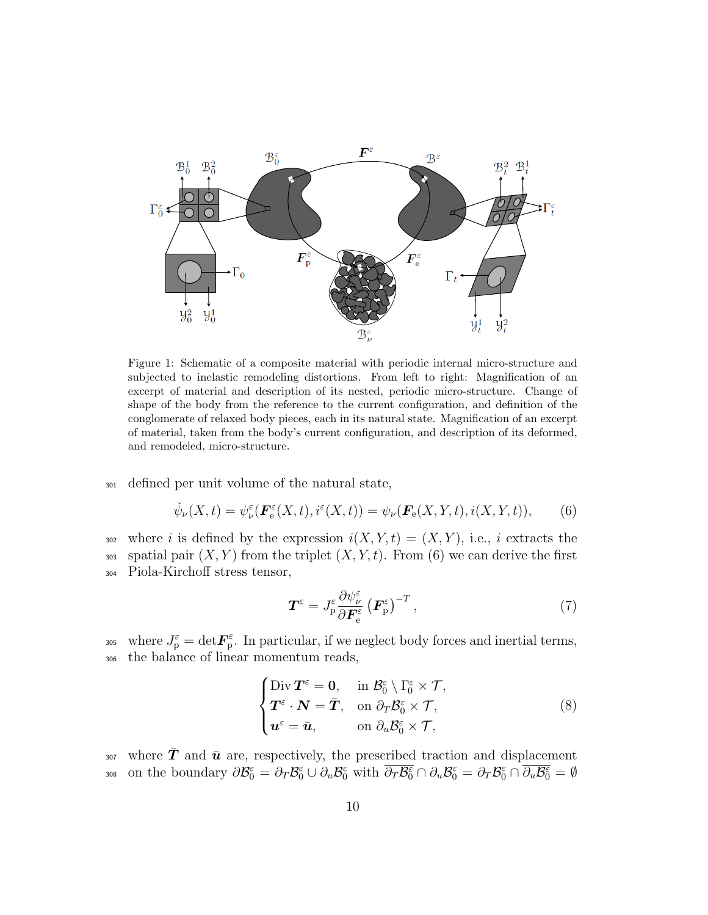

Figure 1: Schematic of a composite material with periodic internal micro-structure and subjected to inelastic remodeling distortions. From left to right: Magnification of an excerpt of material and description of its nested, periodic micro-structure. Change of shape of the body from the reference to the current configuration, and definition of the conglomerate of relaxed body pieces, each in its natural state. Magnification of an excerpt of material, taken from the body's current configuration, and description of its deformed, and remodeled, micro-structure.

<sup>301</sup> defined per unit volume of the natural state,

$$
\check{\psi}_{\nu}(X,t) = \psi_{\nu}^{\varepsilon}(\mathbf{F}_{\mathrm{e}}^{\varepsilon}(X,t), i^{\varepsilon}(X,t)) = \psi_{\nu}(\mathbf{F}_{\mathrm{e}}(X,Y,t), i(X,Y,t)), \quad (6)
$$

302 where i is defined by the expression  $i(X, Y, t) = (X, Y)$ , i.e., i extracts the 303 spatial pair  $(X, Y)$  from the triplet  $(X, Y, t)$ . From (6) we can derive the first <sup>304</sup> Piola-Kirchoff stress tensor,

$$
\boldsymbol{T}^{\varepsilon} = J_{\mathrm{p}}^{\varepsilon} \frac{\partial \psi_{\nu}^{\varepsilon}}{\partial \boldsymbol{F}_{\mathrm{e}}^{\varepsilon}} \left(\boldsymbol{F}_{\mathrm{p}}^{\varepsilon}\right)^{-T},\tag{7}
$$

where  $J_{\rm p}^{\varepsilon} = {\rm det} \boldsymbol{F}_{\rm p}^{\varepsilon}$ <sup>305</sup> where  $J_{\rm p}^{\varepsilon} = \det \boldsymbol{F}_{\rm p}^{\varepsilon}$ . In particular, if we neglect body forces and inertial terms, <sup>306</sup> the balance of linear momentum reads,

$$
\begin{cases}\n\text{Div } \boldsymbol{T}^{\varepsilon} = \boldsymbol{0}, & \text{in } \mathcal{B}_0^{\varepsilon} \setminus \Gamma_0^{\varepsilon} \times \mathcal{T}, \\
\boldsymbol{T}^{\varepsilon} \cdot \boldsymbol{N} = \bar{\boldsymbol{T}}, & \text{on } \partial_T \mathcal{B}_0^{\varepsilon} \times \mathcal{T}, \\
\boldsymbol{u}^{\varepsilon} = \bar{\boldsymbol{u}}, & \text{on } \partial_u \mathcal{B}_0^{\varepsilon} \times \mathcal{T},\n\end{cases} \tag{8}
$$

307 where  $\bar{T}$  and  $\bar{u}$  are, respectively, the prescribed traction and displacement 308 on the boundary  $\partial \mathcal{B}_0^{\varepsilon} = \partial_T \mathcal{B}_0^{\varepsilon} \cup \partial_u \mathcal{B}_0^{\varepsilon}$  with  $\overline{\partial_T \mathcal{B}_0^{\varepsilon}} \cap \partial_u \mathcal{B}_0^{\varepsilon} = \partial_T \mathcal{B}_0^{\varepsilon} \cap \overline{\partial_u \mathcal{B}_0^{\varepsilon}} = \emptyset$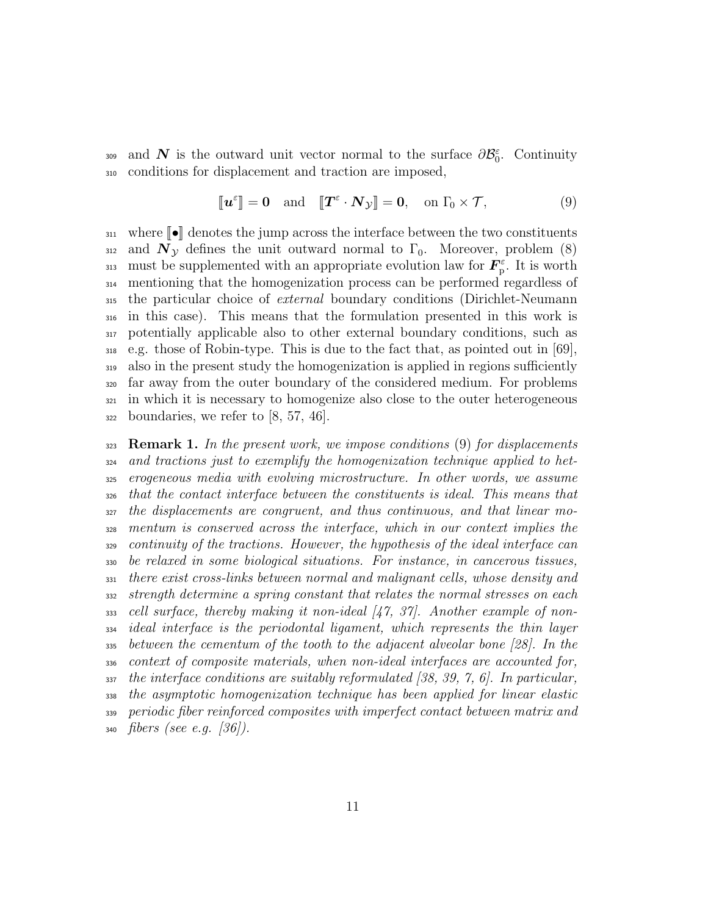309 and N is the outward unit vector normal to the surface  $\partial \mathcal{B}_0^{\varepsilon}$ . Continuity conditions for displacement and traction are imposed,

$$
\llbracket \boldsymbol{u}^{\varepsilon} \rrbracket = \mathbf{0} \quad \text{and} \quad \llbracket \boldsymbol{T}^{\varepsilon} \cdot \boldsymbol{N}_{\mathcal{Y}} \rrbracket = \mathbf{0}, \quad \text{on } \Gamma_0 \times \mathcal{T}, \tag{9}
$$

311 where  $\llbracket \bullet \rrbracket$  denotes the jump across the interface between the two constituents<br>312 and  $N_{\mathcal{V}}$  defines the unit outward normal to  $\Gamma_0$ . Moreover, problem (8) and  $N_{\mathcal{Y}}$  defines the unit outward normal to  $\Gamma_0$ . Moreover, problem (8) must be supplemented with an appropriate evolution law for  $\mathbf{F}_{p}^{\varepsilon}$ <sup>313</sup> must be supplemented with an appropriate evolution law for  $\mathbf{F}_{p}^{\varepsilon}$ . It is worth mentioning that the homogenization process can be performed regardless of <sup>315</sup> the particular choice of *external* boundary conditions (Dirichlet-Neumann in this case). This means that the formulation presented in this work is potentially applicable also to other external boundary conditions, such as e.g. those of Robin-type. This is due to the fact that, as pointed out in [69], also in the present study the homogenization is applied in regions sufficiently far away from the outer boundary of the considered medium. For problems in which it is necessary to homogenize also close to the outer heterogeneous  $_{322}$  boundaries, we refer to [8, 57, 46].

 Remark 1. In the present work, we impose conditions  $(9)$  for displacements and tractions just to exemplify the homogenization technique applied to het- erogeneous media with evolving microstructure. In other words, we assume that the contact interface between the constituents is ideal. This means that the displacements are congruent, and thus continuous, and that linear mo- mentum is conserved across the interface, which in our context implies the continuity of the tractions. However, the hypothesis of the ideal interface can be relaxed in some biological situations. For instance, in cancerous tissues, there exist cross-links between normal and malignant cells, whose density and strength determine a spring constant that relates the normal stresses on each cell surface, thereby making it non-ideal  $(47, 37)$ . Another example of non- ideal interface is the periodontal ligament, which represents the thin layer between the cementum of the tooth to the adjacent alveolar bone [28]. In the context of composite materials, when non-ideal interfaces are accounted for, the interface conditions are suitably reformulated [38, 39, 7, 6]. In particular, the asymptotic homogenization technique has been applied for linear elastic periodic fiber reinforced composites with imperfect contact between matrix and fibers (see e.g. [36]).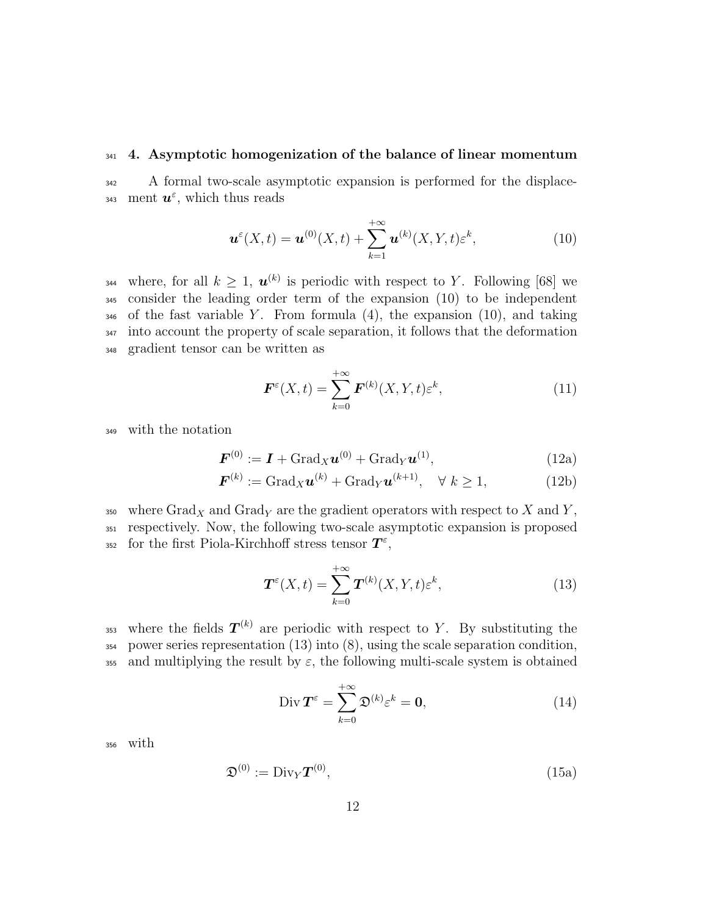# <sup>341</sup> 4. Asymptotic homogenization of the balance of linear momentum

<sup>342</sup> A formal two-scale asymptotic expansion is performed for the displace-<sup>343</sup> ment  $u^{\varepsilon}$ , which thus reads

$$
\boldsymbol{u}^{\varepsilon}(X,t) = \boldsymbol{u}^{(0)}(X,t) + \sum_{k=1}^{+\infty} \boldsymbol{u}^{(k)}(X,Y,t) \varepsilon^{k}, \qquad (10)
$$

<sup>344</sup> where, for all  $k \geq 1$ ,  $\mathbf{u}^{(k)}$  is periodic with respect to Y. Following [68] we consider the leading order term of the expansion (10) to be independent of the fast variable Y. From formula (4), the expansion (10), and taking into account the property of scale separation, it follows that the deformation gradient tensor can be written as

$$
\boldsymbol{F}^{\varepsilon}(X,t) = \sum_{k=0}^{+\infty} \boldsymbol{F}^{(k)}(X,Y,t) \varepsilon^{k}, \qquad (11)
$$

<sup>349</sup> with the notation

$$
\boldsymbol{F}^{(0)} := \boldsymbol{I} + \text{Grad}_X \boldsymbol{u}^{(0)} + \text{Grad}_Y \boldsymbol{u}^{(1)},
$$
\n(12a)

$$
\boldsymbol{F}^{(k)} := \text{Grad}_X \boldsymbol{u}^{(k)} + \text{Grad}_Y \boldsymbol{u}^{(k+1)}, \quad \forall \ k \ge 1,
$$
 (12b)

350 where  $\text{Grad}_X$  and  $\text{Grad}_Y$  are the gradient operators with respect to X and Y, <sup>351</sup> respectively. Now, the following two-scale asymptotic expansion is proposed 352 for the first Piola-Kirchhoff stress tensor  $T^{\varepsilon}$ ,

$$
\boldsymbol{T}^{\varepsilon}(X,t) = \sum_{k=0}^{+\infty} \boldsymbol{T}^{(k)}(X,Y,t) \varepsilon^{k}, \qquad (13)
$$

353 where the fields  $T^{(k)}$  are periodic with respect to Y. By substituting the <sup>354</sup> power series representation (13) into (8), using the scale separation condition, 355 and multiplying the result by  $\varepsilon$ , the following multi-scale system is obtained

$$
\text{Div}\,\mathbf{T}^{\varepsilon} = \sum_{k=0}^{+\infty} \mathfrak{D}^{(k)} \varepsilon^k = \mathbf{0},\tag{14}
$$

<sup>356</sup> with

$$
\mathfrak{D}^{(0)} := \text{Div}_{Y} \mathbf{T}^{(0)},\tag{15a}
$$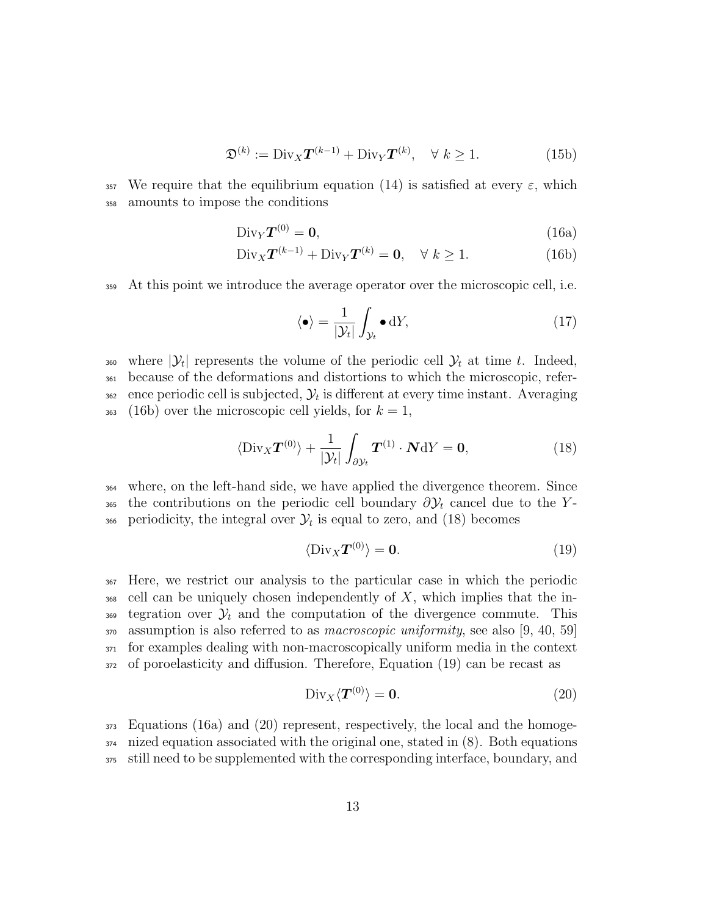$$
\mathfrak{D}^{(k)} := \text{Div}_X \mathbf{T}^{(k-1)} + \text{Div}_Y \mathbf{T}^{(k)}, \quad \forall \ k \ge 1.
$$
 (15b)

357 We require that the equilibrium equation (14) is satisfied at every  $\varepsilon$ , which <sup>358</sup> amounts to impose the conditions

$$
\text{Div}_Y \boldsymbol{T}^{(0)} = \boldsymbol{0},\tag{16a}
$$

$$
\text{Div}_{X} \mathbf{T}^{(k-1)} + \text{Div}_{Y} \mathbf{T}^{(k)} = \mathbf{0}, \quad \forall \ k \ge 1.
$$
 (16b)

<sup>359</sup> At this point we introduce the average operator over the microscopic cell, i.e.

$$
\langle \bullet \rangle = \frac{1}{|\mathcal{Y}_t|} \int_{\mathcal{Y}_t} \bullet \, \mathrm{d}Y,\tag{17}
$$

360 where  $|\mathcal{Y}_t|$  represents the volume of the periodic cell  $\mathcal{Y}_t$  at time t. Indeed, <sup>361</sup> because of the deformations and distortions to which the microscopic, refer-<sup>362</sup> ence periodic cell is subjected,  $\mathcal{Y}_t$  is different at every time instant. Averaging 363 (16b) over the microscopic cell yields, for  $k = 1$ ,

$$
\langle \text{Div}_X \boldsymbol{T}^{(0)} \rangle + \frac{1}{|\mathcal{Y}_t|} \int_{\partial \mathcal{Y}_t} \boldsymbol{T}^{(1)} \cdot \boldsymbol{N} \, dY = \mathbf{0}, \tag{18}
$$

<sup>364</sup> where, on the left-hand side, we have applied the divergence theorem. Since 365 the contributions on the periodic cell boundary  $\partial \mathcal{Y}_t$  cancel due to the Y-366 periodicity, the integral over  $\mathcal{Y}_t$  is equal to zero, and (18) becomes

$$
\langle \text{Div}_X \boldsymbol{T}^{(0)} \rangle = \mathbf{0}.\tag{19}
$$

<sup>367</sup> Here, we restrict our analysis to the particular case in which the periodic  $\frac{368}{100}$  cell can be uniquely chosen independently of X, which implies that the in- $\mathfrak{z}_{369}$  tegration over  $\mathcal{Y}_t$  and the computation of the divergence commute. This 370 assumption is also referred to as *macroscopic uniformity*, see also [9, 40, 59] <sup>371</sup> for examples dealing with non-macroscopically uniform media in the context <sup>372</sup> of poroelasticity and diffusion. Therefore, Equation (19) can be recast as

$$
Div_X \langle \boldsymbol{T}^{(0)} \rangle = \mathbf{0}.
$$
 (20)

<sup>373</sup> Equations (16a) and (20) represent, respectively, the local and the homoge-<sup>374</sup> nized equation associated with the original one, stated in (8). Both equations <sup>375</sup> still need to be supplemented with the corresponding interface, boundary, and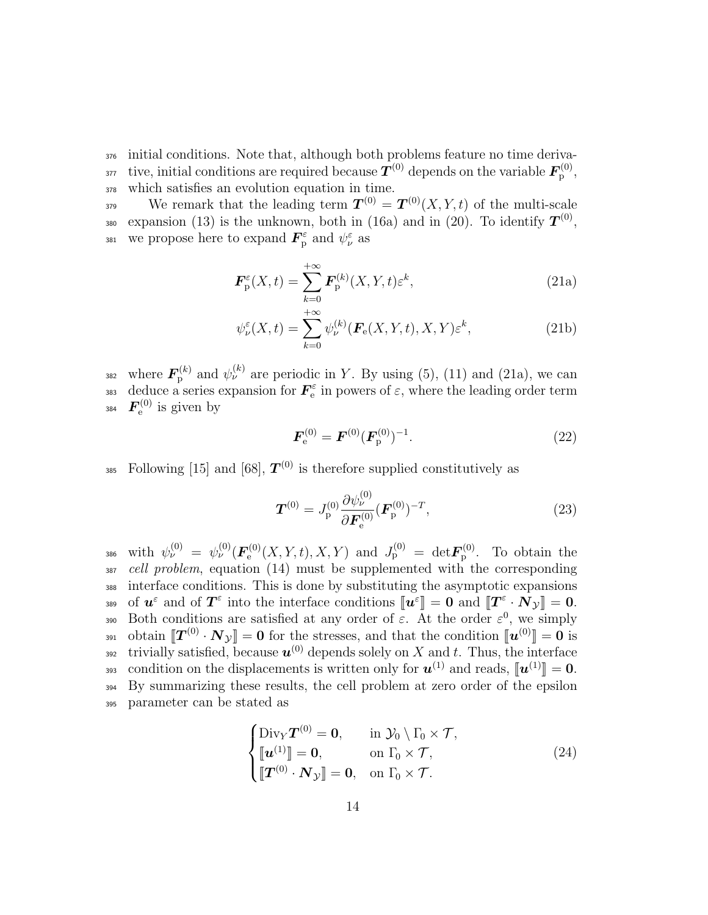<sup>376</sup> initial conditions. Note that, although both problems feature no time derivative, initial conditions are required because  $T^{(0)}$  depends on the variable  $F_p^{(0)}$ <sup>377</sup> tive, initial conditions are required because  $T^{(0)}$  depends on the variable  $F_{\rm p}^{(0)}$ , <sup>378</sup> which satisfies an evolution equation in time.

 $W_{379}$  We remark that the leading term  $\boldsymbol{T}^{(0)} = \boldsymbol{T}^{(0)}(X, Y, t)$  of the multi-scale 380 expansion (13) is the unknown, both in (16a) and in (20). To identify  $T^{(0)}$ , we propose here to expand  $\mathbf{F}_{p}^{\varepsilon}$ <sup>381</sup> we propose here to expand  $\mathbf{F}_{\rm p}^{\varepsilon}$  and  $\psi_{\nu}^{\varepsilon}$  as

$$
\boldsymbol{F}_{\mathbf{p}}^{\varepsilon}(X,t) = \sum_{k=0}^{+\infty} \boldsymbol{F}_{\mathbf{p}}^{(k)}(X,Y,t) \varepsilon^{k}, \qquad (21a)
$$

$$
\psi_{\nu}^{\varepsilon}(X,t) = \sum_{k=0}^{+\infty} \psi_{\nu}^{(k)}(\mathbf{F}_{e}(X,Y,t),X,Y)\varepsilon^{k},\tag{21b}
$$

where  $\boldsymbol{F}_{\text{n}}^{(k)}$ <sup>382</sup> where  $\mathbf{F}_{\rm p}^{(k)}$  and  $\psi_{\nu}^{(k)}$  are periodic in Y. By using (5), (11) and (21a), we can deduce a series expansion for  $\mathbf{F}_{e}^{\varepsilon}$ 383 deduce a series expansion for  $\mathbf{F}_{e}^{\varepsilon}$  in powers of  $\varepsilon$ , where the leading order term  $\bm{F}_{\mathrm{e}}^{(0)}$ <sup>384</sup>  $\bm{F}_{\mathrm{e}}^{(0)}$  is given by

$$
\boldsymbol{F}_{\mathrm{e}}^{(0)} = \boldsymbol{F}^{(0)} (\boldsymbol{F}_{\mathrm{p}}^{(0)})^{-1}.
$$
 (22)

<sup>385</sup> Following [15] and [68],  $T^{(0)}$  is therefore supplied constitutively as

$$
\boldsymbol{T}^{(0)} = J_{\rm p}^{(0)} \frac{\partial \psi_{\nu}^{(0)}}{\partial \boldsymbol{F}_{\rm e}^{(0)}} (\boldsymbol{F}_{\rm p}^{(0)})^{-T},\tag{23}
$$

 $\text{with} \;\; \psi^{(0)}_{\nu} \;=\; \psi^{(0)}_{\nu}(\textbf{\emph{F}}_{\rm e}^{(0)}$  $U_e^{(0)}(X, Y, t), X, Y$  and  $J_p^{(0)} = det \boldsymbol{F}_{\rm p}^{(0)}$ 386 with  $\psi_{\nu}^{(0)} = \psi_{\nu}^{(0)}(F_{\rm e}^{(0)}(X,Y,t),X,Y)$  and  $J_{\rm p}^{(0)} = {\rm det}F_{\rm p}^{(0)}$ . To obtain the  $387$  cell problem, equation (14) must be supplemented with the corresponding <sup>388</sup> interface conditions. This is done by substituting the asymptotic expansions 389 of  $u^{\varepsilon}$  and of  $T^{\varepsilon}$  into the interface conditions  $[[u^{\varepsilon}]] = 0$  and  $[[T^{\varepsilon} \cdot N_{y}]] = 0$ .<br>Replaced the conditions are satisfied at any order of  $\varepsilon$ . At the order  $\varepsilon^{0}$  we simply 390 Both conditions are satisfied at any order of  $\varepsilon$ . At the order  $\varepsilon^0$ , we simply <sup>391</sup> obtain  $[\![T^{(0)} \cdot N_y]\!] = 0$  for the stresses, and that the condition  $[\![u^{(0)}]\!] = 0$  is<br>trivially satisfied, because  $u^{(0)}$  depends solely on Y and t. Thus, the interface <sup>392</sup> trivially satisfied, because  $\boldsymbol{u}^{(0)}$  depends solely on X and t. Thus, the interface condition on the displacements is written only for  $u^{(1)}$  and reads,  $\llbracket u^{(1)} \rrbracket = 0$ .<br>By gummarizing these results, the coll problem at zero order of the engilence <sup>394</sup> By summarizing these results, the cell problem at zero order of the epsilon <sup>395</sup> parameter can be stated as

$$
\begin{cases}\n\text{Div}_{Y} \boldsymbol{T}^{(0)} = \boldsymbol{0}, & \text{in } \mathcal{Y}_{0} \setminus \Gamma_{0} \times \mathcal{T}, \\
\llbracket \boldsymbol{u}^{(1)} \rrbracket = \boldsymbol{0}, & \text{on } \Gamma_{0} \times \mathcal{T}, \\
\llbracket \boldsymbol{T}^{(0)} \cdot \boldsymbol{N}_{\mathcal{Y}} \rrbracket = \boldsymbol{0}, & \text{on } \Gamma_{0} \times \mathcal{T}.\n\end{cases}
$$
\n(24)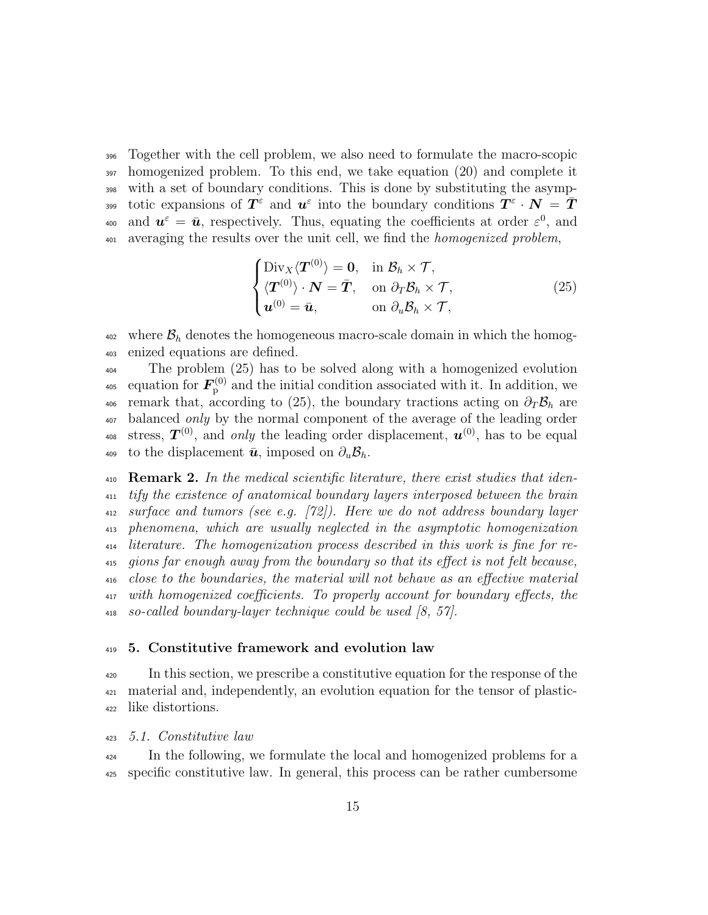Together with the cell problem, we also need to formulate the macro-scopic homogenized problem. To this end, we take equation (20) and complete it with a set of boundary conditions. This is done by substituting the asymp-399 totic expansions of  $T^{\varepsilon}$  and  $u^{\varepsilon}$  into the boundary conditions  $T^{\varepsilon} \cdot N = \overline{T}$ <sup>400</sup> and  $u^{\varepsilon} = \bar{u}$ , respectively. Thus, equating the coefficients at order  $\varepsilon^0$ , and averaging the results over the unit cell, we find the homogenized problem,

$$
\begin{cases}\n\text{Div}_X \langle \boldsymbol{T}^{(0)} \rangle = \mathbf{0}, & \text{in } \mathcal{B}_h \times \mathcal{T}, \\
\langle \boldsymbol{T}^{(0)} \rangle \cdot \mathbf{N} = \bar{\boldsymbol{T}}, & \text{on } \partial_T \mathcal{B}_h \times \mathcal{T}, \\
\boldsymbol{u}^{(0)} = \bar{\boldsymbol{u}}, & \text{on } \partial_u \mathcal{B}_h \times \mathcal{T},\n\end{cases}
$$
\n(25)

 $\mathcal{B}_{h}$  denotes the homogeneous macro-scale domain in which the homog-<sup>403</sup> enized equations are defined.

<sup>404</sup> The problem (25) has to be solved along with a homogenized evolution equation for  $\boldsymbol{F}^{(0)}_{\rm p}$ <sup>405</sup> equation for  $\mathbf{F}_{\rm p}^{(0)}$  and the initial condition associated with it. In addition, we 406 remark that, according to (25), the boundary tractions acting on  $\partial_T \mathcal{B}_h$  are <sup>407</sup> balanced *only* by the normal component of the average of the leading order <sup>408</sup> stress,  $T^{(0)}$ , and *only* the leading order displacement,  $u^{(0)}$ , has to be equal 409 to the displacement  $\bar{u}$ , imposed on  $\partial_u \mathcal{B}_h$ .

 $_{410}$  Remark 2. In the medical scientific literature, there exist studies that iden- tify the existence of anatomical boundary layers interposed between the brain surface and tumors (see e.g. [72]). Here we do not address boundary layer phenomena, which are usually neglected in the asymptotic homogenization literature. The homogenization process described in this work is fine for re- gions far enough away from the boundary so that its effect is not felt because, close to the boundaries, the material will not behave as an effective material with homogenized coefficients. To properly account for boundary effects, the so-called boundary-layer technique could be used [8, 57].

#### <sup>419</sup> 5. Constitutive framework and evolution law

<sup>420</sup> In this section, we prescribe a constitutive equation for the response of the <sup>421</sup> material and, independently, an evolution equation for the tensor of plastic-<sup>422</sup> like distortions.

## <sup>423</sup> 5.1. Constitutive law

<sup>424</sup> In the following, we formulate the local and homogenized problems for a <sup>425</sup> specific constitutive law. In general, this process can be rather cumbersome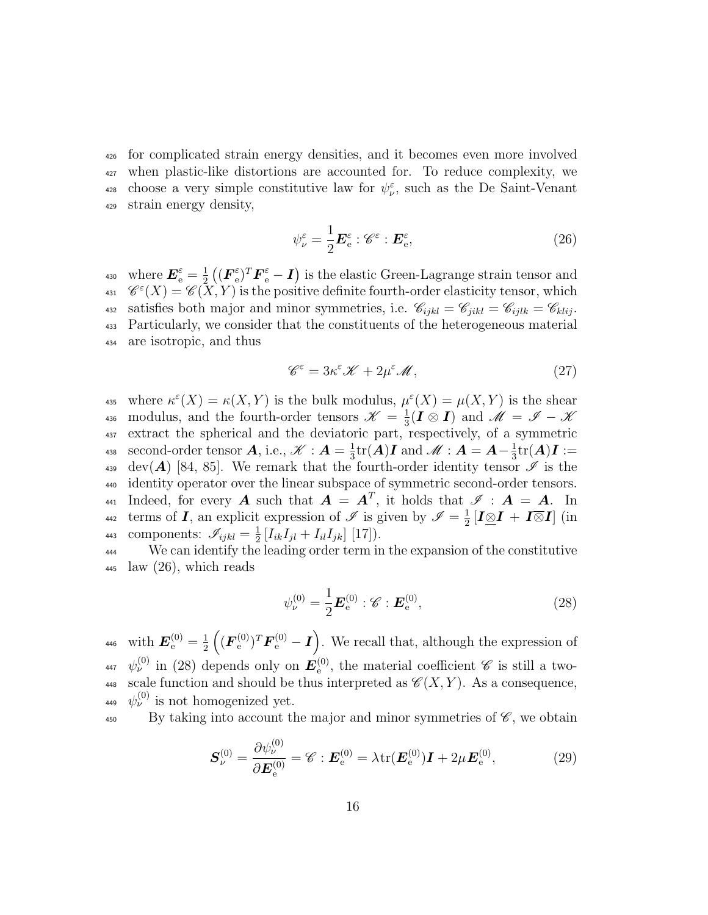for complicated strain energy densities, and it becomes even more involved when plastic-like distortions are accounted for. To reduce complexity, we <sup>428</sup> choose a very simple constitutive law for  $\psi^{\varepsilon}_{\nu}$ , such as the De Saint-Venant strain energy density,

$$
\psi_{\nu}^{\varepsilon} = \frac{1}{2} \boldsymbol{E}_{e}^{\varepsilon} : \mathscr{C}^{\varepsilon} : \boldsymbol{E}_{e}^{\varepsilon}, \tag{26}
$$

where  $\boldsymbol{E}_{\mathrm{e}}^{\varepsilon}=\frac{1}{2}$  $\frac{1}{2}$   $($   $\bm{F}_{\mathrm{e}}^{\varepsilon}$  $\bm{E}_{\mathrm{e}}^{\varepsilon}=\frac{1}{2}\left((\bm{F}_{\mathrm{e}}^{\varepsilon})^{T}\bm{F}_{\mathrm{e}}^{\varepsilon}-\bm{I}\right)$  is the elastic Green-Lagrange strain tensor and <sup>431</sup>  $\mathscr{C}^{\varepsilon}(X) = \mathscr{C}(X,Y)$  is the positive definite fourth-order elasticity tensor, which 432 satisfies both major and minor symmetries, i.e.  $\mathscr{C}_{ijkl} = \mathscr{C}_{jikl} = \mathscr{C}_{ijlk} = \mathscr{C}_{klij}$ . <sup>433</sup> Particularly, we consider that the constituents of the heterogeneous material <sup>434</sup> are isotropic, and thus

$$
\mathscr{C}^{\varepsilon} = 3\kappa^{\varepsilon}\mathscr{K} + 2\mu^{\varepsilon}\mathscr{M},\tag{27}
$$

435 where  $\kappa^{\varepsilon}(X) = \kappa(X, Y)$  is the bulk modulus,  $\mu^{\varepsilon}(X) = \mu(X, Y)$  is the shear modulus, and the fourth-order tensors  $\mathscr{K} = \frac{1}{3}$ 436 modulus, and the fourth-order tensors  $\mathscr{K} = \frac{1}{3}(\mathbf{I} \otimes \mathbf{I})$  and  $\mathscr{M} = \mathscr{I} - \mathscr{K}$  $437$  extract the spherical and the deviatoric part, respectively, of a symmetric second-order tensor  $\boldsymbol{A}$ , i.e.,  $\mathscr{K} : \boldsymbol{A} = \frac{1}{3}$  $\frac{1}{3}\mathrm{tr}(\boldsymbol{A})\boldsymbol{I}$  and  $\mathscr{M}: \boldsymbol{A} = \boldsymbol{A} - \frac{1}{3}$ 438 second-order tensor  $\bm{A}$ , i.e.,  $\mathscr{K}:\bm{A}=\frac{1}{3}\mathrm{tr}(\bm{A})\bm{I}$  and  $\mathscr{M}:\bm{A}=\bm{A}-\frac{1}{3}\mathrm{tr}(\bm{A})\bm{I}:$ 439 dev(A) [84, 85]. We remark that the fourth-order identity tensor  $\mathscr I$  is the <sup>440</sup> identity operator over the linear subspace of symmetric second-order tensors. <sup>441</sup> Indeed, for every **A** such that  $A = A^T$ , it holds that  $\mathscr{I} : A = A$ . In terms of **I**, an explicit expression of  $\mathscr{I}$  is given by  $\mathscr{I} = \frac{1}{2}$ <sup>442</sup> terms of *I*, an explicit expression of  $\mathscr{I}$  is given by  $\mathscr{I} = \frac{1}{2} [I \otimes I + I \overline{\otimes} I]$  (in components:  $\mathscr{I}_{ijkl} = \frac{1}{2}$ 443 components:  $\mathscr{I}_{ijkl} = \frac{1}{2} [I_{ik}I_{jl} + I_{il}I_{jk}]$  [17]).

<sup>444</sup> We can identify the leading order term in the expansion of the constitutive  $_{445}$  law (26), which reads

$$
\psi_{\nu}^{(0)} = \frac{1}{2} \boldsymbol{E}_{e}^{(0)} : \mathscr{C} : \boldsymbol{E}_{e}^{(0)}, \tag{28}
$$

with  $\boldsymbol{E}^{(0)}_{\text{e}} = \frac{1}{2}$  $\frac{1}{2} \left( (\boldsymbol{F}^{(0)}_{\mathrm{e}} %{\footnotesize {\mathrm{e}}})} \right)$ <sup>446</sup> with  $\bm{E}_{e}^{(0)} = \frac{1}{2} \left( (\bm{F}_{e}^{(0)})^T \bm{F}_{e}^{(0)} - \bm{I} \right)$ . We recall that, although the expression of  $\psi_{\nu}^{(0)}$  in (28) depends only on  $\boldsymbol{E}_{\rm e}^{(0)}$  $\psi_{\nu}^{(0)}$  in (28) depends only on  $E_{\rm e}^{(0)}$ , the material coefficient  $\mathscr C$  is still a two-448 scale function and should be thus interpreted as  $\mathscr{C}(X, Y)$ . As a consequence, <sup>449</sup>  $\psi_{\nu}^{(0)}$  is not homogenized yet.

450 By taking into account the major and minor symmetries of  $\mathscr{C}$ , we obtain

$$
\mathbf{S}_{\nu}^{(0)} = \frac{\partial \psi_{\nu}^{(0)}}{\partial \mathbf{E}_{e}^{(0)}} = \mathscr{C} : \mathbf{E}_{e}^{(0)} = \lambda \text{tr}(\mathbf{E}_{e}^{(0)}) \mathbf{I} + 2\mu \mathbf{E}_{e}^{(0)}, \tag{29}
$$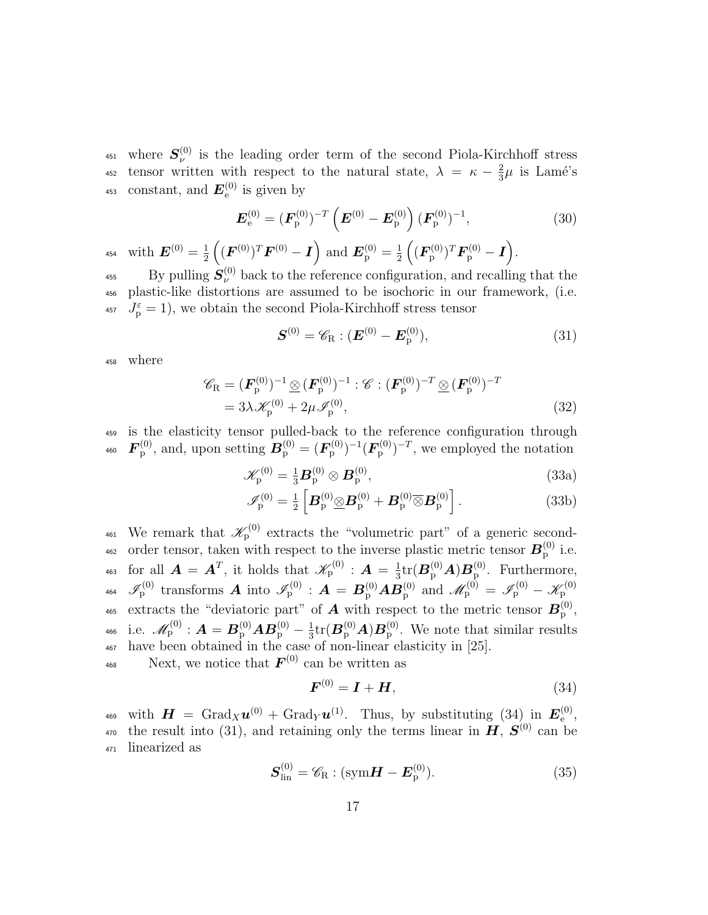where  $S_{\nu}^{(0)}$ <sup>451</sup> where  $S_{\nu}^{(0)}$  is the leading order term of the second Piola-Kirchhoff stress tensor written with respect to the natural state,  $\lambda = \kappa - \frac{2}{3}$ <sup>452</sup> tensor written with respect to the natural state,  $\lambda = \kappa - \frac{2}{3}\mu$  is Lamé's constant, and  $\boldsymbol{E}_{\scriptscriptstyle\rm e}^{\scriptscriptstyle(0)}$ <sup>453</sup> constant, and  $E_{\rm e}^{(0)}$  is given by

$$
\boldsymbol{E}_{\mathrm{e}}^{(0)} = (\boldsymbol{F}_{\mathrm{p}}^{(0)})^{-T} \left( \boldsymbol{E}^{(0)} - \boldsymbol{E}_{\mathrm{p}}^{(0)} \right) (\boldsymbol{F}_{\mathrm{p}}^{(0)})^{-1}, \tag{30}
$$

with  $\boldsymbol{E}^{(0)}=\frac{1}{2}$  $\frac{1}{2}\left( (\bm{F}^{(0)})^T\bm{F}^{(0)}-\bm{I} \right) \, \mathrm{and}\,\, \bm{E}_{\mathrm{p}}^{(0)}=\frac{1}{2}$  $\frac{1}{2}\left(\left(\bm{F}_{\mathrm{p}}^{(0)}\right)$  $\mathcal{F}^{(0)} = \tfrac{1}{2}\left( (\boldsymbol{F}^{(0)})^T \boldsymbol{F}^{(0)} - \boldsymbol{I} \right) \text{ and } \boldsymbol{E}^{(0)}_{\text{p}} = \tfrac{1}{2}\left( (\boldsymbol{F}^{(0)}_{\text{p}})^T \boldsymbol{F}^{(0)}_{\text{p}} - \boldsymbol{I} \right).$ 

<sup>455</sup> By pulling  $S_{\nu}^{(0)}$  back to the reference configuration, and recalling that the <sup>456</sup> plastic-like distortions are assumed to be isochoric in our framework, (i.e. <sup>457</sup>  $J_{\rm p}^{\varepsilon} = 1$ , we obtain the second Piola-Kirchhoff stress tensor

$$
\mathbf{S}^{(0)} = \mathscr{C}_{\mathrm{R}} : (\mathbf{E}^{(0)} - \mathbf{E}_{\mathrm{p}}^{(0)}), \tag{31}
$$

<sup>458</sup> where

$$
\mathscr{C}_{R} = (\boldsymbol{F}_{p}^{(0)})^{-1} \underline{\otimes} (\boldsymbol{F}_{p}^{(0)})^{-1} : \mathscr{C} : (\boldsymbol{F}_{p}^{(0)})^{-T} \underline{\otimes} (\boldsymbol{F}_{p}^{(0)})^{-T}
$$
  
=  $3\lambda \mathscr{K}_{p}^{(0)} + 2\mu \mathscr{I}_{p}^{(0)},$  (32)

<sup>459</sup> is the elasticity tensor pulled-back to the reference configuration through  $\bm{F}^{(0)}_{\scriptscriptstyle{\rm D}}$  ${\bf p}_{\rm p}^{(0)}$ , and, upon setting  ${\bm B}_{\rm p}^{(0)}=({\bm F}_{\rm p}^{(0)})$  $(\bf{F_p^{(0)})^{-1}}(\bf{F_p^{(0)}})$  $\bm{F}_{\rm p}^{(0)}$ , and, upon setting  $\bm{B}_{\rm p}^{(0)} = (\bm{F}_{\rm p}^{(0)})^{-1}(\bm{F}_{\rm p}^{(0)})^{-T}$ , we employed the notation

$$
\mathscr{K}_{\mathbf{p}}^{(0)} = \frac{1}{3} \boldsymbol{B}_{\mathbf{p}}^{(0)} \otimes \boldsymbol{B}_{\mathbf{p}}^{(0)},\tag{33a}
$$

$$
\mathscr{I}_{\rm p}^{(0)} = \frac{1}{2} \left[ \boldsymbol{B}_{\rm p}^{(0)} \underline{\otimes} \boldsymbol{B}_{\rm p}^{(0)} + \boldsymbol{B}_{\rm p}^{(0)} \overline{\otimes} \boldsymbol{B}_{\rm p}^{(0)} \right]. \tag{33b}
$$

<sup>461</sup> We remark that  $\mathscr{K}_{p}^{(0)}$  extracts the "volumetric part" of a generic second-<sup>462</sup> order tensor, taken with respect to the inverse plastic metric tensor  $B_{\rm p}^{(0)}$  i.e. for all  $\boldsymbol{A} = \boldsymbol{A}^T$ , it holds that  $\mathscr{K}_{\mathrm{p}}^{(0)}$  :  $\boldsymbol{A} = \frac{1}{3}$ <sup>463</sup> for all  $\mathbf{A} = \mathbf{A}^T$ , it holds that  $\mathscr{K}_{\mathrm{p}}^{(0)}$  :  $\mathbf{A} = \frac{1}{3} \mathrm{tr}(\mathbf{B}_{\mathrm{p}}^{(0)} \mathbf{A}) \mathbf{B}_{\mathrm{p}}^{(0)}$ . Furthermore,  $\mathscr{I}^{(0)}_{\mathrm{p}}$  transforms  $\bm{A}$  into  $\mathscr{I}^{(0)}_{\mathrm{p}}$  :  $\bm{A} = \bm{B}^{(0)}_{\mathrm{p}} \bm{A} \bm{B}^{(0)}_{\mathrm{p}}$  and  $\mathscr{M}^{(0)}_{\mathrm{p}} = \mathscr{I}^{(0)}_{\mathrm{p}} - \mathscr{K}^{(0)}_{\mathrm{p}}$ <sup>465</sup> extracts the "deviatoric part" of  $\boldsymbol{A}$  with respect to the metric tensor  $\boldsymbol{B}_{\rm p}^{(0)}$ , i.e.  $\mathscr{M}^{(0)}_{\rm p} : \bm{A} = \bm{B}_{\rm p}^{(0)} \bm{A} \bm{B}_{\rm p}^{(0)} - \frac{1}{3}$ <sup>466</sup> i.e.  $\mathscr{M}_{\rm p}^{(0)}$  :  $\bm{A} = \bm{B}_{\rm p}^{(0)}\bm{A}\bm{B}_{\rm p}^{(0)} - \frac{1}{3}\mathrm{tr}(\bm{B}_{\rm p}^{(0)}\bm{A})\bm{B}_{\rm p}^{(0)}$ . We note that similar results <sup>467</sup> have been obtained in the case of non-linear elasticity in [25]. <sup>468</sup> Next, we notice that  $\boldsymbol{F}^{(0)}$  can be written as

$$
\boldsymbol{F}^{(0)} = \boldsymbol{I} + \boldsymbol{H},\tag{34}
$$

with  $\boldsymbol{H} = \text{Grad}_X \boldsymbol{u}^{(0)} + \text{Grad}_Y \boldsymbol{u}^{(1)}$ . Thus, by substituting (34) in  $\boldsymbol{E}_{e}^{(0)}$ 469 with  $\boldsymbol{H} = \text{Grad}_X \boldsymbol{u}^{(0)} + \text{Grad}_Y \boldsymbol{u}^{(1)}$ . Thus, by substituting  $(34)$  in  $\boldsymbol{E}_{e}^{(0)}$ , <sup>470</sup> the result into (31), and retaining only the terms linear in  $H, S^{(0)}$  can be <sup>471</sup> linearized as

$$
\boldsymbol{S}_{\text{lin}}^{(0)} = \mathscr{C}_{\text{R}} : (\text{sym}\boldsymbol{H} - \boldsymbol{E}_{\text{p}}^{(0)}). \tag{35}
$$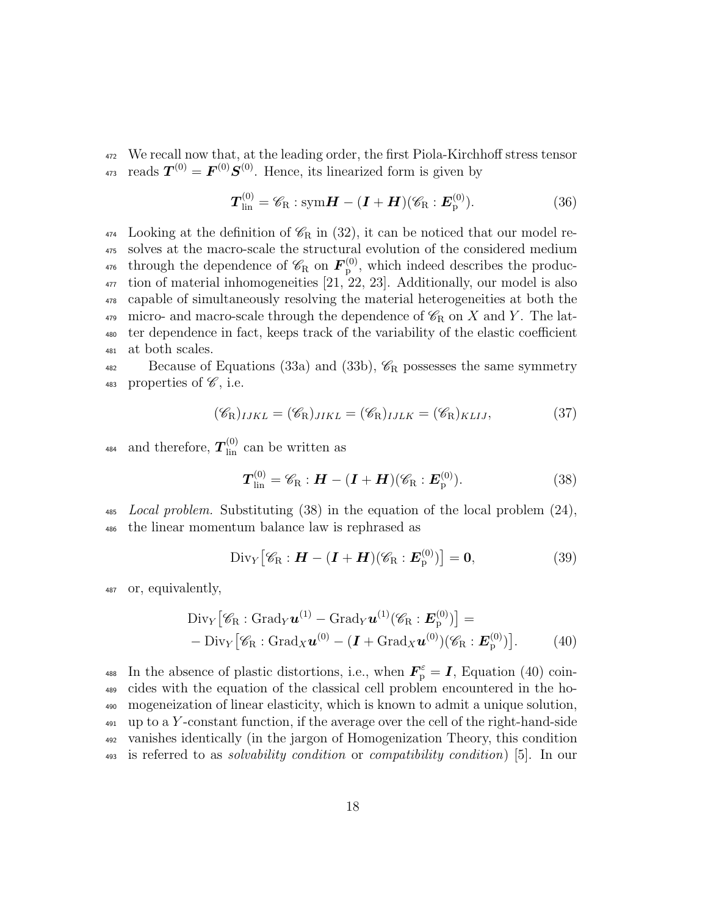<sup>472</sup> We recall now that, at the leading order, the first Piola-Kirchhoff stress tensor <sup>473</sup> reads  $\boldsymbol{T}^{(0)} = \boldsymbol{F}^{(0)} \boldsymbol{S}^{(0)}$ . Hence, its linearized form is given by

$$
\boldsymbol{T}^{(0)}_{\text{lin}} = \mathscr{C}_{\text{R}} : \text{sym} \boldsymbol{H} - (\boldsymbol{I} + \boldsymbol{H})(\mathscr{C}_{\text{R}} : \boldsymbol{E}_{\text{p}}^{(0)}).
$$
 (36)

 $_{474}$  Looking at the definition of  $\mathscr{C}_{R}$  in (32), it can be noticed that our model re-<sup>475</sup> solves at the macro-scale the structural evolution of the considered medium through the dependence of  $\mathscr{C}_{\mathrm{R}}$  on  $\boldsymbol{F}_{\mathrm{p}}^{(0)}$ <sup>476</sup> through the dependence of  $\mathscr{C}_{R}$  on  $\mathbf{F}_{p}^{(0)}$ , which indeed describes the produc- $477$  tion of material inhomogeneities [21, 22, 23]. Additionally, our model is also <sup>478</sup> capable of simultaneously resolving the material heterogeneities at both the 479 micro- and macro-scale through the dependence of  $\mathscr{C}_R$  on X and Y. The lat-<sup>480</sup> ter dependence in fact, keeps track of the variability of the elastic coefficient <sup>481</sup> at both scales.

482 Because of Equations (33a) and (33b),  $\mathscr{C}_{R}$  possesses the same symmetry 483 properties of  $\mathscr{C}$ , i.e.

$$
(\mathscr{C}_{R})_{IJKL} = (\mathscr{C}_{R})_{JIKL} = (\mathscr{C}_{R})_{IJLK} = (\mathscr{C}_{R})_{KLIJ},
$$
\n(37)

<sup>484</sup> and therefore,  $T_{\text{lin}}^{(0)}$  can be written as

$$
\boldsymbol{T}^{(0)}_{\text{lin}} = \mathscr{C}_{\text{R}} : \boldsymbol{H} - (\boldsymbol{I} + \boldsymbol{H})(\mathscr{C}_{\text{R}} : \boldsymbol{E}_{\text{p}}^{(0)}).
$$
 (38)

485 Local problem. Substituting  $(38)$  in the equation of the local problem  $(24)$ , <sup>486</sup> the linear momentum balance law is rephrased as

$$
Div_Y [\mathscr{C}_{\mathcal{R}} : \boldsymbol{H} - (\boldsymbol{I} + \boldsymbol{H})(\mathscr{C}_{\mathcal{R}} : \boldsymbol{E}_{\mathcal{P}}^{(0)})] = \mathbf{0}, \tag{39}
$$

<sup>487</sup> or, equivalently,

$$
\text{Div}_{Y}\big[\mathscr{C}_{R} : \text{Grad}_{Y} \boldsymbol{u}^{(1)} - \text{Grad}_{Y} \boldsymbol{u}^{(1)}(\mathscr{C}_{R} : \boldsymbol{E}_{p}^{(0)})\big] = -\text{Div}_{Y}\big[\mathscr{C}_{R} : \text{Grad}_{X} \boldsymbol{u}^{(0)} - (\boldsymbol{I} + \text{Grad}_{X} \boldsymbol{u}^{(0)})(\mathscr{C}_{R} : \boldsymbol{E}_{p}^{(0)})\big].
$$
 (40)

488 In the absence of plastic distortions, i.e., when  $\mathbf{F}_{\rm p}^{\varepsilon} = \mathbf{I}$ , Equation (40) coin- cides with the equation of the classical cell problem encountered in the ho- mogeneization of linear elasticity, which is known to admit a unique solution, up to a Y-constant function, if the average over the cell of the right-hand-side vanishes identically (in the jargon of Homogenization Theory, this condition is referred to as solvability condition or compatibility condition) [5]. In our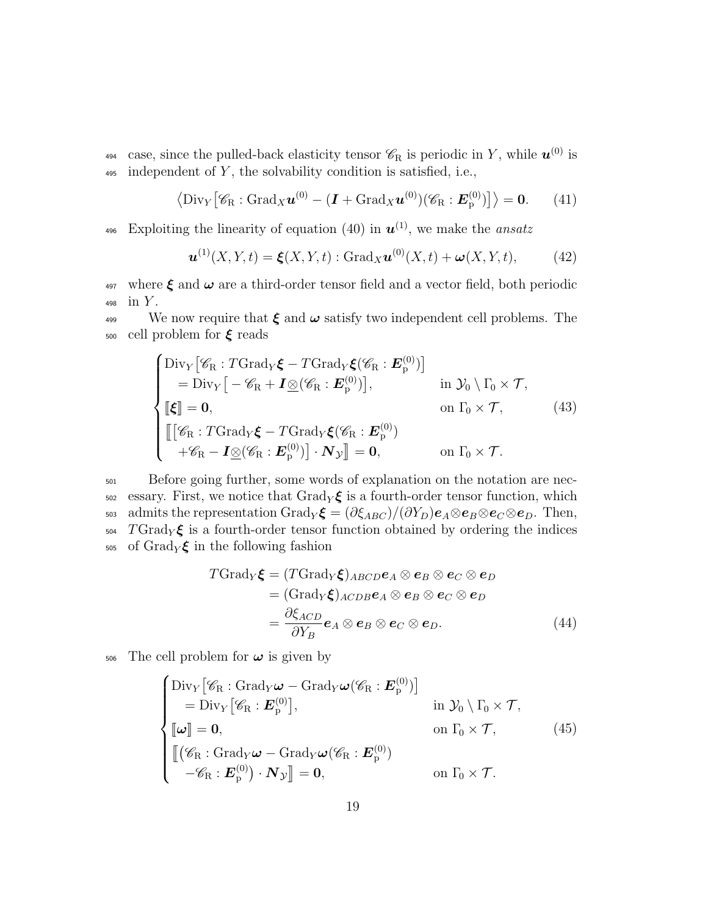<sup>494</sup> case, since the pulled-back elasticity tensor  $\mathscr{C}_{R}$  is periodic in Y, while  $\boldsymbol{u}^{(0)}$  is  $\frac{495}{495}$  independent of Y, the solvability condition is satisfied, i.e.,

$$
\langle \text{Div}_Y \big[ \mathscr{C}_{\mathcal{R}} : \text{Grad}_X \boldsymbol{u}^{(0)} - (\boldsymbol{I} + \text{Grad}_X \boldsymbol{u}^{(0)}) (\mathscr{C}_{\mathcal{R}} : \boldsymbol{E}_{\mathcal{P}}^{(0)}) \big] \rangle = \boldsymbol{0}.
$$
 (41)

496 Exploiting the linearity of equation (40) in  $\mathbf{u}^{(1)}$ , we make the ansatz

$$
\boldsymbol{u}^{(1)}(X,Y,t) = \boldsymbol{\xi}(X,Y,t) : \text{Grad}_X \boldsymbol{u}^{(0)}(X,t) + \boldsymbol{\omega}(X,Y,t), \tag{42}
$$

 $497$  where  $\xi$  and  $\omega$  are a third-order tensor field and a vector field, both periodic  $498$  in Y.

499 We now require that  $\xi$  and  $\omega$  satisfy two independent cell problems. The  $_{500}$  cell problem for  $\xi$  reads

$$
\begin{cases}\n\text{Div}_{Y} [\mathscr{C}_{R} : T\text{Grad}_{Y} \boldsymbol{\xi} - T\text{Grad}_{Y} \boldsymbol{\xi} (\mathscr{C}_{R} : \boldsymbol{E}_{p}^{(0)})] \\
= \text{Div}_{Y} [-\mathscr{C}_{R} + \boldsymbol{I} \underline{\otimes} (\mathscr{C}_{R} : \boldsymbol{E}_{p}^{(0)})], & \text{in } \mathcal{Y}_{0} \setminus \Gamma_{0} \times \mathcal{T}, \\
\llbracket \boldsymbol{\xi} \rrbracket = \mathbf{0}, & \text{on } \Gamma_{0} \times \mathcal{T}, \\
\llbracket [\mathscr{C}_{R} : T\text{Grad}_{Y} \boldsymbol{\xi} - T\text{Grad}_{Y} \boldsymbol{\xi} (\mathscr{C}_{R} : \boldsymbol{E}_{p}^{(0)}) \\
+ \mathscr{C}_{R} - \boldsymbol{I} \underline{\otimes} (\mathscr{C}_{R} : \boldsymbol{E}_{p}^{(0)})] \cdot \mathbf{N}_{\mathcal{Y}} \rrbracket = \mathbf{0}, & \text{on } \Gamma_{0} \times \mathcal{T}.\n\end{cases} (43)
$$

 Before going further, some words of explanation on the notation are nec- essary. First, we notice that  $\text{Grad}_Y \xi$  is a fourth-order tensor function, which 503 admits the representation  $\text{Grad}_Y \boldsymbol{\xi} = (\partial \xi_{ABC})/(\partial Y_D) \boldsymbol{e}_A \otimes \boldsymbol{e}_B \otimes \boldsymbol{e}_C \otimes \boldsymbol{e}_D$ . Then, TGrad<sub>Y</sub> $\xi$  is a fourth-order tensor function obtained by ordering the indices of  $\text{Grad}_Y \xi$  in the following fashion

$$
TGrad_Y \boldsymbol{\xi} = (TGrad_Y \boldsymbol{\xi})_{ABCD} \boldsymbol{e}_A \otimes \boldsymbol{e}_B \otimes \boldsymbol{e}_C \otimes \boldsymbol{e}_D
$$
  
= 
$$
(Grad_Y \boldsymbol{\xi})_{ACDB} \boldsymbol{e}_A \otimes \boldsymbol{e}_B \otimes \boldsymbol{e}_C \otimes \boldsymbol{e}_D
$$
  
= 
$$
\frac{\partial \xi_{ACD}}{\partial Y_B} \boldsymbol{e}_A \otimes \boldsymbol{e}_B \otimes \boldsymbol{e}_C \otimes \boldsymbol{e}_D.
$$
 (44)

 $_{506}$  The cell problem for  $\omega$  is given by

$$
\begin{cases}\n\text{Div}_{Y} [\mathscr{C}_{R} : \text{Grad}_{Y} \omega - \text{Grad}_{Y} \omega(\mathscr{C}_{R} : \boldsymbol{E}_{p}^{(0)})] \\
= \text{Div}_{Y} [\mathscr{C}_{R} : \boldsymbol{E}_{p}^{(0)}], & \text{in } \mathcal{Y}_{0} \setminus \Gamma_{0} \times \mathcal{T}, \\
\llbracket \omega \rrbracket = \mathbf{0}, & \text{on } \Gamma_{0} \times \mathcal{T}, \\
\llbracket (\mathscr{C}_{R} : \text{Grad}_{Y} \omega - \text{Grad}_{Y} \omega(\mathscr{C}_{R} : \boldsymbol{E}_{p}^{(0)}) \\
-\mathscr{C}_{R} : \boldsymbol{E}_{p}^{(0)} ) \cdot \mathbf{N}_{Y} \rrbracket = \mathbf{0}, & \text{on } \Gamma_{0} \times \mathcal{T}.\n\end{cases}
$$
\n(45)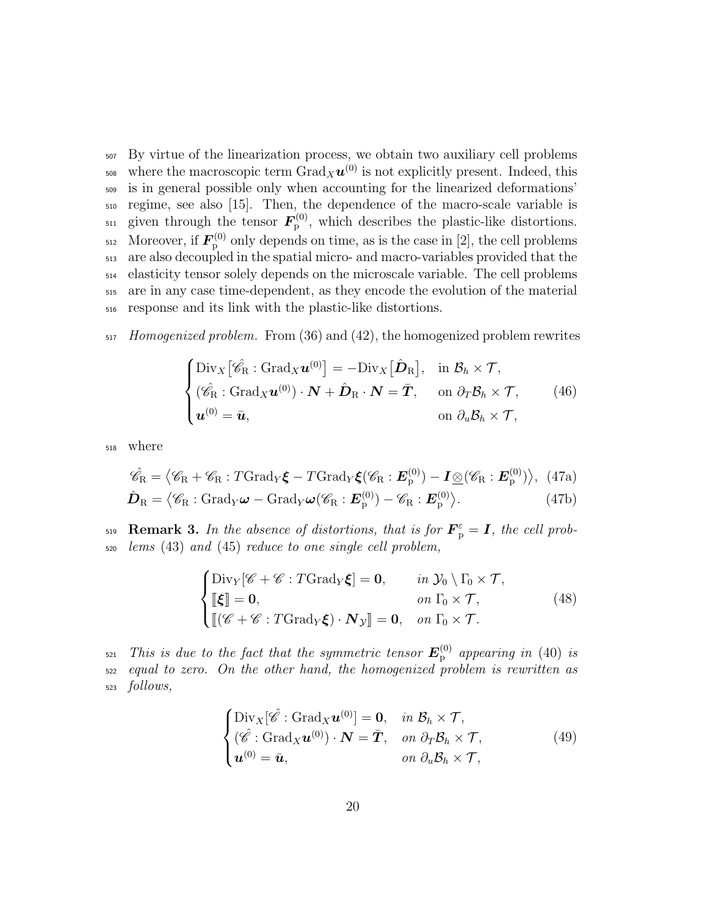<sup>507</sup> By virtue of the linearization process, we obtain two auxiliary cell problems  $\mathcal{L}_{\text{508}}$  where the macroscopic term  $\text{Grad}_X\bm{u}^{(0)}$  is not explicitly present. Indeed, this <sup>509</sup> is in general possible only when accounting for the linearized deformations' <sup>510</sup> regime, see also [15]. Then, the dependence of the macro-scale variable is given through the tensor  $\mathbf{F}_{\rm p}^{(0)}$  $_{511}$  given through the tensor  $\mathbf{F}_{\rm p}^{(0)}$ , which describes the plastic-like distortions. Moreover, if  $\boldsymbol{F}^{(0)}_{\rm p}$  $_{512}$  Moreover, if  $\boldsymbol{F}_{\rm p}^{\rm (0)}$  only depends on time, as is the case in [2], the cell problems <sup>513</sup> are also decoupled in the spatial micro- and macro-variables provided that the <sup>514</sup> elasticity tensor solely depends on the microscale variable. The cell problems <sup>515</sup> are in any case time-dependent, as they encode the evolution of the material <sup>516</sup> response and its link with the plastic-like distortions.

 $_{517}$  Homogenized problem. From (36) and (42), the homogenized problem rewrites

$$
\begin{cases}\n\text{Div}_X\big[\hat{\mathscr{C}}_{\text{R}}:\text{Grad}_X\boldsymbol{u}^{(0)}\big] = -\text{Div}_X\big[\hat{\boldsymbol{D}}_{\text{R}}\big], & \text{in } \mathcal{B}_h \times \mathcal{T}, \\
(\hat{\mathscr{C}}_{\text{R}}:\text{Grad}_X\boldsymbol{u}^{(0)}) \cdot \boldsymbol{N} + \hat{\boldsymbol{D}}_{\text{R}} \cdot \boldsymbol{N} = \bar{\boldsymbol{T}}, & \text{on } \partial_T \mathcal{B}_h \times \mathcal{T}, \\
\boldsymbol{u}^{(0)} = \bar{\boldsymbol{u}}, & \text{on } \partial_u \mathcal{B}_h \times \mathcal{T},\n\end{cases}
$$
\n(46)

<sup>518</sup> where

$$
\hat{\mathscr{C}}_{\text{R}} = \left\langle \mathscr{C}_{\text{R}} + \mathscr{C}_{\text{R}} : T\text{Grad}_{Y}\boldsymbol{\xi} - T\text{Grad}_{Y}\boldsymbol{\xi}(\mathscr{C}_{\text{R}} : \boldsymbol{E}_{\text{p}}^{(0)}) - \boldsymbol{I} \underline{\otimes} (\mathscr{C}_{\text{R}} : \boldsymbol{E}_{\text{p}}^{(0)}) \right\rangle, (47a)
$$
\n
$$
\hat{\boldsymbol{D}}_{\text{R}} = \left\langle \mathscr{C}_{\text{R}} : \text{Grad}_{Y}\boldsymbol{\omega} - \text{Grad}_{Y}\boldsymbol{\omega}(\mathscr{C}_{\text{R}} : \boldsymbol{E}_{\text{p}}^{(0)}) - \mathscr{C}_{\text{R}} : \boldsymbol{E}_{\text{p}}^{(0)} \right\rangle. \tag{47b}
$$

 $\mathbb{R}_{\text{sp}}$  Remark 3. In the absence of distortions, that is for  $\mathbf{F}_{\text{p}}^{\varepsilon} = \mathbf{I}$ , the cell prob-<sup>520</sup> lems (43) and (45) reduce to one single cell problem,

$$
\begin{cases}\n\text{Div}_{Y}[\mathscr{C} + \mathscr{C} : T\text{Grad}_{Y}\xi] = \mathbf{0}, & \text{in } \mathcal{Y}_{0} \setminus \Gamma_{0} \times \mathcal{T}, \\
\llbracket \xi \rrbracket = \mathbf{0}, & \text{on } \Gamma_{0} \times \mathcal{T}, \\
\llbracket (\mathscr{C} + \mathscr{C} : T\text{Grad}_{Y}\xi) \cdot \mathbf{N}_{\mathcal{Y}} \rrbracket = \mathbf{0}, & \text{on } \Gamma_{0} \times \mathcal{T}.\n\end{cases}
$$
\n(48)

 $_{521}$  This is due to the fact that the symmetric tensor  $\boldsymbol{E}_{\rm p}^{(0)}$  appearing in (40) is <sup>522</sup> equal to zero. On the other hand, the homogenized problem is rewritten as <sup>523</sup> follows,

$$
\begin{cases}\n\text{Div}_X[\hat{\mathscr{C}} : \text{Grad}_X \mathbf{u}^{(0)}] = \mathbf{0}, & \text{in } \mathcal{B}_h \times \mathcal{T}, \\
(\hat{\mathscr{C}} : \text{Grad}_X \mathbf{u}^{(0)}) \cdot \mathbf{N} = \bar{\mathbf{T}}, & \text{on } \partial_T \mathcal{B}_h \times \mathcal{T}, \\
\mathbf{u}^{(0)} = \bar{\mathbf{u}}, & \text{on } \partial_u \mathcal{B}_h \times \mathcal{T},\n\end{cases}
$$
\n(49)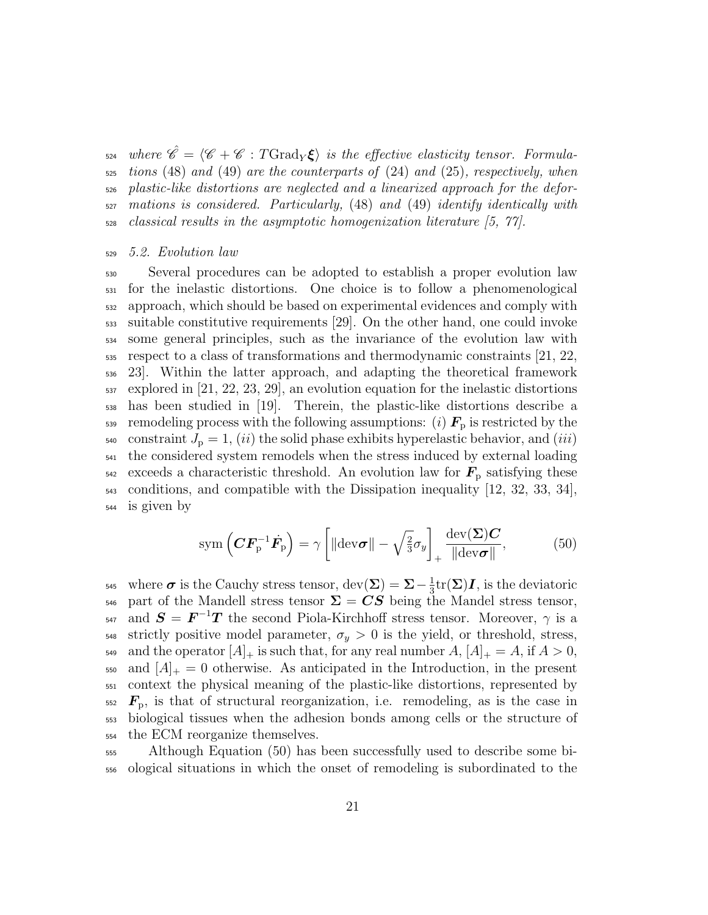$\mathcal{L}_{524}$  where  $\hat{\mathscr{C}} = \langle \mathscr{C} + \mathscr{C} : T\text{Grad}_Y \xi \rangle$  is the effective elasticity tensor. Formula- $_{525}$  tions (48) and (49) are the counterparts of (24) and (25), respectively, when <sup>526</sup> plastic-like distortions are neglected and a linearized approach for the defor- $527$  mations is considered. Particularly, (48) and (49) identify identically with  $528$  classical results in the asymptotic homogenization literature [5, 77].

#### <sup>529</sup> 5.2. Evolution law

 Several procedures can be adopted to establish a proper evolution law for the inelastic distortions. One choice is to follow a phenomenological approach, which should be based on experimental evidences and comply with suitable constitutive requirements [29]. On the other hand, one could invoke some general principles, such as the invariance of the evolution law with respect to a class of transformations and thermodynamic constraints [21, 22, 23]. Within the latter approach, and adapting the theoretical framework explored in [21, 22, 23, 29], an evolution equation for the inelastic distortions has been studied in [19]. Therein, the plastic-like distortions describe a  $\mathbf{F}_{\text{p}}$  remodeling process with the following assumptions: (i)  $\mathbf{F}_{\text{p}}$  is restricted by the 540 constraint  $J_{\rm p} = 1$ , (ii) the solid phase exhibits hyperelastic behavior, and (iii) the considered system remodels when the stress induced by external loading exceeds a characteristic threshold. An evolution law for  $\mathbf{F}_{\rm p}$  satisfying these <sub>543</sub> conditions, and compatible with the Dissipation inequality [12, 32, 33, 34], is given by

$$
\text{sym}\left(C\boldsymbol{F}_{\text{p}}^{-1}\dot{\boldsymbol{F}}_{\text{p}}\right)=\gamma\left[\|\text{dev}\boldsymbol{\sigma}\|-\sqrt{\frac{2}{3}}\sigma_{y}\right]_{+}\frac{\text{dev}(\boldsymbol{\Sigma})\boldsymbol{C}}{\|\text{dev}\boldsymbol{\sigma}\|},\tag{50}
$$

where  $\sigma$  is the Cauchy stress tensor,  $dev(\Sigma) = \Sigma - \frac{1}{3}$ <sup>545</sup> where  $\sigma$  is the Cauchy stress tensor,  $\text{dev}(\mathbf{\Sigma}) = \mathbf{\Sigma} - \frac{1}{3}\text{tr}(\mathbf{\Sigma})\mathbf{I}$ , is the deviatoric 546 part of the Mandell stress tensor  $\Sigma = CS$  being the Mandel stress tensor, <sup>547</sup> and  $S = F^{-1}T$  the second Piola-Kirchhoff stress tensor. Moreover,  $\gamma$  is a 548 strictly positive model parameter,  $\sigma_y > 0$  is the yield, or threshold, stress, 549 and the operator  $[A]_+$  is such that, for any real number  $A, [A]_+ = A,$  if  $A > 0$ ,  $\text{550}$  and  $[A]_+ = 0$  otherwise. As anticipated in the Introduction, in the present <sup>551</sup> context the physical meaning of the plastic-like distortions, represented by  $\mathbf{F}_{\rm p}$ , is that of structural reorganization, i.e. remodeling, as is the case in <sup>553</sup> biological tissues when the adhesion bonds among cells or the structure of <sup>554</sup> the ECM reorganize themselves.

<sup>555</sup> Although Equation (50) has been successfully used to describe some bi-<sup>556</sup> ological situations in which the onset of remodeling is subordinated to the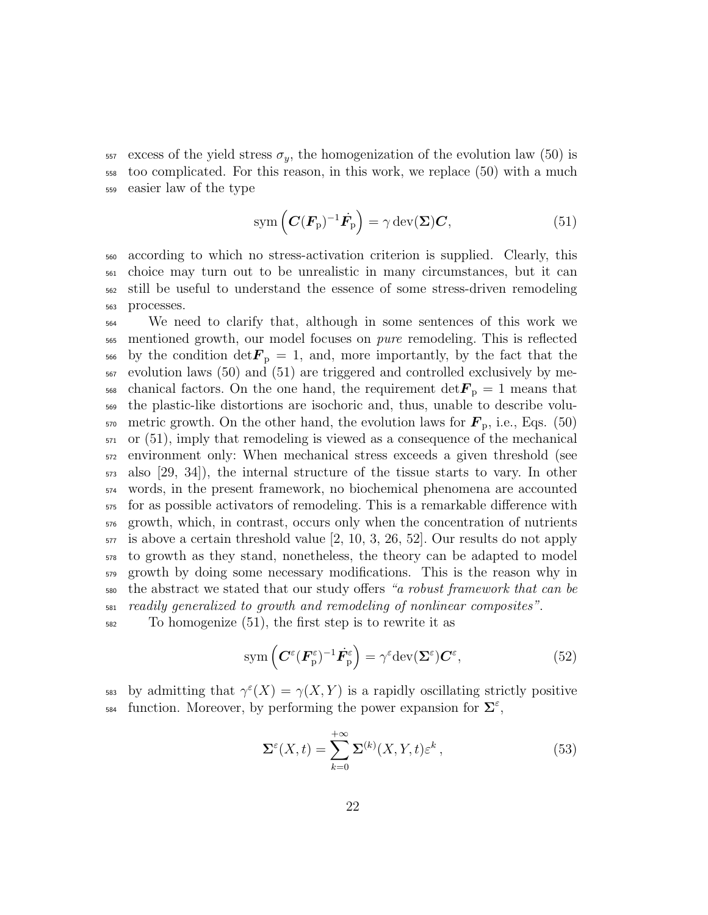$557$  excess of the yield stress  $\sigma_y$ , the homogenization of the evolution law (50) is <sup>558</sup> too complicated. For this reason, in this work, we replace (50) with a much <sup>559</sup> easier law of the type

$$
\text{sym}\left(\boldsymbol{C}(\boldsymbol{F}_{\text{p}})^{-1}\dot{\boldsymbol{F}}_{\text{p}}\right)=\gamma\,\text{dev}(\boldsymbol{\Sigma})\boldsymbol{C},\tag{51}
$$

 according to which no stress-activation criterion is supplied. Clearly, this choice may turn out to be unrealistic in many circumstances, but it can still be useful to understand the essence of some stress-driven remodeling processes.

 We need to clarify that, although in some sentences of this work we <sub>565</sub> mentioned growth, our model focuses on *pure* remodeling. This is reflected 566 by the condition  $\det F_p = 1$ , and, more importantly, by the fact that the evolution laws (50) and (51) are triggered and controlled exclusively by me- $\epsilon_{568}$  chanical factors. On the one hand, the requirement  $\det \mathbf{F}_{\mathrm{p}} = 1$  means that the plastic-like distortions are isochoric and, thus, unable to describe volu- $\sigma$  metric growth. On the other hand, the evolution laws for  $\mathbf{F}_{\rm p}$ , i.e., Eqs. (50) or (51), imply that remodeling is viewed as a consequence of the mechanical environment only: When mechanical stress exceeds a given threshold (see also [29, 34]), the internal structure of the tissue starts to vary. In other words, in the present framework, no biochemical phenomena are accounted for as possible activators of remodeling. This is a remarkable difference with growth, which, in contrast, occurs only when the concentration of nutrients is above a certain threshold value [2, 10, 3, 26, 52]. Our results do not apply to growth as they stand, nonetheless, the theory can be adapted to model growth by doing some necessary modifications. This is the reason why in <sub>580</sub> the abstract we stated that our study offers "a robust framework that can be readily generalized to growth and remodeling of nonlinear composites".

<sup>582</sup> To homogenize (51), the first step is to rewrite it as

$$
\text{sym}\left(\boldsymbol{C}^{\varepsilon}(\boldsymbol{F}_{\text{p}}^{\varepsilon})^{-1}\dot{\boldsymbol{F}}_{\text{p}}^{\varepsilon}\right)=\gamma^{\varepsilon}\text{dev}(\boldsymbol{\Sigma}^{\varepsilon})\boldsymbol{C}^{\varepsilon},\tag{52}
$$

<sup>583</sup> by admitting that  $\gamma^{\epsilon}(X) = \gamma(X, Y)$  is a rapidly oscillating strictly positive <sup>584</sup> function. Moreover, by performing the power expansion for  $\Sigma^{\varepsilon}$ ,

$$
\Sigma^{\varepsilon}(X,t) = \sum_{k=0}^{+\infty} \Sigma^{(k)}(X,Y,t) \varepsilon^k, \qquad (53)
$$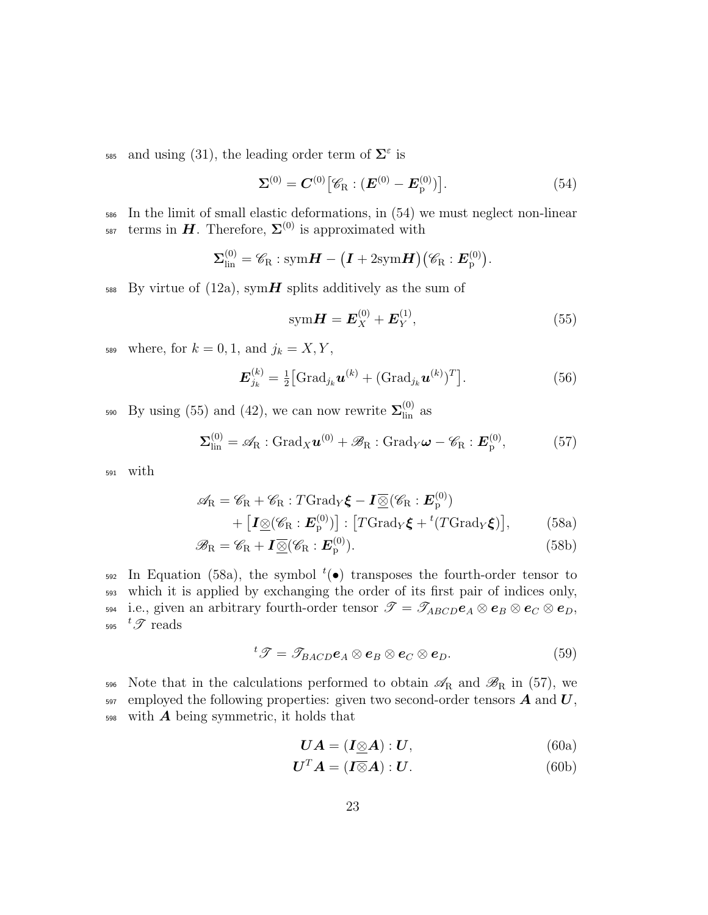<sup>585</sup> and using (31), the leading order term of  $\Sigma^{\varepsilon}$  is

$$
\Sigma^{(0)} = \mathbf{C}^{(0)} \big[ \mathscr{C}_{\mathrm{R}} : (\mathbf{E}^{(0)} - \mathbf{E}_{\mathrm{p}}^{(0)}) \big]. \tag{54}
$$

<sup>586</sup> In the limit of small elastic deformations, in (54) we must neglect non-linear <sup>587</sup> terms in **H**. Therefore,  $\Sigma^{(0)}$  is approximated with

$$
\Sigma_{\text{lin}}^{(0)} = \mathscr{C}_{\text{R}} : \text{sym}\boldsymbol{H} - \big(\boldsymbol{I} + 2\text{sym}\boldsymbol{H}\big)\big(\mathscr{C}_{\text{R}} : \boldsymbol{E}_{\text{p}}^{(0)}\big).
$$

588 By virtue of (12a), sym **H** splits additively as the sum of

$$
sym\boldsymbol{H} = \boldsymbol{E}_X^{(0)} + \boldsymbol{E}_Y^{(1)},
$$
\n(55)

589 where, for  $k = 0, 1$ , and  $j_k = X, Y$ ,

$$
\boldsymbol{E}_{j_k}^{(k)} = \frac{1}{2} \big[ \text{Grad}_{j_k} \boldsymbol{u}^{(k)} + (\text{Grad}_{j_k} \boldsymbol{u}^{(k)})^T \big]. \tag{56}
$$

590 By using (55) and (42), we can now rewrite  $\Sigma_{\text{lin}}^{(0)}$  as

$$
\Sigma_{\text{lin}}^{(0)} = \mathscr{A}_{\text{R}} : \text{Grad}_X \boldsymbol{u}^{(0)} + \mathscr{B}_{\text{R}} : \text{Grad}_Y \boldsymbol{\omega} - \mathscr{C}_{\text{R}} : \boldsymbol{E}_{\text{p}}^{(0)},
$$
(57)

<sup>591</sup> with

$$
\mathscr{A}_{\mathrm{R}} = \mathscr{C}_{\mathrm{R}} + \mathscr{C}_{\mathrm{R}} : T\text{Grad}_{Y}\boldsymbol{\xi} - \boldsymbol{I} \underline{\otimes} (\mathscr{C}_{\mathrm{R}} : \boldsymbol{E}_{\mathrm{p}}^{(0)}) \n+ [\boldsymbol{I} \underline{\otimes} (\mathscr{C}_{\mathrm{R}} : \boldsymbol{E}_{\mathrm{p}}^{(0)})] : [T\text{Grad}_{Y}\boldsymbol{\xi} + {}^{t}(T\text{Grad}_{Y}\boldsymbol{\xi})], \qquad (58a)
$$

$$
\mathscr{B}_{R} = \mathscr{C}_{R} + I \underline{\overline{\otimes}} (\mathscr{C}_{R} : E_{p}^{(0)}).
$$
\n(58b)

592 In Equation (58a), the symbol  $^t(\bullet)$  transposes the fourth-order tensor to <sup>593</sup> which it is applied by exchanging the order of its first pair of indices only, 594 i.e., given an arbitrary fourth-order tensor  $\mathscr{T} = \mathscr{T}_{ABCD} e_A \otimes e_B \otimes e_C \otimes e_D$ , 595  ${}^t\mathscr{T}$  reads

$$
{}^{t}\mathscr{T}=\mathscr{T}_{BACD}e_{A}\otimes e_{B}\otimes e_{C}\otimes e_{D}. \qquad (59)
$$

596 Note that in the calculations performed to obtain  $\mathscr{A}_{R}$  and  $\mathscr{B}_{R}$  in (57), we  $\mathcal{F}_{597}$  employed the following properties: given two second-order tensors **A** and **U**,  $_{598}$  with **A** being symmetric, it holds that

$$
UA = (I \underline{\otimes} A) : U, \tag{60a}
$$

$$
\boldsymbol{U}^T \boldsymbol{A} = (\boldsymbol{I} \overline{\otimes} \boldsymbol{A}) : \boldsymbol{U}.
$$
 (60b)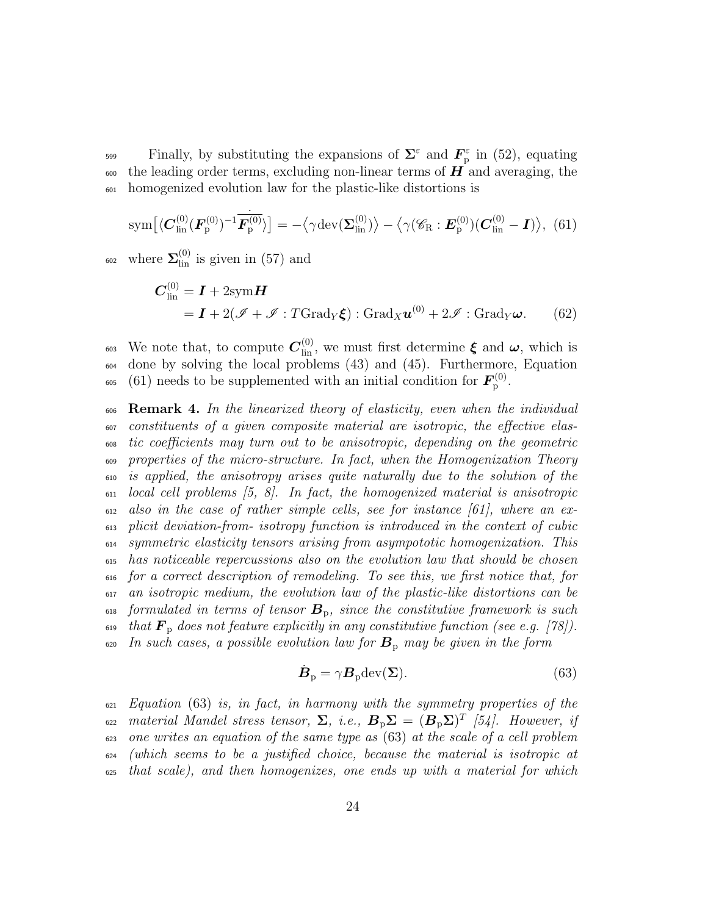Finally, by substituting the expansions of  $\Sigma^{\varepsilon}$  and  $\mathbf{F}_{p}^{\varepsilon}$ Finally, by substituting the expansions of  $\Sigma^{\varepsilon}$  and  $\mathbf{F}_{p}^{\varepsilon}$  in (52), equating  $\frac{600}{100}$  the leading order terms, excluding non-linear terms of  $H$  and averaging, the <sup>601</sup> homogenized evolution law for the plastic-like distortions is

$$
\text{sym}\big[\langle \mathbf{C}_{\text{lin}}^{(0)}(\mathbf{F}_{\text{p}}^{(0)})^{-1}\overline{\mathbf{F}_{\text{p}}^{(0)}}\rangle\big] = -\big\langle \gamma \text{dev}(\mathbf{\Sigma}_{\text{lin}}^{(0)}) \big\rangle - \big\langle \gamma (\mathscr{C}_{\text{R}} : \mathbf{E}_{\text{p}}^{(0)}) (\mathbf{C}_{\text{lin}}^{(0)} - \mathbf{I}) \big\rangle, \tag{61}
$$

<sup>602</sup> where  $\Sigma_{\text{lin}}^{(0)}$  is given in (57) and

$$
C_{\text{lin}}^{(0)} = \mathbf{I} + 2\text{sym}\mathbf{H}
$$
  
=  $\mathbf{I} + 2(\mathscr{I} + \mathscr{I} : T\text{Grad}_Y\boldsymbol{\xi}) : \text{Grad}_X\boldsymbol{u}^{(0)} + 2\mathscr{I} : \text{Grad}_Y\boldsymbol{\omega}.$  (62)

603 We note that, to compute  $C_{\text{lin}}^{(0)}$ , we must first determine  $\xi$  and  $\omega$ , which is <sup>604</sup> done by solving the local problems (43) and (45). Furthermore, Equation (61) needs to be supplemented with an initial condition for  $\mathbf{F}_{\rm p}^{(0)}$ <sup>605</sup> (61) needs to be supplemented with an initial condition for  $\bm{F}_{\rm p}^{(0)}$ .

 Remark 4. In the linearized theory of elasticity, even when the individual constituents of a given composite material are isotropic, the effective elas- tic coefficients may turn out to be anisotropic, depending on the geometric properties of the micro-structure. In fact, when the Homogenization Theory is applied, the anisotropy arises quite naturally due to the solution of the  $\epsilon_{01}$  local cell problems [5, 8]. In fact, the homogenized material is anisotropic  $\epsilon_{612}$  also in the case of rather simple cells, see for instance [61], where an ex- plicit deviation-from- isotropy function is introduced in the context of cubic symmetric elasticity tensors arising from asympototic homogenization. This has noticeable repercussions also on the evolution law that should be chosen for a correct description of remodeling. To see this, we first notice that, for an isotropic medium, the evolution law of the plastic-like distortions can be  $\epsilon$ <sub>18</sub> formulated in terms of tensor  $B_{\rm p}$ , since the constitutive framework is such 619 that  $\mathbf{F}_{\rm p}$  does not feature explicitly in any constitutive function (see e.g. [78]).  $\epsilon_{620}$  In such cases, a possible evolution law for  $B_{\rm p}$  may be given in the form

$$
\dot{\boldsymbol{B}}_{\rm p} = \gamma \boldsymbol{B}_{\rm p} \text{dev}(\boldsymbol{\Sigma}).\tag{63}
$$

 $\epsilon_{21}$  Equation (63) is, in fact, in harmony with the symmetry properties of the <sup>622</sup> material Mandel stress tensor,  $\Sigma$ , i.e.,  $B_p \Sigma = (B_p \Sigma)^T$  [54]. However, if <sup>623</sup> one writes an equation of the same type as (63) at the scale of a cell problem <sup>624</sup> (which seems to be a justified choice, because the material is isotropic at  $\epsilon_{625}$  that scale), and then homogenizes, one ends up with a material for which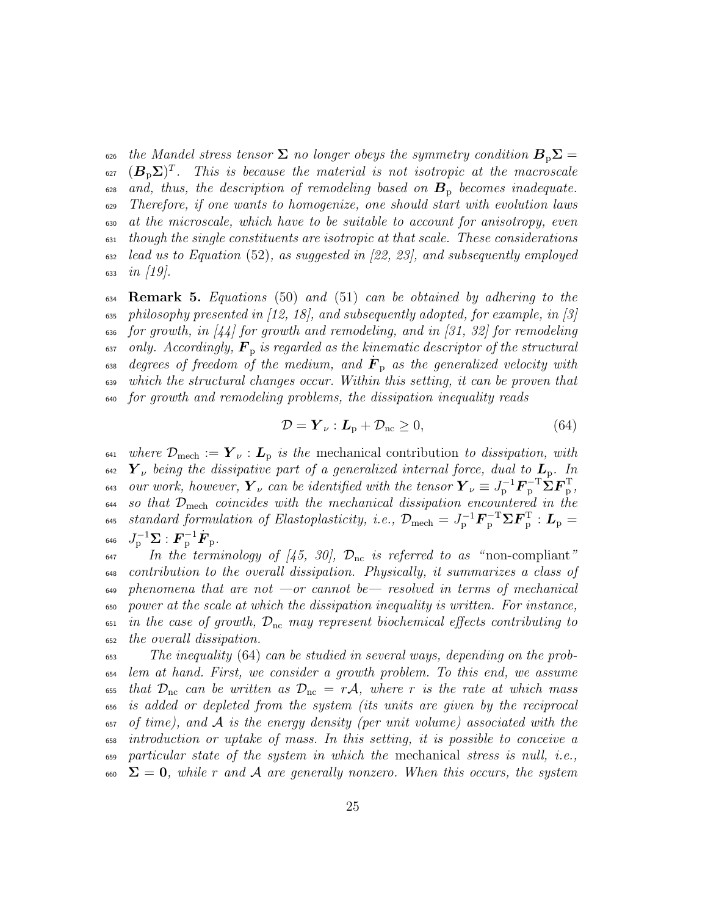626 the Mandel stress tensor  $\Sigma$  no longer obeys the symmetry condition  $B_{p}\Sigma =$ <sup>627</sup>  $(\mathbf{B}_p \Sigma)^T$ . This is because the material is not isotropic at the macroscale 628 and, thus, the description of remodeling based on  $B_{\rm p}$  becomes inadequate. <sup>629</sup> Therefore, if one wants to homogenize, one should start with evolution laws <sup>630</sup> at the microscale, which have to be suitable to account for anisotropy, even <sup>631</sup> though the single constituents are isotropic at that scale. These considerations  $\epsilon_{632}$  lead us to Equation (52), as suggested in [22, 23], and subsequently employed 633 *in [19]*.

634 **Remark 5.** Equations (50) and (51) can be obtained by adhering to the  $635$  philosophy presented in [12, 18], and subsequently adopted, for example, in [3]  $\epsilon_{636}$  for growth, in [44] for growth and remodeling, and in [31, 32] for remodeling  $\sigma$ <sub>637</sub> only. Accordingly,  $\boldsymbol{F}_{\rm p}$  is regarded as the kinematic descriptor of the structural  $\epsilon_{\text{38}}$  degrees of freedom of the medium, and  $\dot{\bm{F}}_{\text{p}}$  as the generalized velocity with <sup>639</sup> which the structural changes occur. Within this setting, it can be proven that <sup>640</sup> for growth and remodeling problems, the dissipation inequality reads

$$
\mathcal{D} = \mathbf{Y}_{\nu} : \mathbf{L}_{\rm p} + \mathcal{D}_{\rm nc} \ge 0,\tag{64}
$$

641 where  $\mathcal{D}_{\text{mech}} := \mathbf{Y}_{\nu} : L_{\text{p}}$  is the mechanical contribution to dissipation, with  $\mathbf{Y}_{\nu}$  being the dissipative part of a generalized internal force, dual to  $\mathbf{L}_{\text{p}}$ . In our work, however,  $\mathbf{Y}_{\nu}$  can be identified with the tensor  $\mathbf{Y}_{\nu} \equiv J_{p}^{-1} \mathbf{F}_{p}^{-T} \hat{\Sigma} \mathbf{F}_{p}^{T}$  $_{{\rm 643}}$  our work, however,  $\bm Y_\nu$  can be identified with the tensor  $\bm Y_\nu\equiv J_{\rm p}^{-1}\bm F_{\rm p}^{-1}\bm\Sigma\bm F_{\rm p}^{\rm T}$ ,  $\epsilon_{644}$  so that  $\mathcal{D}_{mech}$  coincides with the mechanical dissipation encountered in the standard formulation of Elastoplasticity, i.e.,  $\mathcal{D}_{\text{mech}} = J_{\text{p}}^{-1} \boldsymbol{F}_{\text{p}}^{-T} \boldsymbol{\Sigma} \boldsymbol{F}_{\text{p}}^{T}$  $_6$  standard formulation of Elastoplasticity, i.e.,  $\mathcal{D}_{\rm mech} = J_{\rm p}^{-1} \bm{F}_{\rm p}^{-{\rm T}} \bm{\Sigma} \bm{F}_{\rm p}^{\rm T}$  :  $\bm{L}_{\rm p} =$ 646  $J_{\rm p}^{-1}\mathbf{\Sigma}$  :  $\bm{F}_{\rm p}^{-1}\dot{\bm{F}}_{\rm p}.$ 

 $\mu_{\text{A}}$  In the terminology of [45, 30],  $\mathcal{D}_{\text{nc}}$  is referred to as "non-compliant" <sup>648</sup> contribution to the overall dissipation. Physically, it summarizes a class of  $\epsilon_{49}$  phenomena that are not —or cannot be— resolved in terms of mechanical <sup>650</sup> power at the scale at which the dissipation inequality is written. For instance,  $\epsilon_{651}$  in the case of growth,  $\mathcal{D}_{nc}$  may represent biochemical effects contributing to <sup>652</sup> the overall dissipation.

 The inequality (64) can be studied in several ways, depending on the prob- lem at hand. First, we consider a growth problem. To this end, we assume 655 that  $\mathcal{D}_{\text{nc}}$  can be written as  $\mathcal{D}_{\text{nc}} = r\mathcal{A}$ , where r is the rate at which mass is added or depleted from the system (its units are given by the reciprocal  $\epsilon_{657}$  of time), and A is the energy density (per unit volume) associated with the introduction or uptake of mass. In this setting, it is possible to conceive a particular state of the system in which the mechanical stress is null, i.e.,  $\delta_{660}$   $\Sigma = 0$ , while r and A are generally nonzero. When this occurs, the system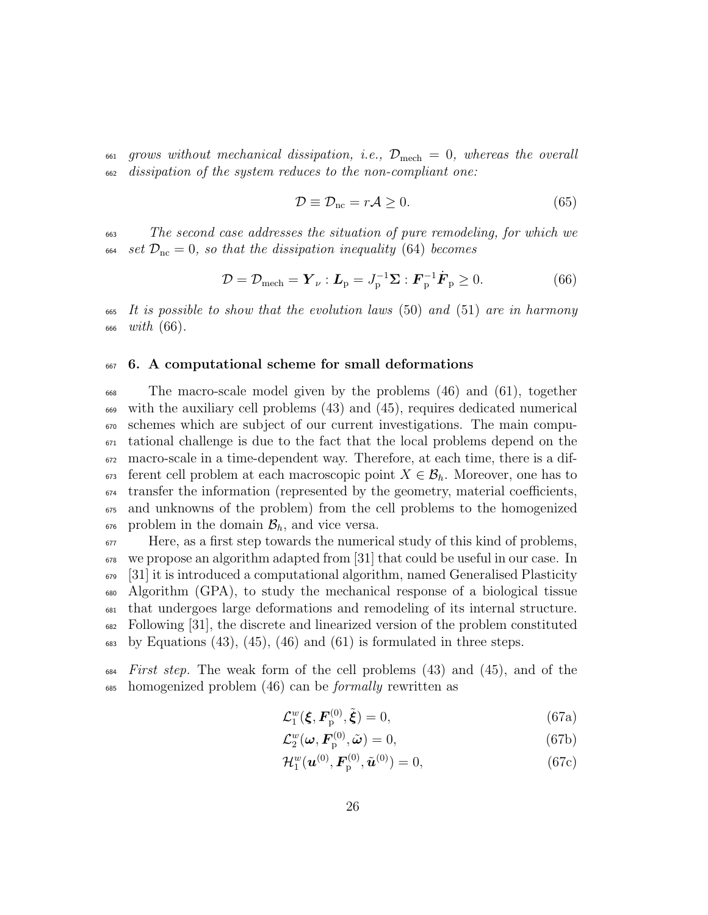$\epsilon_{661}$  grows without mechanical dissipation, i.e.,  $\mathcal{D}_{\text{mech}} = 0$ , whereas the overall <sup>662</sup> dissipation of the system reduces to the non-compliant one:

$$
\mathcal{D} \equiv \mathcal{D}_{\text{nc}} = r\mathcal{A} \ge 0. \tag{65}
$$

<sup>663</sup> The second case addresses the situation of pure remodeling, for which we  $\mathcal{E}_{\text{664}}$  set  $\mathcal{D}_{\text{nc}} = 0$ , so that the dissipation inequality (64) becomes

$$
\mathcal{D} = \mathcal{D}_{\text{mech}} = \boldsymbol{Y}_{\nu} : \boldsymbol{L}_{\text{p}} = J_{\text{p}}^{-1} \boldsymbol{\Sigma} : \boldsymbol{F}_{\text{p}}^{-1} \dot{\boldsymbol{F}}_{\text{p}} \ge 0. \tag{66}
$$

<sup>665</sup> It is possible to show that the evolution laws (50) and (51) are in harmony  $_{666}$  with (66).

### <sup>667</sup> 6. A computational scheme for small deformations

 The macro-scale model given by the problems (46) and (61), together with the auxiliary cell problems (43) and (45), requires dedicated numerical schemes which are subject of our current investigations. The main compu- tational challenge is due to the fact that the local problems depend on the macro-scale in a time-dependent way. Therefore, at each time, there is a dif- $\epsilon_{673}$  ferent cell problem at each macroscopic point  $X \in \mathcal{B}_h$ . Moreover, one has to transfer the information (represented by the geometry, material coefficients, and unknowns of the problem) from the cell problems to the homogenized  $\epsilon_{676}$  problem in the domain  $\mathcal{B}_h$ , and vice versa.

 $\epsilon_{677}$  Here, as a first step towards the numerical study of this kind of problems, <sup>678</sup> we propose an algorithm adapted from [31] that could be useful in our case. In  $\epsilon_{679}$  [31] it is introduced a computational algorithm, named Generalised Plasticity <sup>680</sup> Algorithm (GPA), to study the mechanical response of a biological tissue <sup>681</sup> that undergoes large deformations and remodeling of its internal structure. <sup>682</sup> Following [31], the discrete and linearized version of the problem constituted 683 by Equations  $(43)$ ,  $(45)$ ,  $(46)$  and  $(61)$  is formulated in three steps.

 $First\ step$ . The weak form of the cell problems (43) and (45), and of the <sup>685</sup> homogenized problem (46) can be *formally* rewritten as

$$
\mathcal{L}_1^w(\xi, \boldsymbol{F}_{\mathrm{p}}^{(0)}, \tilde{\xi}) = 0,\tag{67a}
$$

$$
\mathcal{L}_2^w(\omega, \mathbf{F}_p^{(0)}, \tilde{\omega}) = 0, \tag{67b}
$$

$$
\mathcal{H}_1^w(\bm{u}^{(0)}, \bm{F}_{\rm p}^{(0)}, \tilde{\bm{u}}^{(0)}) = 0,\tag{67c}
$$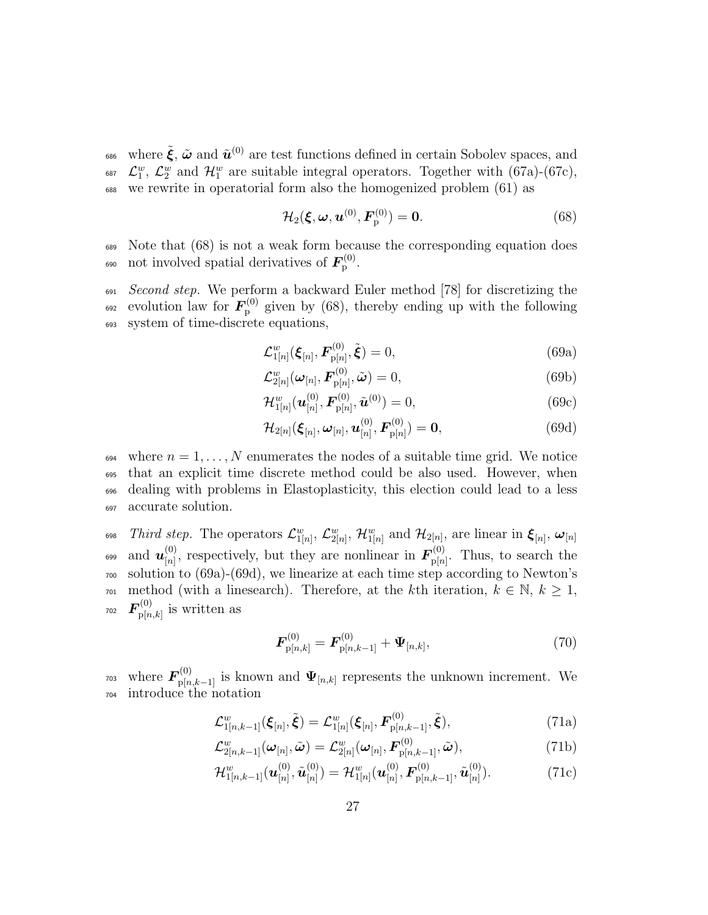<sup>686</sup> where  $\tilde{\boldsymbol{\xi}}, \tilde{\boldsymbol{\omega}}$  and  $\tilde{\boldsymbol{u}}^{(0)}$  are test functions defined in certain Sobolev spaces, and <sup>687</sup>  $\mathcal{L}_1^w$ ,  $\mathcal{L}_2^w$  and  $\mathcal{H}_1^w$  are suitable integral operators. Together with (67a)-(67c), <sup>688</sup> we rewrite in operatorial form also the homogenized problem (61) as

$$
\mathcal{H}_2(\boldsymbol{\xi}, \boldsymbol{\omega}, \boldsymbol{u}^{(0)}, \boldsymbol{F}_{\mathrm{p}}^{(0)}) = \mathbf{0}.\tag{68}
$$

<sup>689</sup> Note that (68) is not a weak form because the corresponding equation does not involved spatial derivatives of  $\mathbf{F}_{\rm p}^{(0)}$ <sup>690</sup> not involved spatial derivatives of  $\mathbf{F}_{\rm p}^{(0)}$ .

<sup>691</sup> Second step. We perform a backward Euler method [78] for discretizing the evolution law for  $\boldsymbol{F}_{\rm p}^{(0)}$ <sup>692</sup> evolution law for  $\mathbf{F}_{\rm p}^{(0)}$  given by (68), thereby ending up with the following <sup>693</sup> system of time-discrete equations,

$$
\mathcal{L}_{1[n]}^w(\boldsymbol{\xi}_{[n]}, \boldsymbol{F}_{p[n]}^{(0)}, \tilde{\boldsymbol{\xi}}) = 0,\tag{69a}
$$

$$
\mathcal{L}_{2[n]}^{w}(\boldsymbol{\omega}_{[n]},\boldsymbol{F}_{\boldsymbol{\mathrm{p}}[n]}^{(0)},\tilde{\boldsymbol{\omega}})=0,
$$
\n(69b)

$$
\mathcal{H}_{1[n]}^{w}(\boldsymbol{u}_{[n]}^{(0)},\boldsymbol{F}_{p[n]}^{(0)},\tilde{\boldsymbol{u}}^{(0)})=0,
$$
\n(69c)

$$
\mathcal{H}_{2[n]}(\boldsymbol{\xi}_{[n]},\boldsymbol{\omega}_{[n]},\boldsymbol{u}_{[n]}^{(0)},\boldsymbol{F}_{p[n]}^{(0)})=\mathbf{0},
$$
\n(69d)

 $\mathbf{f}_{694}$  where  $n = 1, \ldots, N$  enumerates the nodes of a suitable time grid. We notice that an explicit time discrete method could be also used. However, when dealing with problems in Elastoplasticity, this election could lead to a less accurate solution.

Third step. The operators  $\mathcal{L}^w_{1[n]}, \mathcal{L}^w_{2[n]}, \mathcal{H}^w_{1[n]}$  and  $\mathcal{H}_{2[n]}$ , are linear in  $\boldsymbol{\xi}_{[n]}, \boldsymbol{\omega}_{[n]}$ 698 and  $\boldsymbol{u}_{\text{\tiny{[n]}}}^{(0)}$  $\binom{0}{[n]}$ , respectively, but they are nonlinear in  $\mathbf{F}_{\text{p}[n]}^{(0)}$ <sup>699</sup> and  $u_{[n]}^{(0)}$ , respectively, but they are nonlinear in  $\mathbf{F}_{p[n]}^{(0)}$ . Thus, to search the  $\frac{1}{700}$  solution to (69a)-(69d), we linearize at each time step according to Newton's  $\tau_{01}$  method (with a linesearch). Therefore, at the kth iteration,  $k \in \mathbb{N}, k \geq 1$ ,  $\bm{F}_{{\rm n} \vert n}^{(0)}$ <sup>702</sup>  $\bm{F}_{\mathrm{p}[n,k]}^{(0)}$  is written as

$$
\boldsymbol{F}_{\mathrm{p}[n,k]}^{(0)} = \boldsymbol{F}_{\mathrm{p}[n,k-1]}^{(0)} + \boldsymbol{\Psi}_{[n,k]},\tag{70}
$$

<sup>703</sup> where  $\bm{F}_{\text{p}[n,k-1]}^{(0)}$  is known and  $\bm{\Psi}_{[n,k]}$  represents the unknown increment. We <sup>704</sup> introduce the notation

$$
\mathcal{L}_{1[n,k-1]}^{w}(\boldsymbol{\xi}_{[n]},\tilde{\boldsymbol{\xi}})=\mathcal{L}_{1[n]}^{w}(\boldsymbol{\xi}_{[n]},\boldsymbol{F}_{p[n,k-1]}^{(0)},\tilde{\boldsymbol{\xi}}),
$$
\n(71a)

$$
\mathcal{L}_{2[n,k-1]}^{w}(\boldsymbol{\omega}_{[n]},\tilde{\boldsymbol{\omega}})=\mathcal{L}_{2[n]}^{w}(\boldsymbol{\omega}_{[n]},\boldsymbol{F}_{p[n,k-1]}^{(0)},\tilde{\boldsymbol{\omega}}),
$$
\n(71b)

$$
\mathcal{H}_{1[n,k-1]}^{w}(\boldsymbol{u}_{[n]}^{(0)},\tilde{\boldsymbol{u}}_{[n]}^{(0)})=\mathcal{H}_{1[n]}^{w}(\boldsymbol{u}_{[n]}^{(0)},\boldsymbol{F}_{p[n,k-1]}^{(0)},\tilde{\boldsymbol{u}}_{[n]}^{(0)}).
$$
\n(71c)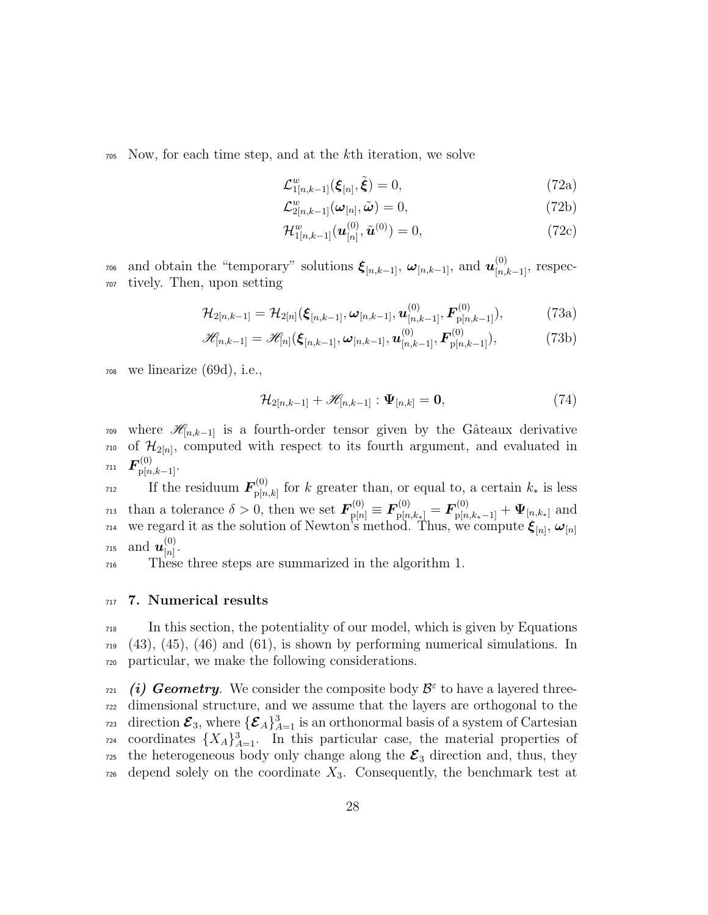<sup>705</sup> Now, for each time step, and at the kth iteration, we solve

$$
\mathcal{L}_{1[n,k-1]}^{w}(\boldsymbol{\xi}_{[n]},\tilde{\boldsymbol{\xi}})=0,\tag{72a}
$$

$$
\mathcal{L}_{2[n,k-1]}^{w}(\boldsymbol{\omega}_{[n]},\tilde{\boldsymbol{\omega}})=0,
$$
\n(72b)

$$
\mathcal{H}_{1[n,k-1]}^{w}(\boldsymbol{u}_{[n]}^{(0)},\tilde{\boldsymbol{u}}^{(0)})=0,
$$
\n(72c)

<sup>706</sup> and obtain the "temporary" solutions  $\xi_{[n,k-1]}$ ,  $\boldsymbol{\omega}_{[n,k-1]}$ , and  $\boldsymbol{u}_{[n,k-1]}^{(0)}$ , respec-<sup>707</sup> tively. Then, upon setting

$$
\mathcal{H}_{2[n,k-1]} = \mathcal{H}_{2[n]}(\boldsymbol{\xi}_{[n,k-1]},\boldsymbol{\omega}_{[n,k-1]},\boldsymbol{u}_{[n,k-1]}^{(0)},\boldsymbol{F}_{p[n,k-1]}^{(0)}),
$$
(73a)

$$
\mathscr{H}_{[n,k-1]} = \mathscr{H}_{[n]}(\xi_{[n,k-1]}, \omega_{[n,k-1]}, \mathbf{u}_{[n,k-1]}^{(0)}, \mathbf{F}_{p[n,k-1]}^{(0)}),
$$
(73b)

<sup>708</sup> we linearize (69d), i.e.,

$$
\mathcal{H}_{2[n,k-1]} + \mathcal{H}_{[n,k-1]} : \Psi_{[n,k]} = \mathbf{0},\tag{74}
$$

<sup>709</sup> where  $\mathscr{H}_{[n,k-1]}$  is a fourth-order tensor given by the Gâteaux derivative  $\mathcal{H}_{2[n]}$ , computed with respect to its fourth argument, and evaluated in 711  $\bm{F}_{{\rm p}[n,k-1]}^{(0)}$ .

If the residuum  $\boldsymbol{F}_{\text{min}}^{(0)}$  $F_{\text{p}[n,k]}^{(0)}$  for k greater than, or equal to, a certain  $k_*$  is less  $\mathbf{r}_{13}$  than a tolerance  $\delta > 0$ , then we set  $\mathbf{F}_{\text{p}[n]}^{(0)} \equiv \mathbf{F}_{\text{p}[n,k_*]}^{(0)} = \mathbf{F}_{\text{p}[n,k_*-1]}^{(0)} + \mathbf{\Psi}_{[n,k_*]}$  and we regard it as the solution of Newton's method. Thus, we compute  $\xi_{[n]}, \omega_{[n]}$ 714 and  $\bm{u}^{(0)}_{\scriptscriptstyle [n]}$  $\begin{array}{cc} \text{and} \ \boldsymbol{u}^{(0)}_{[n]}. \end{array}$ 

<sup>716</sup> These three steps are summarized in the algorithm 1.

# <sup>717</sup> 7. Numerical results

<sup>718</sup> In this section, the potentiality of our model, which is given by Equations  $_{719}$  (43), (45), (46) and (61), is shown by performing numerical simulations. In <sup>720</sup> particular, we make the following considerations.

 $\tau_{\text{21}}$  (i) Geometry. We consider the composite body  $\mathcal{B}^{\varepsilon}$  to have a layered three-<sup>722</sup> dimensional structure, and we assume that the layers are orthogonal to the <sup>723</sup> direction  $\mathcal{E}_3$ , where  $\{\mathcal{E}_A\}_{A=1}^3$  is an orthonormal basis of a system of Cartesian  $\{\{X_A\}_{A=1}^3$ . In this particular case, the material properties of  $\tau_{25}$  the heterogeneous body only change along the  $\mathcal{E}_3$  direction and, thus, they  $726$  depend solely on the coordinate  $X_3$ . Consequently, the benchmark test at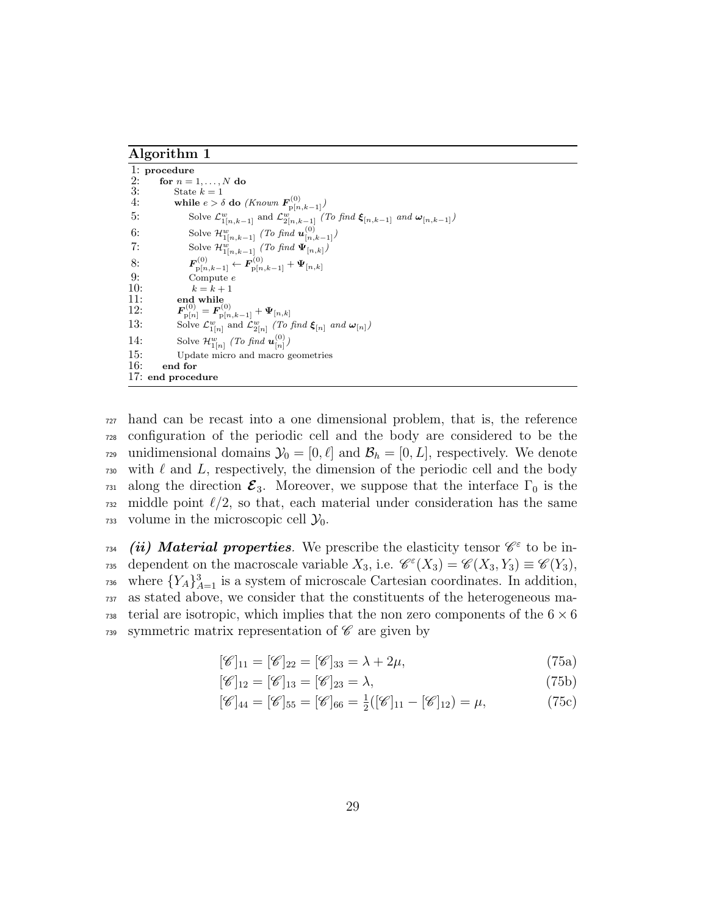# Algorithm 1

1: procedure<br>2: for  $n =$ 2: for  $n = 1, ..., N$  do<br>3: State  $k = 1$ 3: State  $k = 1$ <br>4: while  $e > d$  $4\colon \qquad \quad \text{while }e>\delta\text{ do }\left(Known\text{ }{\textbf }{\textbf }{\textbf }{\textbf }{\textbf F}^{(0)}_{\textbf{p}[n,k-1]}\right)$ 5: Solve  $\mathcal{L}^w_{1[n,k-1]}$  and  $\mathcal{L}^w_{2[n,k-1]}$  (To find  $\boldsymbol{\xi}_{[n,k-1]}$  and  $\boldsymbol{\omega}_{[n,k-1]})$ ) 6: Solve  $\mathcal{H}_{1[n,k-1]}^{w}$  (To find  $\mathbf{u}_{[n,k-1]}^{(0)}$ ) 7: Solve  $\mathcal{H}_{1[n,k-1]}^w$  (*To find*  $\Psi_{[n,k]})$  $8\colon \qquad \qquad \bm{F}^{(0)}_{{\rm p}[n,k-1]} \gets \bm{F}^{(0)}_{{\rm p}[n,k-1]} + \bm{\Psi}_{[n,k]}$ 9: Compute  $e$ <br>10:  $k = k + 1$  $k = k + 1$ 11: end while<br>  $F_{\text{p}[n]}^{(0)} = F_{\text{p}[n,k-1]}^{(0)} + \Psi_{[n,k]}$  $12:$ 13: Solve  $\mathcal{L}^w_{1[n]}$  and  $\mathcal{L}^w_{2[n]}$  (To find  $\boldsymbol{\xi}_{[n]}$  and  $\boldsymbol{\omega}_{[n]})$ ) 14: Solve  $\mathcal{H}_{1[n]}^w$  (To find  $\mathbf{u}_{[n]}^{(0)}$ ) 15: Update micro and macro geometries 16: end for 17: end procedure

<sup>727</sup> hand can be recast into a one dimensional problem, that is, the reference <sup>728</sup> configuration of the periodic cell and the body are considered to be the <sup>729</sup> unidimensional domains  $\mathcal{Y}_0 = [0, \ell]$  and  $\mathcal{B}_h = [0, L]$ , respectively. We denote  $\tau$ <sup>30</sup> with  $\ell$  and  $L$ , respectively, the dimension of the periodic cell and the body  $\tau$ <sub>731</sub> along the direction  $\mathcal{E}_3$ . Moreover, we suppose that the interface Γ<sub>0</sub> is the  $732$  middle point  $\ell/2$ , so that, each material under consideration has the same  $\gamma$ <sup>33</sup> volume in the microscopic cell  $\mathcal{Y}_0$ .

<sup>734</sup> (ii) Material properties. We prescribe the elasticity tensor  $\mathscr{C}^\varepsilon$  to be in-<sup>735</sup> dependent on the macroscale variable  $X_3$ , i.e.  $\mathscr{C}^{\varepsilon}(X_3) = \mathscr{C}(X_3, Y_3) \equiv \mathscr{C}(Y_3)$ , <sup>736</sup> where  ${Y_A}_{A=1}^3$  is a system of microscale Cartesian coordinates. In addition, <sup>737</sup> as stated above, we consider that the constituents of the heterogeneous ma- $\tau_{38}$  terial are isotropic, which implies that the non zero components of the  $6 \times 6$  $_{739}$  symmetric matrix representation of  $\mathscr C$  are given by

$$
[\mathscr{C}]_{11} = [\mathscr{C}]_{22} = [\mathscr{C}]_{33} = \lambda + 2\mu,
$$
\n(75a)

$$
[\mathscr{C}]_{12} = [\mathscr{C}]_{13} = [\mathscr{C}]_{23} = \lambda,
$$
\n(75b)

$$
[\mathscr{C}]_{44} = [\mathscr{C}]_{55} = [\mathscr{C}]_{66} = \frac{1}{2}([\mathscr{C}]_{11} - [\mathscr{C}]_{12}) = \mu,
$$
\n(75c)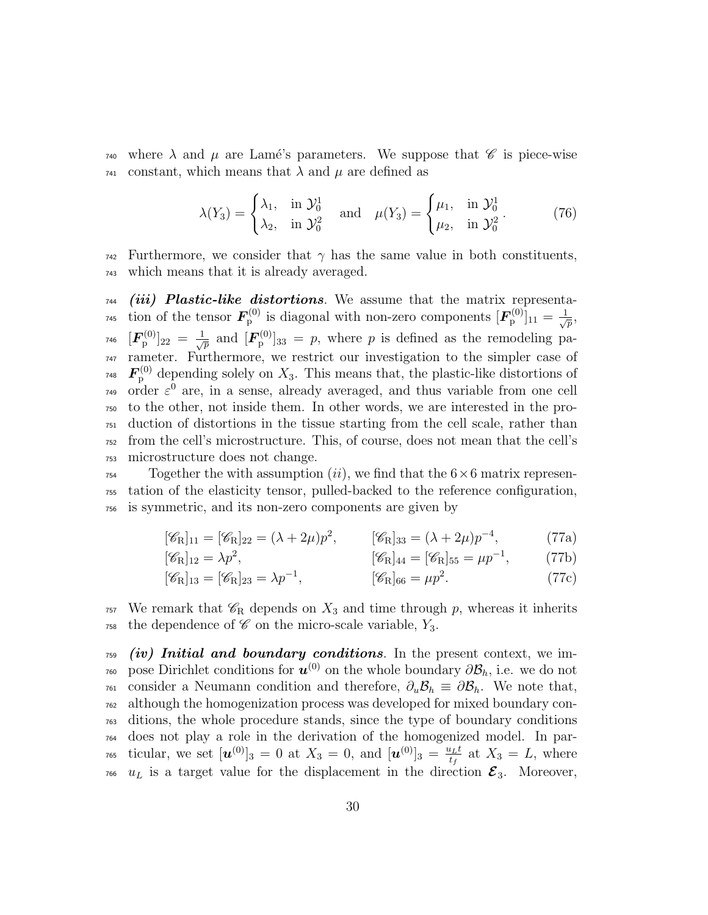$\lambda$  where  $\lambda$  and  $\mu$  are Lamé's parameters. We suppose that  $\mathscr C$  is piece-wise  $741$  constant, which means that  $\lambda$  and  $\mu$  are defined as

$$
\lambda(Y_3) = \begin{cases} \lambda_1, & \text{in } \mathcal{Y}_0^1 \\ \lambda_2, & \text{in } \mathcal{Y}_0^2 \end{cases} \quad \text{and} \quad \mu(Y_3) = \begin{cases} \mu_1, & \text{in } \mathcal{Y}_0^1 \\ \mu_2, & \text{in } \mathcal{Y}_0^2 \end{cases} \tag{76}
$$

 $742$  Furthermore, we consider that  $\gamma$  has the same value in both constituents, <sup>743</sup> which means that it is already averaged.

 $744$  (iii) Plastic-like distortions. We assume that the matrix representation of the tensor  $\boldsymbol{F}_{\rm n}^{(0)}$  $p_{\rm p}^{\rm (0)}$  is diagonal with non-zero components  $[{\pmb F}_{\rm p}^{(0)}]$ <sup>745</sup> tion of the tensor  $\bm{F}_{\rm p}^{(0)}$  is diagonal with non-zero components  $[\bm{F}_{\rm p}^{(0)}]_{11} = \frac{1}{\sqrt{p}},$  $[\boldsymbol{F}_{\rm n}^{(0)}$  $[\mathbf{F}_{\rm p}^{(0)}]_{22}\,=\,\frac{1}{\sqrt{p}}\,\text{ and }\,[\boldsymbol{F}_{\rm p}^{(0)}]_{\rm p}$  $F_{\rm p}^{(0)}|_{22} = \frac{1}{\sqrt{p}}$  and  $[F_{\rm p}^{(0)}]_{33} = p$ , where p is defined as the remodeling pa-<sup>747</sup> rameter. Furthermore, we restrict our investigation to the simpler case of <sup>748</sup>  $\bm{F}_{\rm p}^{(0)}$  depending solely on  $X_3$ . This means that, the plastic-like distortions of  $\sigma_{749}$  order  $\varepsilon^{0}$  are, in a sense, already averaged, and thus variable from one cell <sup>750</sup> to the other, not inside them. In other words, we are interested in the pro-<sup>751</sup> duction of distortions in the tissue starting from the cell scale, rather than <sup>752</sup> from the cell's microstructure. This, of course, does not mean that the cell's <sup>753</sup> microstructure does not change.

 $T_{754}$  Together the with assumption (ii), we find that the  $6\times 6$  matrix represen-<sup>755</sup> tation of the elasticity tensor, pulled-backed to the reference configuration, <sup>756</sup> is symmetric, and its non-zero components are given by

$$
[\mathscr{C}_{R}]_{11} = [\mathscr{C}_{R}]_{22} = (\lambda + 2\mu)p^{2}, \qquad [\mathscr{C}_{R}]_{33} = (\lambda + 2\mu)p^{-4}, \qquad (77a)
$$

$$
[\mathscr{C}_{R}]_{12} = \lambda p^{2}, \qquad [\mathscr{C}_{R}]_{44} = [\mathscr{C}_{R}]_{55} = \mu p^{-1}, \qquad (77b)
$$

$$
[\mathscr{C}_{R}]_{13} = [\mathscr{C}_{R}]_{23} = \lambda p^{-1}, \qquad [\mathscr{C}_{R}]_{66} = \mu p^{2}. \qquad (77c)
$$

 $757$  We remark that  $\mathscr{C}_{R}$  depends on  $X_3$  and time through p, whereas it inherits  $\tau$ <sub>758</sub> the dependence of  $\mathscr C$  on the micro-scale variable,  $Y_3$ .

 $759$  (iv) Initial and boundary conditions. In the present context, we im-<sup>760</sup> pose Dirichlet conditions for  $u^{(0)}$  on the whole boundary  $\partial \mathcal{B}_h$ , i.e. we do not  $\tau$ <sub>761</sub> consider a Neumann condition and therefore,  $\partial_{u} \mathcal{B}_{h} \equiv \partial \mathcal{B}_{h}$ . We note that, <sup>762</sup> although the homogenization process was developed for mixed boundary con-<sup>763</sup> ditions, the whole procedure stands, since the type of boundary conditions <sup>764</sup> does not play a role in the derivation of the homogenized model. In particular, we set  $[\bm{u}^{(0)}]_3 = 0$  at  $X_3 = 0$ , and  $[\bm{u}^{(0)}]_3 = \frac{u_L t}{t_s}$  $\tau$ <sub>765</sub> ticular, we set  $[\bm{u}^{(0)}]_3 = 0$  at  $X_3 = 0$ , and  $[\bm{u}^{(0)}]_3 = \frac{u_L t}{t_f}$  at  $X_3 = L$ , where  $\tau_{66}$  u<sub>L</sub> is a target value for the displacement in the direction  $\mathcal{E}_3$ . Moreover,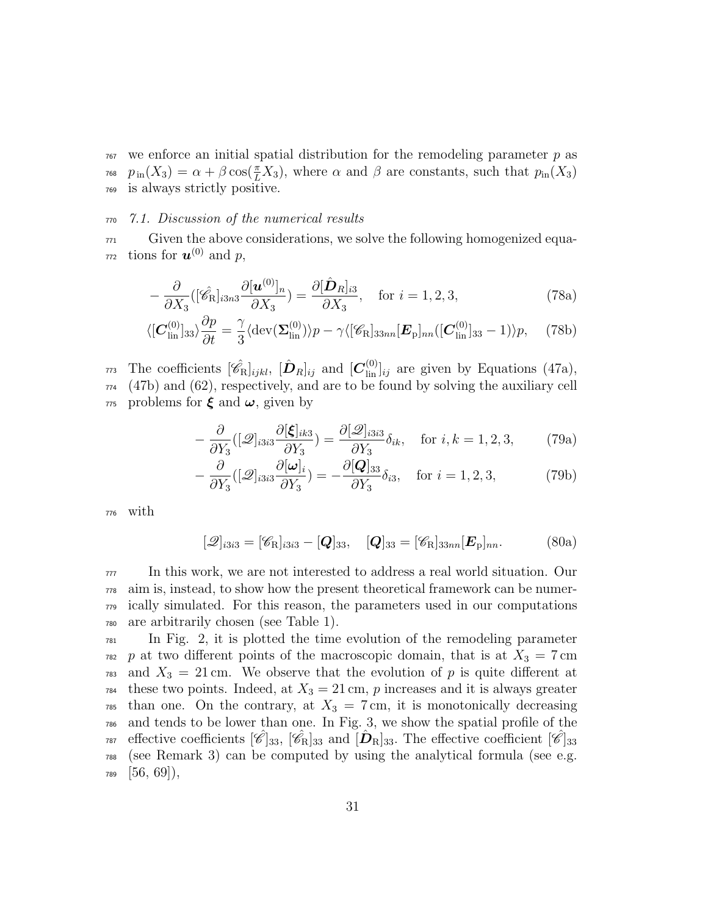$767$  we enforce an initial spatial distribution for the remodeling parameter p as <sup>768</sup>  $p_{\text{in}}(X_3) = \alpha + \beta \cos(\frac{\pi}{L}X_3)$ , where  $\alpha$  and  $\beta$  are constants, such that  $p_{\text{in}}(X_3)$ <sup>769</sup> is always strictly positive.

# <sup>770</sup> 7.1. Discussion of the numerical results

<sup>771</sup> Given the above considerations, we solve the following homogenized equa-<sup>772</sup> tions for  $u^{(0)}$  and p,

$$
-\frac{\partial}{\partial X_3}([\hat{\mathscr{C}}_R]_{i3n3}\frac{\partial[\boldsymbol{u}^{(0)}]_n}{\partial X_3}) = \frac{\partial[\hat{\boldsymbol{D}}_R]_{i3}}{\partial X_3}, \quad \text{for } i = 1, 2, 3,
$$
 (78a)

$$
\langle [\boldsymbol{C}_{\text{lin}}^{(0)}]_{33} \rangle \frac{\partial p}{\partial t} = \frac{\gamma}{3} \langle \text{dev}(\boldsymbol{\Sigma}_{\text{lin}}^{(0)}) \rangle p - \gamma \langle [\mathscr{C}_{\text{R}}]_{33nn} [\boldsymbol{E}_{\text{p}}]_{nn} ([\boldsymbol{C}_{\text{lin}}^{(0)}]_{33} - 1) \rangle p, \quad (78b)
$$

<sup>773</sup> The coefficients  $[\hat{\mathscr{C}}_R]_{ijkl}$ ,  $[\hat{\mathbf{D}}_R]_{ij}$  and  $[\mathbf{C}_{\text{lin}}^{(0)}]_{ij}$  are given by Equations (47a), <sup>774</sup> (47b) and (62), respectively, and are to be found by solving the auxiliary cell  $775$  problems for **ξ** and  $ω$ , given by

$$
-\frac{\partial}{\partial Y_3}([\mathcal{Q}]_{i3i3}\frac{\partial[\boldsymbol{\xi}]_{ik3}}{\partial Y_3}) = \frac{\partial[\mathcal{Q}]_{i3i3}}{\partial Y_3}\delta_{ik}, \text{ for } i, k = 1, 2, 3,
$$
 (79a)

$$
-\frac{\partial}{\partial Y_3}([\mathcal{Q}]_{i3i3}\frac{\partial[\omega]_i}{\partial Y_3}) = -\frac{\partial[\mathcal{Q}]_{33}}{\partial Y_3}\delta_{i3}, \quad \text{for } i = 1, 2, 3,
$$
 (79b)

<sup>776</sup> with

$$
[\mathcal{Q}]_{i3i3} = [\mathscr{C}_{R}]_{i3i3} - [\mathbf{Q}]_{33}, \quad [\mathbf{Q}]_{33} = [\mathscr{C}_{R}]_{33nn} [\mathbf{E}_{p}]_{nn}.
$$
 (80a)

 In this work, we are not interested to address a real world situation. Our aim is, instead, to show how the present theoretical framework can be numer- ically simulated. For this reason, the parameters used in our computations are arbitrarily chosen (see Table 1).

 In Fig. 2, it is plotted the time evolution of the remodeling parameter p at two different points of the macroscopic domain, that is at  $X_3 = 7 \text{ cm}$  and  $X_3 = 21$  cm. We observe that the evolution of p is quite different at  $\tau_{784}$  these two points. Indeed, at  $X_3 = 21 \text{ cm}$ , p increases and it is always greater  $\tau_{785}$  than one. On the contrary, at  $X_3 = 7 \text{ cm}$ , it is monotonically decreasing and tends to be lower than one. In Fig. 3, we show the spatial profile of the <sup>787</sup> effective coefficients  $[\hat{\mathscr{C}}]_{33}$ ,  $[\hat{\mathscr{C}}_R]_{33}$  and  $[\hat{\bm{D}}_R]_{33}$ . The effective coefficient  $[\hat{\mathscr{C}}]_{33}$  (see Remark 3) can be computed by using the analytical formula (see e.g. [56, 69]),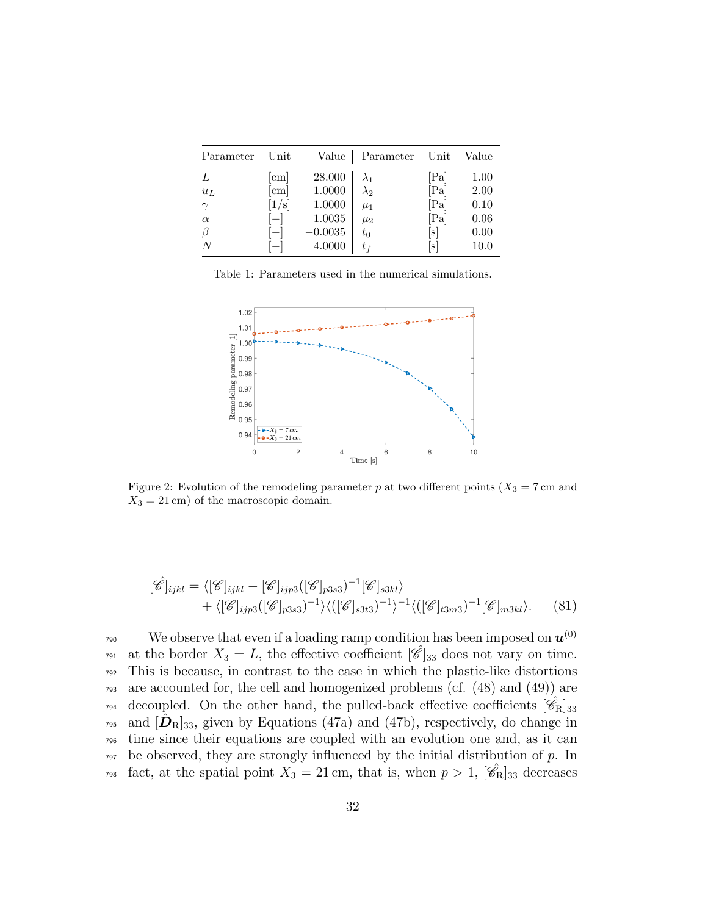| Parameter                            | Unit                              |                                           | Value $\parallel$ Parameter Unit                       |                            | Value                        |
|--------------------------------------|-----------------------------------|-------------------------------------------|--------------------------------------------------------|----------------------------|------------------------------|
| L<br>$u_L$                           | $\left[ \text{cm}\right]$<br>[cm] | 28.000<br>1.0000                          | $\begin{array}{ c } \lambda_1 \ \lambda_2 \end{array}$ | [Pa]<br>[Pa]               | 1.00<br>2.00                 |
| $\gamma$<br>$\alpha$<br>$\beta$<br>N | [1/s]<br>$1 - 1$                  | 1.0000<br>1.0035<br>$-0.0035\atop-4.0000$ | $\mu_1$<br>$\frac{\mu_2}{t_0}$<br>$t_f$                | [Pa]<br>[Pa]<br>[s]<br>[s] | 0.10<br>0.06<br>0.00<br>10.0 |

Table 1: Parameters used in the numerical simulations.



Figure 2: Evolution of the remodeling parameter p at two different points ( $X_3 = 7$  cm and  $X_3 = 21$  cm) of the macroscopic domain.

$$
\begin{aligned} [\hat{\mathscr{C}}]_{ijkl} &= \langle [\mathscr{C}]_{ijkl} - [\mathscr{C}]_{ijp3}([\mathscr{C}]_{p3s3})^{-1}[\mathscr{C}]_{s3kl} \rangle \\ &+ \langle [\mathscr{C}]_{ijp3}([\mathscr{C}]_{p3s3})^{-1} \rangle \langle ([\mathscr{C}]_{s3t3})^{-1} \rangle^{-1} \langle ([\mathscr{C}]_{t3m3})^{-1}[\mathscr{C}]_{m3kl} \rangle. \end{aligned} \tag{81}
$$

We observe that even if a loading ramp condition has been imposed on  $u^{(0)}$ 790 <sup>791</sup> at the border  $X_3 = L$ , the effective coefficient  $\lbrack \hat{\mathscr{C}} \rbrack_{33}$  does not vary on time. <sup>792</sup> This is because, in contrast to the case in which the plastic-like distortions <sup>793</sup> are accounted for, the cell and homogenized problems (cf. (48) and (49)) are  $\alpha$  decoupled. On the other hand, the pulled-back effective coefficients  $[\hat{\mathscr{C}}_R]_{33}$ <sup>795</sup> and  $[\hat{\mathbf{D}}_{\text{R}}]_{33}$ , given by Equations (47a) and (47b), respectively, do change in <sup>796</sup> time since their equations are coupled with an evolution one and, as it can  $797$  be observed, they are strongly influenced by the initial distribution of  $p$ . In <sup>798</sup> fact, at the spatial point  $X_3 = 21$  cm, that is, when  $p > 1$ ,  $[\hat{\mathscr{C}}_R]_{33}$  decreases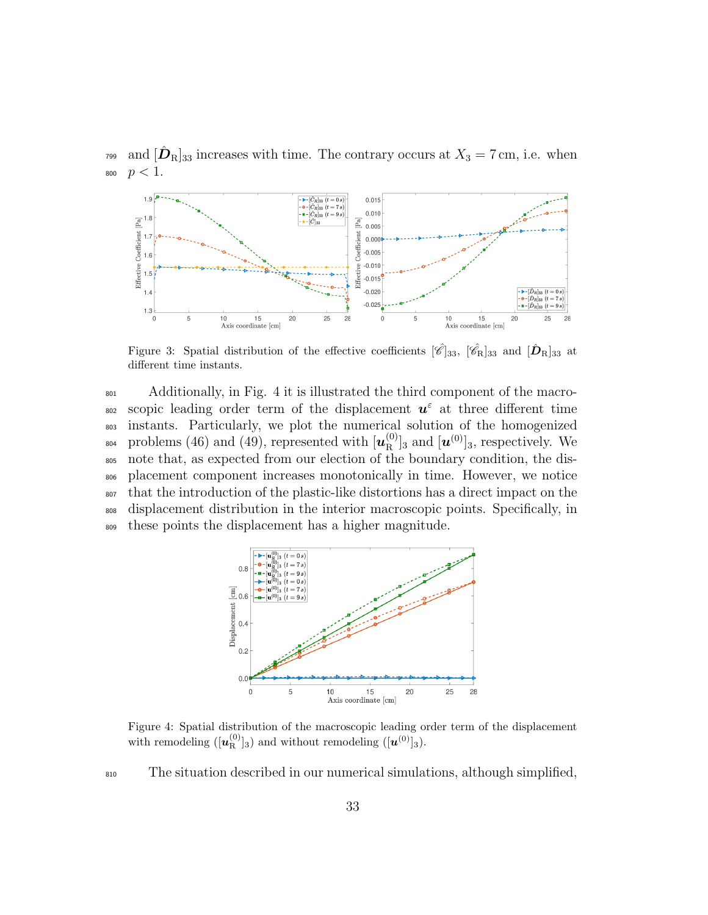and  $[\hat{D}_{\text{R}}]_{33}$  increases with time. The contrary occurs at  $X_3 = 7$  cm, i.e. when 800  $p < 1$ .



Figure 3: Spatial distribution of the effective coefficients  $[\hat{\mathscr{C}}]_{33}$ ,  $[\hat{\mathscr{C}}_R]_{33}$  and  $[\hat{D}_R]_{33}$  at different time instants.

 Additionally, in Fig. 4 it is illustrated the third component of the macroso ascopic leading order term of the displacement  $u^{\varepsilon}$  at three different time instants. Particularly, we plot the numerical solution of the homogenized problems (46) and (49), represented with  $\mathbf{u}_R^{(0)}$ <sup>804</sup> problems (46) and (49), represented with  $[\boldsymbol{u}_{\text{R}}^{(0)}]_3$  and  $[\boldsymbol{u}^{(0)}]_3$ , respectively. We note that, as expected from our election of the boundary condition, the dis- placement component increases monotonically in time. However, we notice that the introduction of the plastic-like distortions has a direct impact on the displacement distribution in the interior macroscopic points. Specifically, in these points the displacement has a higher magnitude.



Figure 4: Spatial distribution of the macroscopic leading order term of the displacement with remodeling ([ $u_{\textrm{\tiny R}}^{(0)}$  $\mathbb{R}^{(0)}$ <sub>R</sub> $]_3$ ) and without remodeling ([ $\mathbf{u}^{(0)}$ ]<sub>3</sub>).

<sup>810</sup> The situation described in our numerical simulations, although simplified,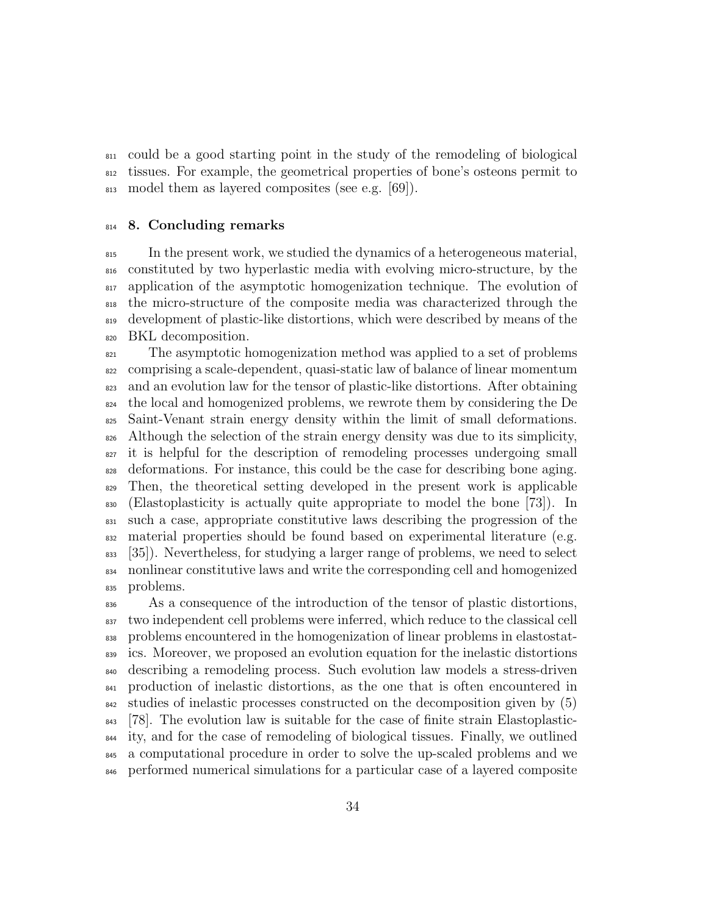could be a good starting point in the study of the remodeling of biological tissues. For example, the geometrical properties of bone's osteons permit to model them as layered composites (see e.g. [69]).

# 814 8. Concluding remarks

 In the present work, we studied the dynamics of a heterogeneous material, constituted by two hyperlastic media with evolving micro-structure, by the <sup>817</sup> application of the asymptotic homogenization technique. The evolution of the micro-structure of the composite media was characterized through the development of plastic-like distortions, which were described by means of the BKL decomposition.

<sup>821</sup> The asymptotic homogenization method was applied to a set of problems comprising a scale-dependent, quasi-static law of balance of linear momentum and an evolution law for the tensor of plastic-like distortions. After obtaining the local and homogenized problems, we rewrote them by considering the De Saint-Venant strain energy density within the limit of small deformations. Although the selection of the strain energy density was due to its simplicity, <sup>827</sup> it is helpful for the description of remodeling processes undergoing small 828 deformations. For instance, this could be the case for describing bone aging. Then, the theoretical setting developed in the present work is applicable  $\frac{830}{10}$  (Elastoplasticity is actually quite appropriate to model the bone [73]). In such a case, appropriate constitutive laws describing the progression of the material properties should be found based on experimental literature (e.g. [35]). Nevertheless, for studying a larger range of problems, we need to select nonlinear constitutive laws and write the corresponding cell and homogenized problems.

 As a consequence of the introduction of the tensor of plastic distortions, two independent cell problems were inferred, which reduce to the classical cell problems encountered in the homogenization of linear problems in elastostat- ics. Moreover, we proposed an evolution equation for the inelastic distortions describing a remodeling process. Such evolution law models a stress-driven production of inelastic distortions, as the one that is often encountered in <sup>842</sup> studies of inelastic processes constructed on the decomposition given by (5) <sup>843</sup> [78]. The evolution law is suitable for the case of finite strain Elastoplastic- ity, and for the case of remodeling of biological tissues. Finally, we outlined a computational procedure in order to solve the up-scaled problems and we performed numerical simulations for a particular case of a layered composite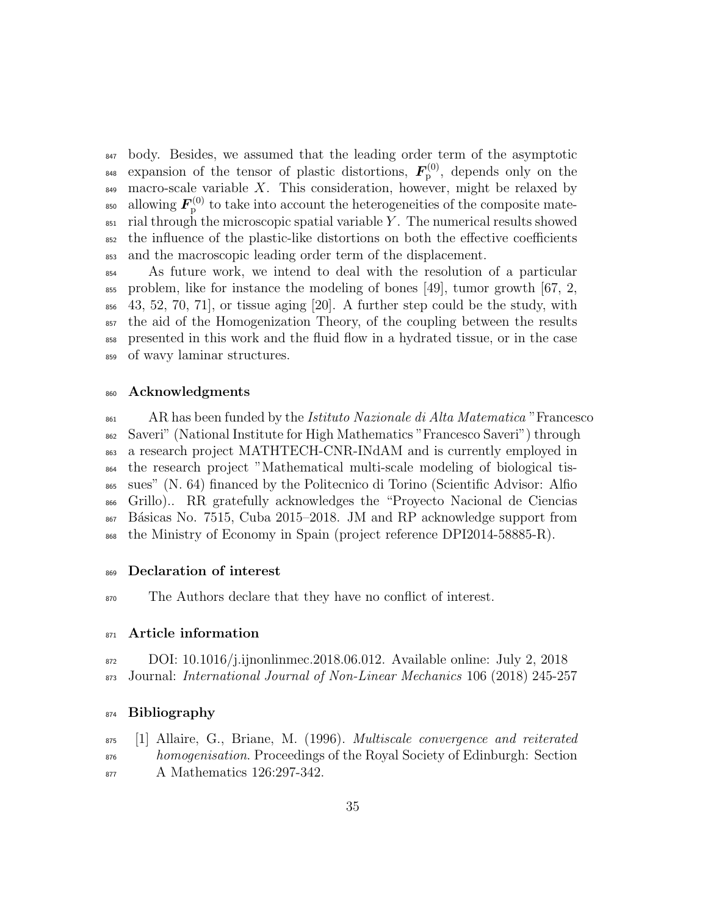<sup>847</sup> body. Besides, we assumed that the leading order term of the asymptotic expansion of the tensor of plastic distortions,  $\mathbf{F}_{\rm p}^{(0)}$ <sup>848</sup> expansion of the tensor of plastic distortions,  $\mathbf{F}_{\rm p}^{\rm (0)}$ , depends only on the  $\mathbb{R}^{49}$  macro-scale variable X. This consideration, however, might be relaxed by allowing  $\boldsymbol{F}_{\rm p}^{(0)}$ <sup>850</sup> allowing  $\bm{F}_{\rm p}^{\rm (0)}$  to take into account the heterogeneities of the composite mate- $851$  rial through the microscopic spatial variable Y. The numerical results showed <sup>852</sup> the influence of the plastic-like distortions on both the effective coefficients <sup>853</sup> and the macroscopic leading order term of the displacement.

 As future work, we intend to deal with the resolution of a particular  $\frac{855}{100}$  problem, like for instance the modeling of bones [49], tumor growth [67, 2,  $856\quad 43, 52, 70, 71$ , or tissue aging [20]. A further step could be the study, with the aid of the Homogenization Theory, of the coupling between the results presented in this work and the fluid flow in a hydrated tissue, or in the case of wavy laminar structures.

#### <sup>860</sup> Acknowledgments

<sup>861</sup> AR has been funded by the *Istituto Nazionale di Alta Matematica* "Francesco" Saveri" (National Institute for High Mathematics "Francesco Saveri") through a research project MATHTECH-CNR-INdAM and is currently employed in the research project "Mathematical multi-scale modeling of biological tis- sues" (N. 64) financed by the Politecnico di Torino (Scientific Advisor: Alfio Grillo).. RR gratefully acknowledges the "Proyecto Nacional de Ciencias  $\frac{1}{867}$  Básicas No. 7515, Cuba 2015–2018. JM and RP acknowledge support from the Ministry of Economy in Spain (project reference DPI2014-58885-R).

# <sup>869</sup> Declaration of interest

870 The Authors declare that they have no conflict of interest.

#### <sup>871</sup> Article information

 $\delta_{872}$  DOI: 10.1016/j.ijnonlinmec.2018.06.012. Available online: July 2, 2018 <sup>873</sup> Journal: International Journal of Non-Linear Mechanics 106 (2018) 245-257

# 874 Bibliography

 $\delta$ <sub>875</sub> [1] Allaire, G., Briane, M. (1996). *Multiscale convergence and reiterated* <sup>876</sup> homogenisation. Proceedings of the Royal Society of Edinburgh: Section 877 A Mathematics 126:297-342.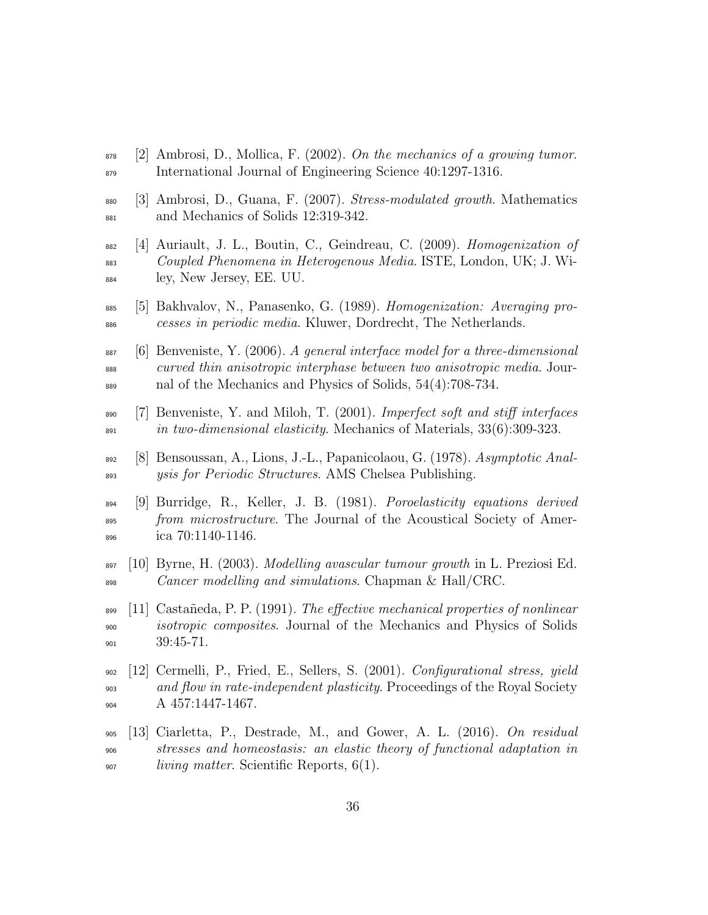- $\mathbb{E}[\mathbb{E}[\mathbb{E}[\mathbb{E}[\mathbb{E}[\mathbb{E}[\mathbb{E}[\mathbb{E}[\mathbb{E}[\mathbb{E}[\mathbb{E}[\mathbb{E}[\mathbb{E}[\mathbb{E}[\mathbb{E}[\mathbb{E}[\mathbb{E}[\mathbb{E}[\mathbb{E}[\mathbb{E}[\mathbb{E}[\mathbb{E}[\mathbb{E}[\mathbb{E}[\mathbb{E}[\mathbb{E}[\mathbb{E}[\mathbb{E}[\mathbb{E}[\mathbb{E}[\mathbb{E}[\mathbb{E}[\mathbb{E}[\mathbb{E}[\mathbb{E}[\mathbb{E}[\mathbb{$ 879 International Journal of Engineering Science 40:1297-1316.
- 880 [3] Ambrosi, D., Guana, F. (2007). Stress-modulated growth. Mathematics and Mechanics of Solids 12:319-342.
- [4] Auriault, J. L., Boutin, C., Geindreau, C. (2009). Homogenization of Coupled Phenomena in Heterogenous Media. ISTE, London, UK; J. Wi-ley, New Jersey, EE. UU.
- [5] Bakhvalov, N., Panasenko, G. (1989). Homogenization: Averaging pro-886 cesses in periodic media. Kluwer, Dordrecht, The Netherlands.
- $\mathcal{B}_{887}$  [6] Benveniste, Y. (2006). A general interface model for a three-dimensional curved thin anisotropic interphase between two anisotropic media. Jour-nal of the Mechanics and Physics of Solids, 54(4):708-734.
- 890 [7] Benveniste, Y. and Miloh, T.  $(2001)$ . Imperfect soft and stiff interfaces  $\delta_{891}$  in two-dimensional elasticity. Mechanics of Materials, 33(6):309-323.
- [8] Bensoussan, A., Lions, J.-L., Papanicolaou, G. (1978). Asymptotic Anal-<sup>893</sup> ysis for Periodic Structures. AMS Chelsea Publishing.
- [9] Burridge, R., Keller, J. B. (1981). Poroelasticity equations derived <sup>895</sup> from microstructure. The Journal of the Acoustical Society of Amer-ica 70:1140-1146.
- [10] Byrne, H. (2003). Modelling avascular tumour growth in L. Preziosi Ed. Cancer modelling and simulations. Chapman & Hall/CRC.
- 899  $[11]$  Castañeda, P. P. (1991). The effective mechanical properties of nonlinear isotropic composites. Journal of the Mechanics and Physics of Solids 39:45-71.
- [12] Cermelli, P., Fried, E., Sellers, S. (2001). Configurational stress, yield <sup>903</sup> and flow in rate-independent plasticity. Proceedings of the Royal Society 904 A 457:1447-1467.
- [13] Ciarletta, P., Destrade, M., and Gower, A. L. (2016). On residual stresses and homeostasis: an elastic theory of functional adaptation in living matter. Scientific Reports, 6(1).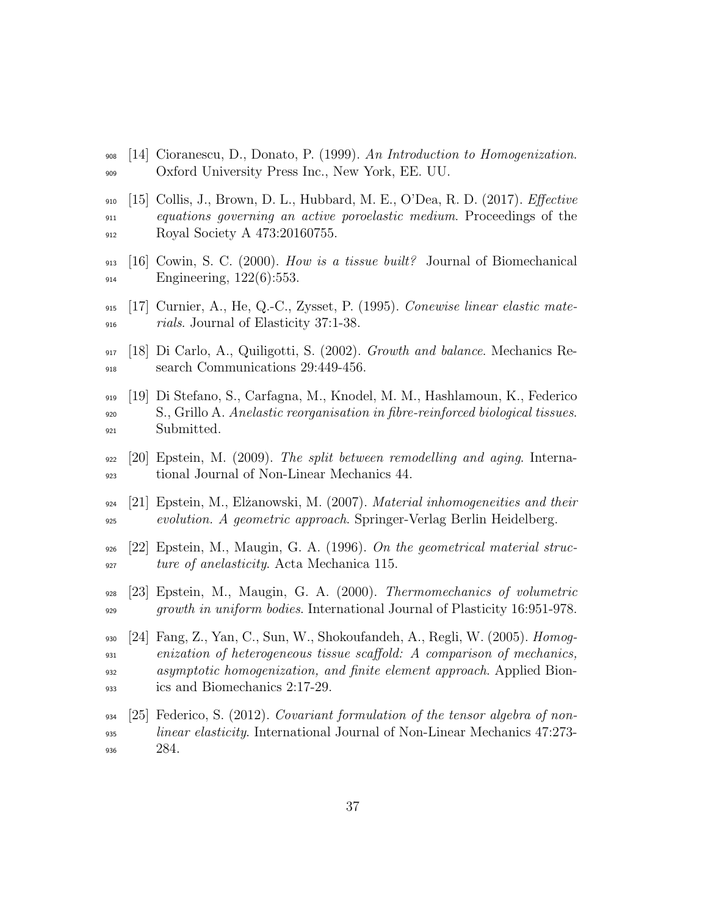- [14] Cioranescu, D., Donato, P. (1999). An Introduction to Homogenization. Oxford University Press Inc., New York, EE. UU.
- [15] Collis, J., Brown, D. L., Hubbard, M. E., O'Dea, R. D. (2017). Effective equations governing an active poroelastic medium. Proceedings of the Royal Society A 473:20160755.
- 913 [16] Cowin, S. C. (2000). How is a tissue built? Journal of Biomechanical 914 Engineering, 122(6):553.
- [17] Curnier, A., He, Q.-C., Zysset, P. (1995). Conewise linear elastic mate-rials. Journal of Elasticity 37:1-38.
- [18] Di Carlo, A., Quiligotti, S. (2002). Growth and balance. Mechanics Re-search Communications 29:449-456.
- [19] Di Stefano, S., Carfagna, M., Knodel, M. M., Hashlamoun, K., Federico S., Grillo A. Anelastic reorganisation in fibre-reinforced biological tissues. Submitted.
- $_{922}$  [20] Epstein, M. (2009). The split between remodelling and aging. Interna-tional Journal of Non-Linear Mechanics 44.
- $_{924}$  [21] Epstein, M., Elżanowski, M. (2007). Material inhomogeneities and their 925 evolution. A geometric approach. Springer-Verlag Berlin Heidelberg.
- $_{926}$  [22] Epstein, M., Maugin, G. A. (1996). On the geometrical material struc-927 ture of anelasticity. Acta Mechanica 115.
- [23] Epstein, M., Maugin, G. A. (2000). Thermomechanics of volumetric 929 growth in uniform bodies. International Journal of Plasticity 16:951-978.
- [24] Fang, Z., Yan, C., Sun, W., Shokoufandeh, A., Regli, W. (2005). Homog- enization of heterogeneous tissue scaffold: A comparison of mechanics, asymptotic homogenization, and finite element approach. Applied Bion-ics and Biomechanics 2:17-29.
- $_{934}$  [25] Federico, S. (2012). Covariant formulation of the tensor algebra of non- linear elasticity. International Journal of Non-Linear Mechanics 47:273- 284.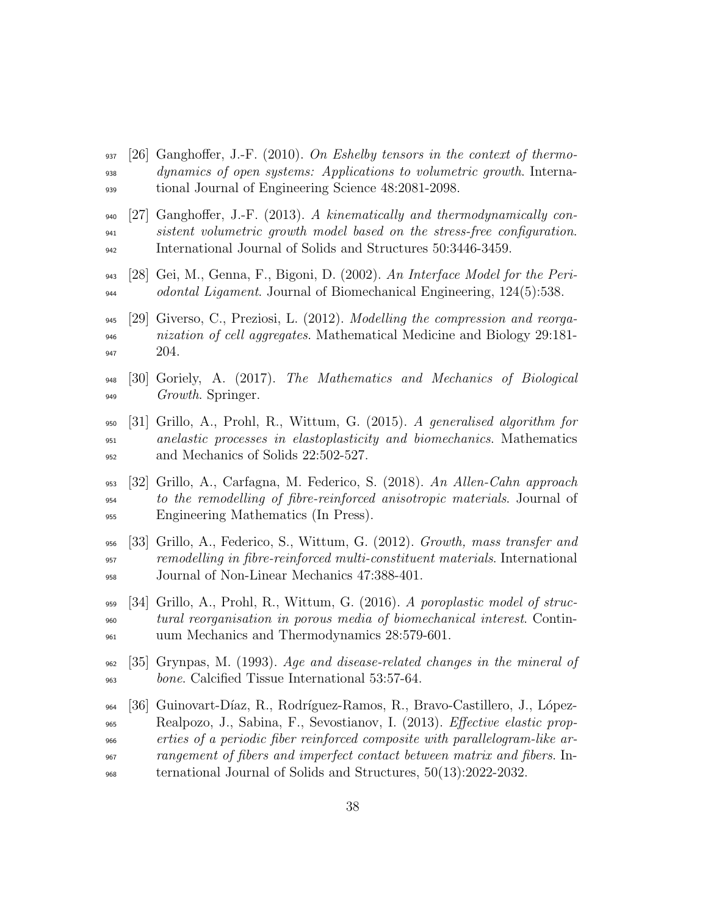- 937 [26] Ganghoffer, J.-F. (2010). On Eshelby tensors in the context of thermo- dynamics of open systems: Applications to volumetric growth. Interna-tional Journal of Engineering Science 48:2081-2098.
- [27] Ganghoffer, J.-F. (2013). A kinematically and thermodynamically con- sistent volumetric growth model based on the stress-free configuration. 942 International Journal of Solids and Structures 50:3446-3459.
- 943 [28] Gei, M., Genna, F., Bigoni, D. (2002). An Interface Model for the Periodontal Ligament. Journal of Biomechanical Engineering, 124(5):538.
- [29] Giverso, C., Preziosi, L. (2012). Modelling the compression and reorga- nization of cell aggregates. Mathematical Medicine and Biology 29:181- 204.
- [30] Goriely, A. (2017). The Mathematics and Mechanics of Biological 949 Growth. Springer.
- [31] Grillo, A., Prohl, R., Wittum, G. (2015). A generalised algorithm for anelastic processes in elastoplasticity and biomechanics. Mathematics and Mechanics of Solids 22:502-527.
- [32] Grillo, A., Carfagna, M. Federico, S. (2018). An Allen-Cahn approach to the remodelling of fibre-reinforced anisotropic materials. Journal of Engineering Mathematics (In Press).
- [33] Grillo, A., Federico, S., Wittum, G. (2012). Growth, mass transfer and remodelling in fibre-reinforced multi-constituent materials. International Journal of Non-Linear Mechanics 47:388-401.
- 959  $[34]$  Grillo, A., Prohl, R., Wittum, G. (2016). A poroplastic model of struc- tural reorganisation in porous media of biomechanical interest. Contin-uum Mechanics and Thermodynamics 28:579-601.
- [35] Grynpas, M. (1993). Age and disease-related changes in the mineral of 963 bone. Calcified Tissue International 53:57-64.
- [36] Guinovart-D´ıaz, R., Rodr´ıguez-Ramos, R., Bravo-Castillero, J., L´opez- Realpozo, J., Sabina, F., Sevostianov, I. (2013). Effective elastic prop- erties of a periodic fiber reinforced composite with parallelogram-like ar- rangement of fibers and imperfect contact between matrix and fibers. In-ternational Journal of Solids and Structures, 50(13):2022-2032.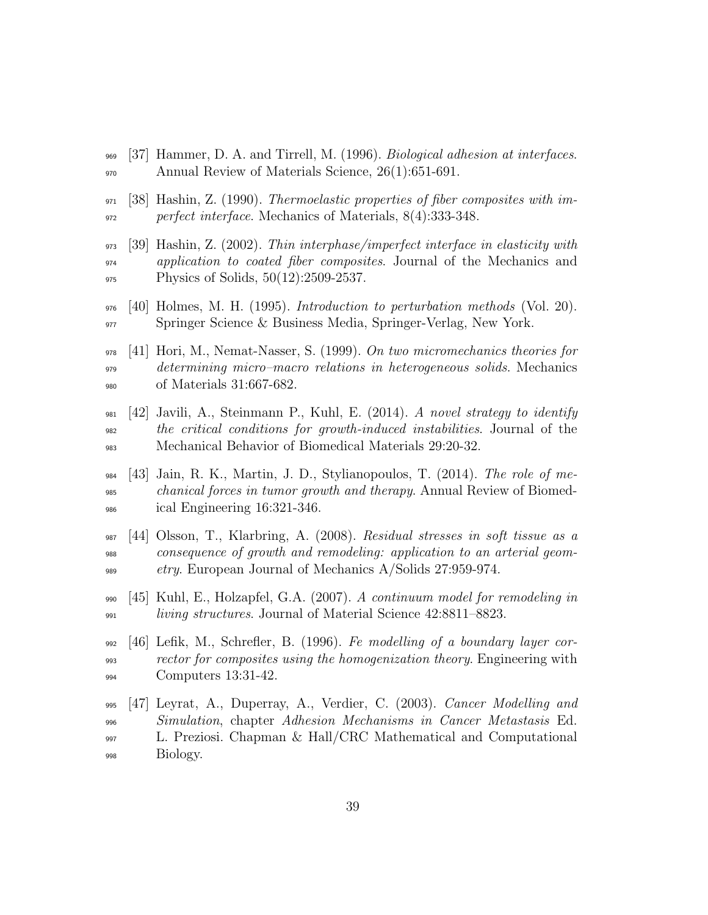- $969 \quad [37]$  Hammer, D. A. and Tirrell, M. (1996). *Biological adhesion at interfaces.* 970 Annual Review of Materials Science, 26(1):651-691.
- $_{971}$  [38] Hashin, Z. (1990). Thermoelastic properties of fiber composites with im-*perfect interface*. Mechanics of Materials, 8(4):333-348.
- 973 [39] Hashin, Z. (2002). Thin interphase/imperfect interface in elasticity with application to coated fiber composites. Journal of the Mechanics and 975 Physics of Solids, 50(12):2509-2537.
- 976  $[40]$  Holmes, M. H. (1995). Introduction to perturbation methods (Vol. 20). Springer Science & Business Media, Springer-Verlag, New York.
- 978  $[41]$  Hori, M., Nemat-Nasser, S. (1999). On two micromechanics theories for determining micro–macro relations in heterogeneous solids. Mechanics of Materials 31:667-682.
- 981  $[42]$  Javili, A., Steinmann P., Kuhl, E. (2014). A novel strategy to identify the critical conditions for growth-induced instabilities. Journal of the Mechanical Behavior of Biomedical Materials 29:20-32.
- 984 [43] Jain, R. K., Martin, J. D., Stylianopoulos, T.  $(2014)$ . The role of me- chanical forces in tumor growth and therapy. Annual Review of Biomed-ical Engineering 16:321-346.
- [44] Olsson, T., Klarbring, A. (2008). Residual stresses in soft tissue as a consequence of growth and remodeling: application to an arterial geom-*etry*. European Journal of Mechanics A/Solids 27:959-974.
- $990\quad$  [45] Kuhl, E., Holzapfel, G.A. (2007). A continuum model for remodeling in living structures. Journal of Material Science 42:8811–8823.
- [46] Lefik, M., Schrefler, B. (1996). Fe modelling of a boundary layer cor- rector for composites using the homogenization theory. Engineering with Computers 13:31-42.
- [47] Leyrat, A., Duperray, A., Verdier, C. (2003). Cancer Modelling and <sup>996</sup> Simulation, chapter Adhesion Mechanisms in Cancer Metastasis Ed. L. Preziosi. Chapman & Hall/CRC Mathematical and Computational Biology.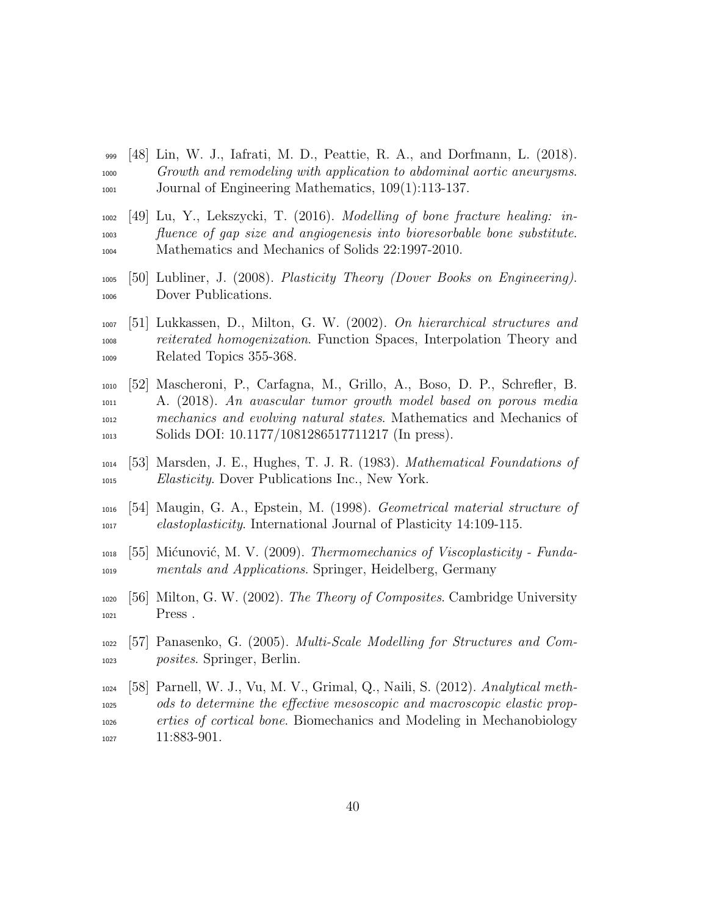- [48] Lin, W. J., Iafrati, M. D., Peattie, R. A., and Dorfmann, L. (2018). Growth and remodeling with application to abdominal aortic aneurysms. Journal of Engineering Mathematics, 109(1):113-137.
- [49] Lu, Y., Lekszycki, T. (2016). Modelling of bone fracture healing: in- fluence of gap size and angiogenesis into bioresorbable bone substitute. Mathematics and Mechanics of Solids 22:1997-2010.
- [50] Lubliner, J. (2008). Plasticity Theory (Dover Books on Engineering). Dover Publications.
- [51] Lukkassen, D., Milton, G. W. (2002). On hierarchical structures and reiterated homogenization. Function Spaces, Interpolation Theory and Related Topics 355-368.
- [52] Mascheroni, P., Carfagna, M., Grillo, A., Boso, D. P., Schrefler, B. A. (2018). An avascular tumor growth model based on porous media mechanics and evolving natural states. Mathematics and Mechanics of 1013 Solids DOI: 10.1177/1081286517711217 (In press).
- [53] Marsden, J. E., Hughes, T. J. R. (1983). Mathematical Foundations of Elasticity. Dover Publications Inc., New York.
- [54] Maugin, G. A., Epstein, M. (1998). Geometrical material structure of elastoplasticity. International Journal of Plasticity 14:109-115.
- [55] Mićunović, M. V. (2009). Thermomechanics of Viscoplasticity Funda-1019 mentals and Applications. Springer, Heidelberg, Germany
- [56] Milton, G. W. (2002). The Theory of Composites. Cambridge University Press .
- [57] Panasenko, G. (2005). Multi-Scale Modelling for Structures and Com-posites. Springer, Berlin.
- [58] Parnell, W. J., Vu, M. V., Grimal, Q., Naili, S. (2012). Analytical meth- ods to determine the effective mesoscopic and macroscopic elastic prop- erties of cortical bone. Biomechanics and Modeling in Mechanobiology 1027 11:883-901.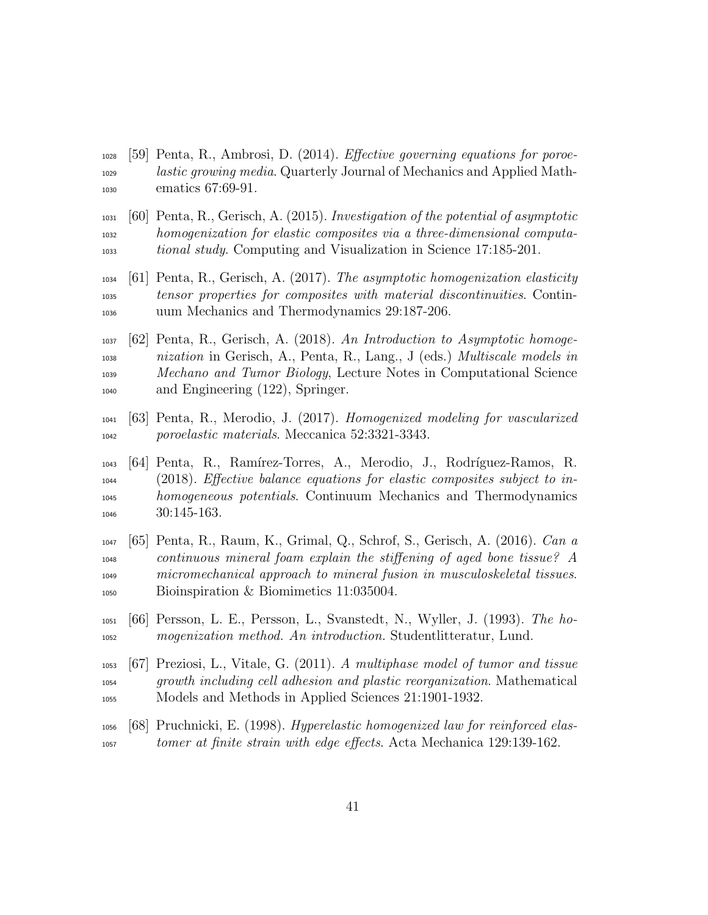- [59] Penta, R., Ambrosi, D. (2014). *Effective governing equations for poroe-* lastic growing media. Quarterly Journal of Mechanics and Applied Math-ematics 67:69-91.
- $1031 \quad [60]$  Penta, R., Gerisch, A. (2015). Investigation of the potential of asymptotic homogenization for elastic composites via a three-dimensional computa-tional study. Computing and Visualization in Science 17:185-201.
- [61] Penta, R., Gerisch, A. (2017). The asymptotic homogenization elasticity tensor properties for composites with material discontinuities. Contin-uum Mechanics and Thermodynamics 29:187-206.
- [62] Penta, R., Gerisch, A. (2018). An Introduction to Asymptotic homoge- nization in Gerisch, A., Penta, R., Lang., J (eds.) Multiscale models in Mechano and Tumor Biology, Lecture Notes in Computational Science and Engineering (122), Springer.
- [63] Penta, R., Merodio, J. (2017). Homogenized modeling for vascularized poroelastic materials. Meccanica 52:3321-3343.
- [64] Penta, R., Ramírez-Torres, A., Merodio, J., Rodríguez-Ramos, R. (2018). Effective balance equations for elastic composites subject to in- homogeneous potentials. Continuum Mechanics and Thermodynamics 30:145-163.
- [65] Penta, R., Raum, K., Grimal, Q., Schrof, S., Gerisch, A. (2016). Can a continuous mineral foam explain the stiffening of aged bone tissue? A micromechanical approach to mineral fusion in musculoskeletal tissues. Bioinspiration & Biomimetics 11:035004.
- [66] Persson, L. E., Persson, L., Svanstedt, N., Wyller, J. (1993). The ho-mogenization method. An introduction. Studentlitteratur, Lund.
- [67] Preziosi, L., Vitale, G. (2011). A multiphase model of tumor and tissue growth including cell adhesion and plastic reorganization. Mathematical Models and Methods in Applied Sciences 21:1901-1932.
- [68] Pruchnicki, E. (1998). Hyperelastic homogenized law for reinforced elas-tomer at finite strain with edge effects. Acta Mechanica 129:139-162.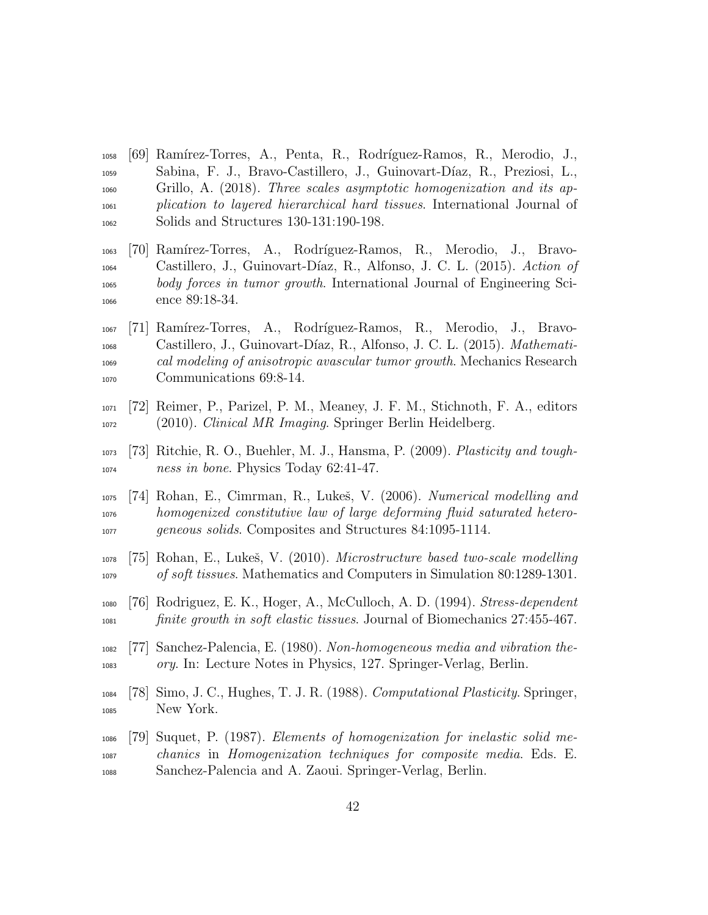- [69] Ram´ırez-Torres, A., Penta, R., Rodr´ıguez-Ramos, R., Merodio, J., Sabina, F. J., Bravo-Castillero, J., Guinovart-D´ıaz, R., Preziosi, L., Grillo, A. (2018). Three scales asymptotic homogenization and its ap- plication to layered hierarchical hard tissues. International Journal of Solids and Structures 130-131:190-198.
- [70] Ram´ırez-Torres, A., Rodr´ıguez-Ramos, R., Merodio, J., Bravo- Castillero, J., Guinovart-D´ıaz, R., Alfonso, J. C. L. (2015). Action of body forces in tumor growth. International Journal of Engineering Sci-ence 89:18-34.
- [71] Ram´ırez-Torres, A., Rodr´ıguez-Ramos, R., Merodio, J., Bravo- Castillero, J., Guinovart-D´ıaz, R., Alfonso, J. C. L. (2015). Mathemati- cal modeling of anisotropic avascular tumor growth. Mechanics Research Communications 69:8-14.
- [72] Reimer, P., Parizel, P. M., Meaney, J. F. M., Stichnoth, F. A., editors 1072 (2010). *Clinical MR Imaging*. Springer Berlin Heidelberg.
- [73] Ritchie, R. O., Buehler, M. J., Hansma, P. (2009). Plasticity and tough-ness in bone. Physics Today 62:41-47.
- [74] Rohan, E., Cimrman, R., Lukeš, V. (2006). Numerical modelling and homogenized constitutive law of large deforming fluid saturated hetero-geneous solids. Composites and Structures 84:1095-1114.
- [75] Rohan, E., Lukeš, V. (2010). Microstructure based two-scale modelling of soft tissues. Mathematics and Computers in Simulation 80:1289-1301.
- [76] Rodriguez, E. K., Hoger, A., McCulloch, A. D. (1994). Stress-dependent finite growth in soft elastic tissues. Journal of Biomechanics 27:455-467.
- [77] Sanchez-Palencia, E. (1980). Non-homogeneous media and vibration the-ory. In: Lecture Notes in Physics, 127. Springer-Verlag, Berlin.
- [78] Simo, J. C., Hughes, T. J. R. (1988). Computational Plasticity. Springer, New York.
- [79] Suquet, P. (1987). Elements of homogenization for inelastic solid me- chanics in Homogenization techniques for composite media. Eds. E. Sanchez-Palencia and A. Zaoui. Springer-Verlag, Berlin.